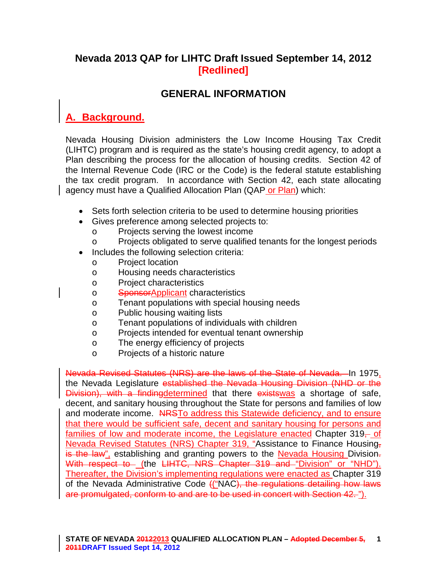# **Nevada 2013 QAP for LIHTC Draft Issued September 14, 2012 [Redlined]**

# **GENERAL INFORMATION**

# **A. Background.**

Nevada Housing Division administers the Low Income Housing Tax Credit (LIHTC) program and is required as the state's housing credit agency, to adopt a Plan describing the process for the allocation of housing credits. Section 42 of the Internal Revenue Code (IRC or the Code) is the federal statute establishing the tax credit program. In accordance with Section 42, each state allocating agency must have a Qualified Allocation Plan (QAP or Plan) which:

- Sets forth selection criteria to be used to determine housing priorities
- Gives preference among selected projects to:
	- o Projects serving the lowest income<br>
	Projects obligated to serve qualified
		- Projects obligated to serve qualified tenants for the longest periods
- Includes the following selection criteria:
	- o Project location<br>o Housing needs
	- Housing needs characteristics
	- o Project characteristics<br>o SponsorApplicant char
	- **SponsorApplicant characteristics**
	- o Tenant populations with special housing needs
	- o Public housing waiting lists
	- o Tenant populations of individuals with children
	- o Projects intended for eventual tenant ownership
	- o The energy efficiency of projects
	- o Projects of a historic nature

<span id="page-0-0"></span>Nevada Revised Statutes (NRS) are the laws of the State of Nevada. In 1975, the Nevada Legislature established the Nevada Housing Division (NHD or the Division), with a findingdetermined that there existswas a shortage of safe, decent, and sanitary housing throughout the State for persons and families of low and moderate income. NRSTo address this Statewide deficiency, and to ensure that there would be sufficient safe, decent and sanitary housing for persons and families of low and moderate income, the Legislature enacted Chapter  $319<sub>1</sub>$  of Nevada Revised Statutes (NRS) Chapter 319, "Assistance to Finance Housing, is the law", establishing and granting powers to the Nevada Housing Division-With respect to (the LIHTC, NRS Chapter 319 and "Division" or "NHD"). Thereafter, the Division's implementing regulations were enacted as Chapter 319 of the Nevada Administrative Code (("NAC), the regulations detailing how laws are promulgated, conform to and are to be used in concert with Section 42. ").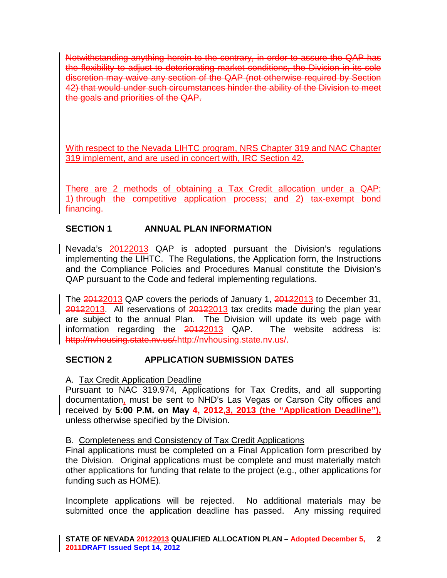Notwithstanding anything herein to the contrary, in order to assure the QAP has the flexibility to adjust to deteriorating market conditions, the Division in its sole discretion may waive any section of the QAP (not otherwise required by Section 42) that would under such circumstances hinder the ability of the Division to meet the goals and priorities of the QAP.

With respect to the Nevada LIHTC program, NRS Chapter 319 and NAC Chapter 319 implement, and are used in concert with, IRC Section 42.

There are 2 methods of obtaining a Tax Credit allocation under a QAP: 1) through the competitive application process; and 2) tax-exempt bond financing.

## **SECTION 1 ANNUAL PLAN INFORMATION**

Nevada's 20122013 QAP is adopted pursuant the Division's regulations implementing the LIHTC. The Regulations, the Application form, the Instructions and the Compliance Policies and Procedures Manual constitute the Division's QAP pursuant to the Code and federal implementing regulations.

The 20122013 QAP covers the periods of January 1, 20122013 to December 31, 20122013. All reservations of 20122013 tax credits made during the plan year are subject to the annual Plan. The Division will update its web page with information regarding the 20122013 QAP. The website address is: http://nvhousing.state.nv.us/[.http://nvhousing.state.nv.us/.](http://nvhousing.state.nv.us/)

## **SECTION 2 APPLICATION SUBMISSION DATES**

## A. Tax Credit Application Deadline

Pursuant to NAC 319.974, Applications for Tax Credits, and all supporting documentation, must be sent to NHD's Las Vegas or Carson City offices and received by **5:00 P.M. on May 4, 2012,3, 2013 (the "Application Deadline"),** unless otherwise specified by the Division.

### B. Completeness and Consistency of Tax Credit Applications

Final applications must be completed on a Final Application form prescribed by the Division. Original applications must be complete and must materially match other applications for funding that relate to the project (e.g., other applications for funding such as HOME).

Incomplete applications will be rejected. No additional materials may be submitted once the application deadline has passed. Any missing required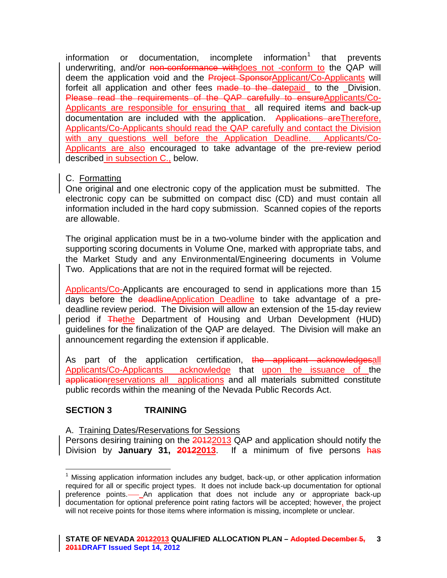information or documentation, incomplete information<sup>[1](#page-0-0)</sup> that prevents underwriting, and/or non-conformance withdoes not -conform to the QAP will deem the application void and the **Project Sponsor**Applicant/Co-Applicants will forfeit all application and other fees made to the datepaid to the Division. Please read the requirements of the QAP carefully to ensureApplicants/Co-Applicants are responsible for ensuring that all required items and back-up documentation are included with the application. Applications are Therefore, Applicants/Co-Applicants should read the QAP carefully and contact the Division with any questions well before the Application Deadline. Applicants/Co-Applicants are also encouraged to take advantage of the pre-review period described in subsection C., below.

## C. Formatting

One original and one electronic copy of the application must be submitted. The electronic copy can be submitted on compact disc (CD) and must contain all information included in the hard copy submission. Scanned copies of the reports are allowable.

The original application must be in a two-volume binder with the application and supporting scoring documents in Volume One, marked with appropriate tabs, and the Market Study and any Environmental/Engineering documents in Volume Two. Applications that are not in the required format will be rejected.

Applicants/Co-Applicants are encouraged to send in applications more than 15 days before the deadlineApplication Deadline to take advantage of a predeadline review period. The Division will allow an extension of the 15-day review period if Thethe Department of Housing and Urban Development (HUD) guidelines for the finalization of the QAP are delayed. The Division will make an announcement regarding the extension if applicable.

As part of the application certification, the applicant acknowledgesall Applicants/Co-Applicants acknowledge that upon the issuance of the applicationreservations all applications and all materials submitted constitute public records within the meaning of the Nevada Public Records Act.

## **SECTION 3 TRAINING**

### A. Training Dates/Reservations for Sessions

Persons desiring training on the 20122013 QAP and application should notify the Division by **January 31, 20122013**. If a minimum of five persons has

<span id="page-2-0"></span> $<sup>1</sup>$  Missing application information includes any budget, back-up, or other application information</sup> required for all or specific project types. It does not include back-up documentation for optional preference points. An application that does not include any or appropriate back-up documentation for optional preference point rating factors will be accepted; however, the project will not receive points for those items where information is missing, incomplete or unclear.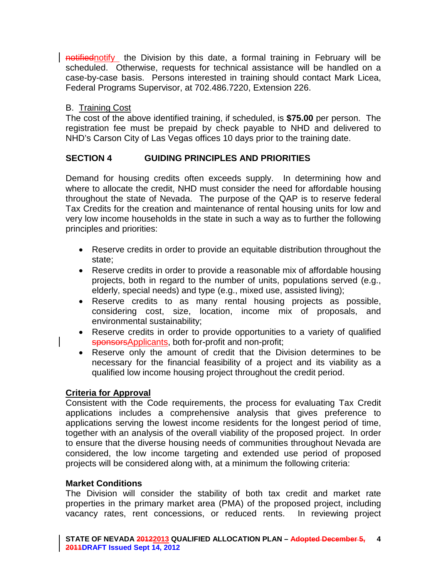notifiednotify the Division by this date, a formal training in February will be scheduled. Otherwise, requests for technical assistance will be handled on a case-by-case basis. Persons interested in training should contact Mark Licea, Federal Programs Supervisor, at 702.486.7220, Extension 226.

### B. Training Cost

The cost of the above identified training, if scheduled, is **\$75.00** per person. The registration fee must be prepaid by check payable to NHD and delivered to NHD's Carson City of Las Vegas offices 10 days prior to the training date.

## **SECTION 4 GUIDING PRINCIPLES AND PRIORITIES**

Demand for housing credits often exceeds supply. In determining how and where to allocate the credit, NHD must consider the need for affordable housing throughout the state of Nevada. The purpose of the QAP is to reserve federal Tax Credits for the creation and maintenance of rental housing units for low and very low income households in the state in such a way as to further the following principles and priorities:

- Reserve credits in order to provide an equitable distribution throughout the state;
- Reserve credits in order to provide a reasonable mix of affordable housing projects, both in regard to the number of units, populations served (e.g., elderly, special needs) and type (e.g., mixed use, assisted living);
- Reserve credits to as many rental housing projects as possible, considering cost, size, location, income mix of proposals, and environmental sustainability;
- Reserve credits in order to provide opportunities to a variety of qualified sponsorsApplicants, both for-profit and non-profit;
- Reserve only the amount of credit that the Division determines to be necessary for the financial feasibility of a project and its viability as a qualified low income housing project throughout the credit period.

### **Criteria for Approval**

Consistent with the Code requirements, the process for evaluating Tax Credit applications includes a comprehensive analysis that gives preference to applications serving the lowest income residents for the longest period of time, together with an analysis of the overall viability of the proposed project. In order to ensure that the diverse housing needs of communities throughout Nevada are considered, the low income targeting and extended use period of proposed projects will be considered along with, at a minimum the following criteria:

### **Market Conditions**

The Division will consider the stability of both tax credit and market rate properties in the primary market area (PMA) of the proposed project, including vacancy rates, rent concessions, or reduced rents. In reviewing project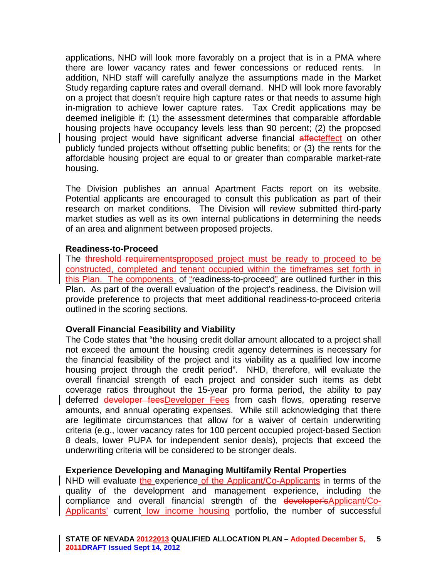applications, NHD will look more favorably on a project that is in a PMA where there are lower vacancy rates and fewer concessions or reduced rents. In addition, NHD staff will carefully analyze the assumptions made in the Market Study regarding capture rates and overall demand. NHD will look more favorably on a project that doesn't require high capture rates or that needs to assume high in-migration to achieve lower capture rates. Tax Credit applications may be deemed ineligible if: (1) the assessment determines that comparable affordable housing projects have occupancy levels less than 90 percent; (2) the proposed housing project would have significant adverse financial affecteffect on other publicly funded projects without offsetting public benefits; or (3) the rents for the affordable housing project are equal to or greater than comparable market-rate housing.

The Division publishes an annual Apartment Facts report on its website. Potential applicants are encouraged to consult this publication as part of their research on market conditions. The Division will review submitted third-party market studies as well as its own internal publications in determining the needs of an area and alignment between proposed projects.

### **Readiness-to-Proceed**

The threshold requirementsproposed project must be ready to proceed to be constructed, completed and tenant occupied within the timeframes set forth in this Plan. The components of "readiness-to-proceed" are outlined further in this Plan. As part of the overall evaluation of the project's readiness, the Division will provide preference to projects that meet additional readiness-to-proceed criteria outlined in the scoring sections.

### **Overall Financial Feasibility and Viability**

The Code states that "the housing credit dollar amount allocated to a project shall not exceed the amount the housing credit agency determines is necessary for the financial feasibility of the project and its viability as a qualified low income housing project through the credit period". NHD, therefore, will evaluate the overall financial strength of each project and consider such items as debt coverage ratios throughout the 15-year pro forma period, the ability to pay deferred developer feesDeveloper Fees from cash flows, operating reserve amounts, and annual operating expenses. While still acknowledging that there are legitimate circumstances that allow for a waiver of certain underwriting criteria (e.g., lower vacancy rates for 100 percent occupied project-based Section 8 deals, lower PUPA for independent senior deals), projects that exceed the underwriting criteria will be considered to be stronger deals.

#### **Experience Developing and Managing Multifamily Rental Properties**

NHD will evaluate the experience of the Applicant/Co-Applicants in terms of the quality of the development and management experience, including the compliance and overall financial strength of the developer'sApplicant/Co-Applicants' current low income housing portfolio, the number of successful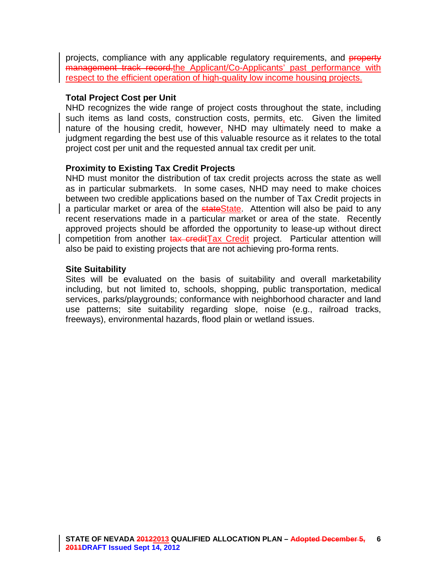projects, compliance with any applicable regulatory requirements, and property management track record.the Applicant/Co-Applicants' past performance with respect to the efficient operation of high-quality low income housing projects.

### **Total Project Cost per Unit**

NHD recognizes the wide range of project costs throughout the state, including such items as land costs, construction costs, permits, etc. Given the limited nature of the housing credit, however, NHD may ultimately need to make a judgment regarding the best use of this valuable resource as it relates to the total project cost per unit and the requested annual tax credit per unit.

## **Proximity to Existing Tax Credit Projects**

NHD must monitor the distribution of tax credit projects across the state as well as in particular submarkets. In some cases, NHD may need to make choices between two credible applications based on the number of Tax Credit projects in a particular market or area of the **stateState**. Attention will also be paid to any recent reservations made in a particular market or area of the state. Recently approved projects should be afforded the opportunity to lease-up without direct competition from another tax creditTax Credit project. Particular attention will also be paid to existing projects that are not achieving pro-forma rents.

### **Site Suitability**

Sites will be evaluated on the basis of suitability and overall marketability including, but not limited to, schools, shopping, public transportation, medical services, parks/playgrounds; conformance with neighborhood character and land use patterns; site suitability regarding slope, noise (e.g., railroad tracks, freeways), environmental hazards, flood plain or wetland issues.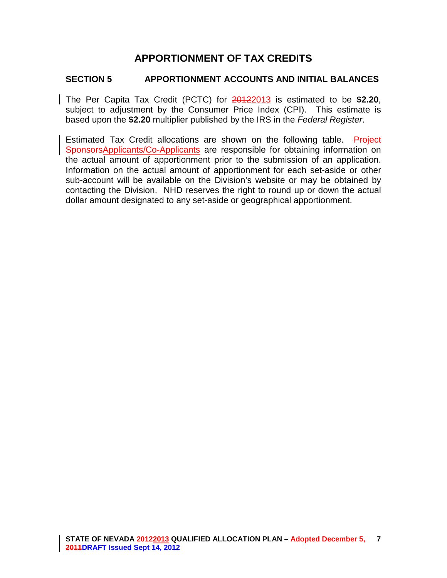# **APPORTIONMENT OF TAX CREDITS**

## **SECTION 5 APPORTIONMENT ACCOUNTS AND INITIAL BALANCES**

The Per Capita Tax Credit (PCTC) for 20122013 is estimated to be **\$2.20**, subject to adjustment by the Consumer Price Index (CPI). This estimate is based upon the **\$2.20** multiplier published by the IRS in the *Federal Register*.

Estimated Tax Credit allocations are shown on the following table. Project SponsorsApplicants/Co-Applicants are responsible for obtaining information on the actual amount of apportionment prior to the submission of an application. Information on the actual amount of apportionment for each set-aside or other sub-account will be available on the Division's website or may be obtained by contacting the Division. NHD reserves the right to round up or down the actual dollar amount designated to any set-aside or geographical apportionment.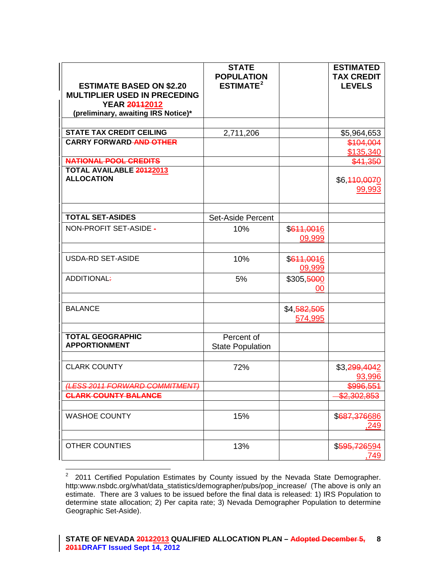| <b>ESTIMATE BASED ON \$2.20</b><br><b>MULTIPLIER USED IN PRECEDING</b><br>YEAR 20112012 | <b>STATE</b><br><b>POPULATION</b><br>ESTIMATE <sup>2</sup> |                         | <b>ESTIMATED</b><br><b>TAX CREDIT</b><br><b>LEVELS</b> |
|-----------------------------------------------------------------------------------------|------------------------------------------------------------|-------------------------|--------------------------------------------------------|
| (preliminary, awaiting IRS Notice)*                                                     |                                                            |                         |                                                        |
| <b>STATE TAX CREDIT CEILING</b>                                                         |                                                            |                         |                                                        |
| <b>CARRY FORWARD-AND OTHER</b>                                                          | 2,711,206                                                  |                         | \$5,964,653<br>\$104,004                               |
|                                                                                         |                                                            |                         | \$135,340                                              |
| <b>NATIONAL POOL CREDITS</b>                                                            |                                                            |                         | \$41,350                                               |
| TOTAL AVAILABLE 20122013                                                                |                                                            |                         |                                                        |
| <b>ALLOCATION</b>                                                                       |                                                            |                         | \$6,440,0070                                           |
|                                                                                         |                                                            |                         | 99,993                                                 |
|                                                                                         |                                                            |                         |                                                        |
| <b>TOTAL SET-ASIDES</b>                                                                 | <b>Set-Aside Percent</b>                                   |                         |                                                        |
| NON-PROFIT SET-ASIDE -                                                                  | 10%                                                        | \$611,0016              |                                                        |
|                                                                                         |                                                            | 09,999                  |                                                        |
|                                                                                         |                                                            |                         |                                                        |
| <b>USDA-RD SET-ASIDE</b>                                                                | 10%                                                        | \$611,0016              |                                                        |
|                                                                                         |                                                            | 09,999                  |                                                        |
| <b>ADDITIONAL:</b>                                                                      | 5%                                                         | \$305,5000              |                                                        |
|                                                                                         |                                                            | 00                      |                                                        |
|                                                                                         |                                                            |                         |                                                        |
| <b>BALANCE</b>                                                                          |                                                            | \$4, <del>582,505</del> |                                                        |
|                                                                                         |                                                            | 574,995                 |                                                        |
| <b>TOTAL GEOGRAPHIC</b>                                                                 |                                                            |                         |                                                        |
| <b>APPORTIONMENT</b>                                                                    | Percent of                                                 |                         |                                                        |
|                                                                                         | <b>State Population</b>                                    |                         |                                                        |
| <b>CLARK COUNTY</b>                                                                     | 72%                                                        |                         | \$3,299,4042                                           |
|                                                                                         |                                                            |                         | 93,996                                                 |
| (LESS 2011 FORWARD COMMITMENT)                                                          |                                                            |                         | \$996.551                                              |
| <b>CLARK COUNTY BALANCE</b>                                                             |                                                            |                         | <del>\$2,302,853</del>                                 |
|                                                                                         |                                                            |                         |                                                        |
| <b>WASHOE COUNTY</b>                                                                    | 15%                                                        |                         | \$687,376686                                           |
|                                                                                         |                                                            |                         | 249                                                    |
|                                                                                         |                                                            |                         |                                                        |
| <b>OTHER COUNTIES</b>                                                                   | 13%                                                        |                         | \$ <del>595,726</del> 594<br><u>749.</u>               |
|                                                                                         |                                                            |                         |                                                        |

<span id="page-7-0"></span>2 2011 Certified Population Estimates by County issued by the Nevada State Demographer. http:www.nsbdc.org/what/data\_statistics/demographer/pubs/pop\_increase/ (The above is only an estimate. There are 3 values to be issued before the final data is released: 1) IRS Population to determine state allocation; 2) Per capita rate; 3) Nevada Demographer Population to determine Geographic Set-Aside).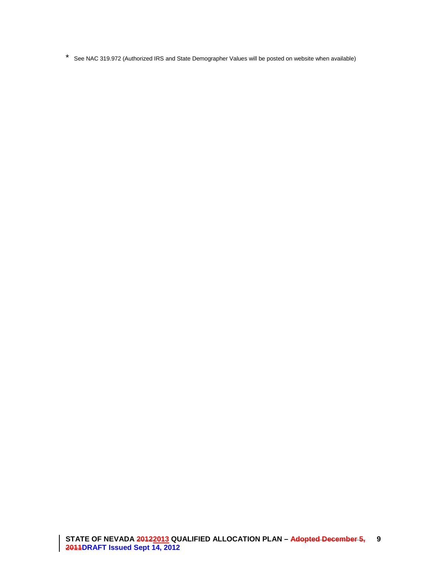\* See NAC 319.972 (Authorized IRS and State Demographer Values will be posted on website when available)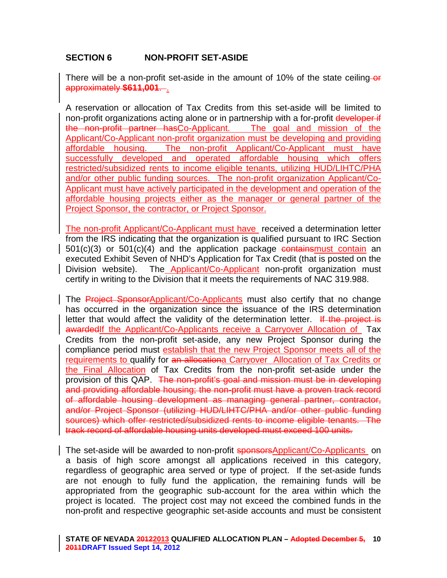## **SECTION 6 NON-PROFIT SET-ASIDE**

There will be a non-profit set-aside in the amount of 10% of the state ceiling-or approximately **\$611,001**. .

A reservation or allocation of Tax Credits from this set-aside will be limited to non-profit organizations acting alone or in partnership with a for-profit developer if the non-profit partner hasCo-Applicant. The goal and mission of the Applicant/Co-Applicant non-profit organization must be developing and providing affordable housing. The non-profit Applicant/Co-Applicant must have successfully developed and operated affordable housing which offers restricted/subsidized rents to income eligible tenants, utilizing HUD/LIHTC/PHA and/or other public funding sources. The non-profit organization Applicant/Co-Applicant must have actively participated in the development and operation of the affordable housing projects either as the manager or general partner of the Project Sponsor, the contractor, or Project Sponsor.

The non-profit Applicant/Co-Applicant must have received a determination letter from the IRS indicating that the organization is qualified pursuant to IRC Section  $501(c)(3)$  or  $501(c)(4)$  and the application package containsmust contain an executed Exhibit Seven of NHD's Application for Tax Credit (that is posted on the Division website). The Applicant/Co-Applicant non-profit organization must certify in writing to the Division that it meets the requirements of NAC 319.988.

The **Project Sponsor**Applicant/Co-Applicants must also certify that no change has occurred in the organization since the issuance of the IRS determination letter that would affect the validity of the determination letter. If the project is awardedIf the Applicant/Co-Applicants receive a Carryover Allocation of Tax Credits from the non-profit set-aside, any new Project Sponsor during the compliance period must establish that the new Project Sponsor meets all of the requirements to qualify for an allocationa Carryover Allocation of Tax Credits or the Final Allocation of Tax Credits from the non-profit set-aside under the provision of this QAP. The non-profit's goal and mission must be in developing and providing affordable housing; the non-profit must have a proven track record of affordable housing development as managing general partner, contractor, and/or Project Sponsor (utilizing HUD/LIHTC/PHA and/or other public funding sources) which offer restricted/subsidized rents to income eligible tenants. The track record of affordable housing units developed must exceed 100 units.

The set-aside will be awarded to non-profit sponsorsApplicant/Co-Applicants on a basis of high score amongst all applications received in this category, regardless of geographic area served or type of project. If the set-aside funds are not enough to fully fund the application, the remaining funds will be appropriated from the geographic sub-account for the area within which the project is located. The project cost may not exceed the combined funds in the non-profit and respective geographic set-aside accounts and must be consistent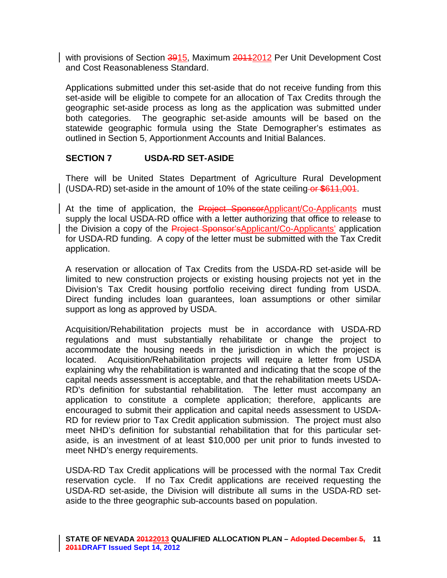with provisions of Section 3915, Maximum 20112012 Per Unit Development Cost and Cost Reasonableness Standard.

Applications submitted under this set-aside that do not receive funding from this set-aside will be eligible to compete for an allocation of Tax Credits through the geographic set-aside process as long as the application was submitted under both categories. The geographic set-aside amounts will be based on the statewide geographic formula using the State Demographer's estimates as outlined in Section 5, Apportionment Accounts and Initial Balances.

## **SECTION 7 USDA-RD SET-ASIDE**

There will be United States Department of Agriculture Rural Development (USDA-RD) set-aside in the amount of 10% of the state ceiling or **\$**611,001.

At the time of application, the Project SponsorApplicant/Co-Applicants must supply the local USDA-RD office with a letter authorizing that office to release to the Division a copy of the **Project Sponsor's**Applicant/Co-Applicants' application for USDA-RD funding. A copy of the letter must be submitted with the Tax Credit application.

A reservation or allocation of Tax Credits from the USDA-RD set-aside will be limited to new construction projects or existing housing projects not yet in the Division's Tax Credit housing portfolio receiving direct funding from USDA. Direct funding includes loan guarantees, loan assumptions or other similar support as long as approved by USDA.

Acquisition/Rehabilitation projects must be in accordance with USDA-RD regulations and must substantially rehabilitate or change the project to accommodate the housing needs in the jurisdiction in which the project is located. Acquisition/Rehabilitation projects will require a letter from USDA explaining why the rehabilitation is warranted and indicating that the scope of the capital needs assessment is acceptable, and that the rehabilitation meets USDA-RD's definition for substantial rehabilitation. The letter must accompany an application to constitute a complete application; therefore, applicants are encouraged to submit their application and capital needs assessment to USDA-RD for review prior to Tax Credit application submission. The project must also meet NHD's definition for substantial rehabilitation that for this particular setaside, is an investment of at least \$10,000 per unit prior to funds invested to meet NHD's energy requirements.

USDA-RD Tax Credit applications will be processed with the normal Tax Credit reservation cycle. If no Tax Credit applications are received requesting the USDA-RD set-aside, the Division will distribute all sums in the USDA-RD setaside to the three geographic sub-accounts based on population.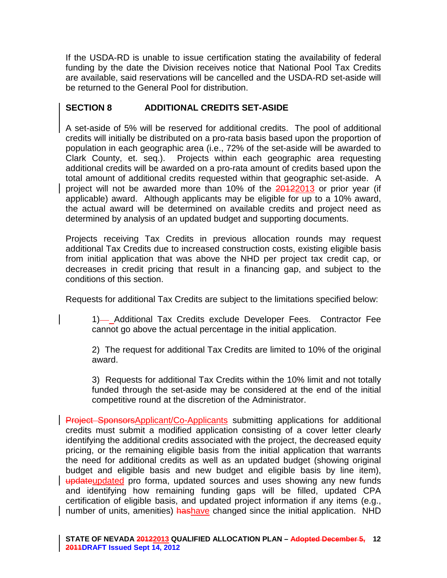If the USDA-RD is unable to issue certification stating the availability of federal funding by the date the Division receives notice that National Pool Tax Credits are available, said reservations will be cancelled and the USDA-RD set-aside will be returned to the General Pool for distribution.

## **SECTION 8 ADDITIONAL CREDITS SET-ASIDE**

A set-aside of 5% will be reserved for additional credits. The pool of additional credits will initially be distributed on a pro-rata basis based upon the proportion of population in each geographic area (i.e., 72% of the set-aside will be awarded to Clark County, et. seq.). Projects within each geographic area requesting additional credits will be awarded on a pro-rata amount of credits based upon the total amount of additional credits requested within that geographic set-aside. A project will not be awarded more than 10% of the 20122013 or prior year (if applicable) award. Although applicants may be eligible for up to a 10% award, the actual award will be determined on available credits and project need as determined by analysis of an updated budget and supporting documents.

Projects receiving Tax Credits in previous allocation rounds may request additional Tax Credits due to increased construction costs, existing eligible basis from initial application that was above the NHD per project tax credit cap, or decreases in credit pricing that result in a financing gap, and subject to the conditions of this section.

Requests for additional Tax Credits are subject to the limitations specified below:

1) Additional Tax Credits exclude Developer Fees. Contractor Fee cannot go above the actual percentage in the initial application.

2) The request for additional Tax Credits are limited to 10% of the original award.

3) Requests for additional Tax Credits within the 10% limit and not totally funded through the set-aside may be considered at the end of the initial competitive round at the discretion of the Administrator.

**Project Sponsors** Applicant/Co-Applicants submitting applications for additional credits must submit a modified application consisting of a cover letter clearly identifying the additional credits associated with the project, the decreased equity pricing, or the remaining eligible basis from the initial application that warrants the need for additional credits as well as an updated budget (showing original budget and eligible basis and new budget and eligible basis by line item), updateupdated pro forma, updated sources and uses showing any new funds and identifying how remaining funding gaps will be filled, updated CPA certification of eligible basis, and updated project information if any items (e.g., number of units, amenities) has have changed since the initial application. NHD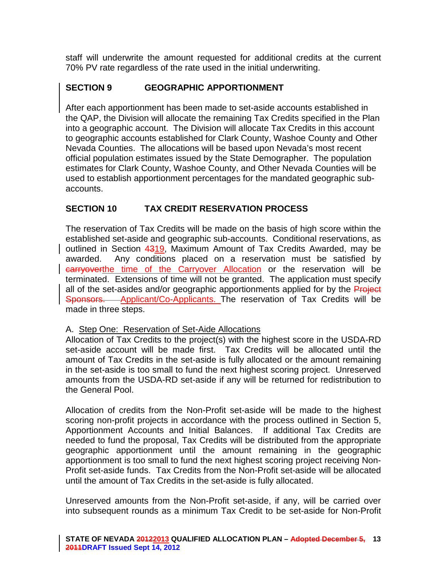staff will underwrite the amount requested for additional credits at the current 70% PV rate regardless of the rate used in the initial underwriting.

## **SECTION 9 GEOGRAPHIC APPORTIONMENT**

After each apportionment has been made to set-aside accounts established in the QAP, the Division will allocate the remaining Tax Credits specified in the Plan into a geographic account. The Division will allocate Tax Credits in this account to geographic accounts established for Clark County, Washoe County and Other Nevada Counties. The allocations will be based upon Nevada's most recent official population estimates issued by the State Demographer. The population estimates for Clark County, Washoe County, and Other Nevada Counties will be used to establish apportionment percentages for the mandated geographic subaccounts.

## **SECTION 10 TAX CREDIT RESERVATION PROCESS**

The reservation of Tax Credits will be made on the basis of high score within the established set-aside and geographic sub-accounts. Conditional reservations, as outlined in Section 4319, Maximum Amount of Tax Credits Awarded, may be awarded. Any conditions placed on a reservation must be satisfied by carryoverthe time of the Carryover Allocation or the reservation will be terminated. Extensions of time will not be granted. The application must specify all of the set-asides and/or geographic apportionments applied for by the Project Sponsors. Applicant/Co-Applicants. The reservation of Tax Credits will be made in three steps.

### A. Step One: Reservation of Set-Aide Allocations

Allocation of Tax Credits to the project(s) with the highest score in the USDA-RD set-aside account will be made first. Tax Credits will be allocated until the amount of Tax Credits in the set-aside is fully allocated or the amount remaining in the set-aside is too small to fund the next highest scoring project. Unreserved amounts from the USDA-RD set-aside if any will be returned for redistribution to the General Pool.

Allocation of credits from the Non-Profit set-aside will be made to the highest scoring non-profit projects in accordance with the process outlined in Section 5, Apportionment Accounts and Initial Balances. If additional Tax Credits are needed to fund the proposal, Tax Credits will be distributed from the appropriate geographic apportionment until the amount remaining in the geographic apportionment is too small to fund the next highest scoring project receiving Non-Profit set-aside funds. Tax Credits from the Non-Profit set-aside will be allocated until the amount of Tax Credits in the set-aside is fully allocated.

Unreserved amounts from the Non-Profit set-aside, if any, will be carried over into subsequent rounds as a minimum Tax Credit to be set-aside for Non-Profit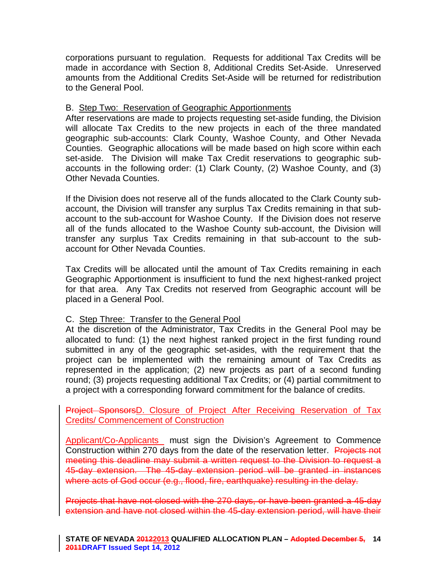corporations pursuant to regulation. Requests for additional Tax Credits will be made in accordance with Section 8, Additional Credits Set-Aside. Unreserved amounts from the Additional Credits Set-Aside will be returned for redistribution to the General Pool.

## B. Step Two: Reservation of Geographic Apportionments

After reservations are made to projects requesting set-aside funding, the Division will allocate Tax Credits to the new projects in each of the three mandated geographic sub-accounts: Clark County, Washoe County, and Other Nevada Counties. Geographic allocations will be made based on high score within each set-aside. The Division will make Tax Credit reservations to geographic subaccounts in the following order: (1) Clark County, (2) Washoe County, and (3) Other Nevada Counties.

If the Division does not reserve all of the funds allocated to the Clark County subaccount, the Division will transfer any surplus Tax Credits remaining in that subaccount to the sub-account for Washoe County. If the Division does not reserve all of the funds allocated to the Washoe County sub-account, the Division will transfer any surplus Tax Credits remaining in that sub-account to the subaccount for Other Nevada Counties.

Tax Credits will be allocated until the amount of Tax Credits remaining in each Geographic Apportionment is insufficient to fund the next highest-ranked project for that area. Any Tax Credits not reserved from Geographic account will be placed in a General Pool.

### C. Step Three: Transfer to the General Pool

At the discretion of the Administrator, Tax Credits in the General Pool may be allocated to fund: (1) the next highest ranked project in the first funding round submitted in any of the geographic set-asides, with the requirement that the project can be implemented with the remaining amount of Tax Credits as represented in the application; (2) new projects as part of a second funding round; (3) projects requesting additional Tax Credits; or (4) partial commitment to a project with a corresponding forward commitment for the balance of credits.

Project SponsorsD. Closure of Project After Receiving Reservation of Tax Credits/ Commencement of Construction

Applicant/Co-Applicants must sign the Division's Agreement to Commence Construction within 270 days from the date of the reservation letter. Projects not meeting this deadline may submit a written request to the Division to request a 45-day extension. The 45-day extension period will be granted in instances where acts of God occur (e.g., flood, fire, earthquake) resulting in the delay.

Projects that have not closed with the 270 days, or have been granted a 45-day extension and have not closed within the 45-day extension period, will have their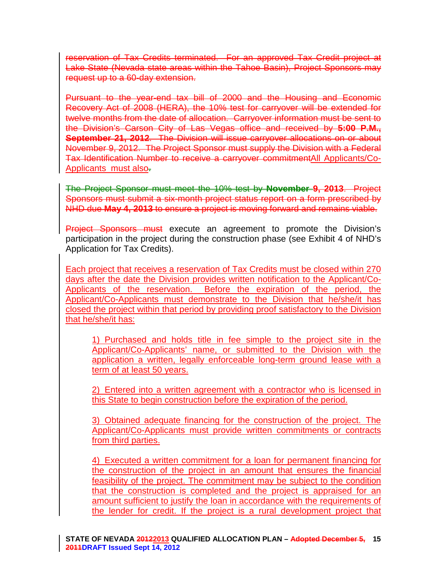reservation of Tax Credits terminated. For an approved Tax Credit project at Lake State (Nevada state areas within the Tahoe Basin), Project Sponsors may request up to a 60-day extension.

Pursuant to the year-end tax bill of 2000 and the Housing and Economic Recovery Act of 2008 (HERA), the 10% test for carryover will be extended for twelve months from the date of allocation. Carryover information must be sent to the Division's Carson City of Las Vegas office and received by **5:00 P.M., September 21, 2012**. The Division will issue carryover allocations on or about November 9, 2012. The Project Sponsor must supply the Division with a Federal Tax Identification Number to receive a carryover commitmentAll Applicants/Co-Applicants must also.

The Project Sponsor must meet the 10% test by **November 9, 2013**. Project Sponsors must submit a six-month project status report on a form prescribed by NHD due **May 4, 2013** to ensure a project is moving forward and remains viable.

**Project Sponsors must** execute an agreement to promote the Division's participation in the project during the construction phase (see Exhibit 4 of NHD's Application for Tax Credits).

Each project that receives a reservation of Tax Credits must be closed within 270 days after the date the Division provides written notification to the Applicant/Co-Applicants of the reservation. Before the expiration of the period, the Applicant/Co-Applicants must demonstrate to the Division that he/she/it has closed the project within that period by providing proof satisfactory to the Division that he/she/it has:

1) Purchased and holds title in fee simple to the project site in the Applicant/Co-Applicants' name, or submitted to the Division with the application a written, legally enforceable long-term ground lease with a term of at least 50 years.

2) Entered into a written agreement with a contractor who is licensed in this State to begin construction before the expiration of the period.

3) Obtained adequate financing for the construction of the project. The Applicant/Co-Applicants must provide written commitments or contracts from third parties.

4) Executed a written commitment for a loan for permanent financing for the construction of the project in an amount that ensures the financial feasibility of the project. The commitment may be subject to the condition that the construction is completed and the project is appraised for an amount sufficient to justify the loan in accordance with the requirements of the lender for credit. If the project is a rural development project that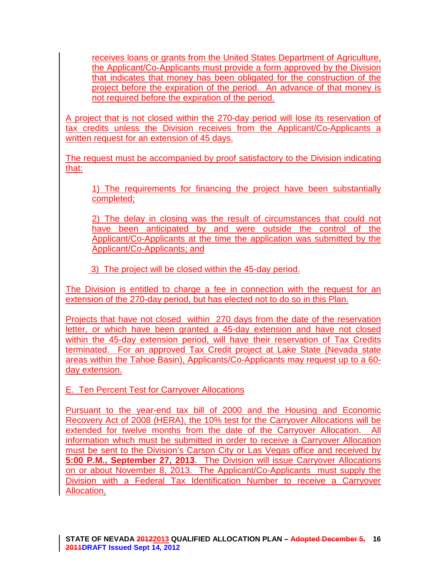receives loans or grants from the United States Department of Agriculture, the Applicant/Co-Applicants must provide a form approved by the Division that indicates that money has been obligated for the construction of the project before the expiration of the period. An advance of that money is not required before the expiration of the period.

A project that is not closed within the 270-day period will lose its reservation of tax credits unless the Division receives from the Applicant/Co-Applicants a written request for an extension of 45 days.

The request must be accompanied by proof satisfactory to the Division indicating that:

1) The requirements for financing the project have been substantially completed;

2) The delay in closing was the result of circumstances that could not have been anticipated by and were outside the control of the Applicant/Co-Applicants at the time the application was submitted by the Applicant/Co-Applicants; and

3) The project will be closed within the 45-day period.

The Division is entitled to charge a fee in connection with the request for an extension of the 270-day period, but has elected not to do so in this Plan.

Projects that have not closed within 270 days from the date of the reservation letter, or which have been granted a 45-day extension and have not closed within the 45-day extension period, will have their reservation of Tax Credits terminated. For an approved Tax Credit project at Lake State (Nevada state areas within the Tahoe Basin), Applicants/Co-Applicants may request up to a 60 day extension.

E. Ten Percent Test for Carryover Allocations

Pursuant to the year-end tax bill of 2000 and the Housing and Economic Recovery Act of 2008 (HERA), the 10% test for the Carryover Allocations will be extended for twelve months from the date of the Carryover Allocation. All information which must be submitted in order to receive a Carryover Allocation must be sent to the Division's Carson City or Las Vegas office and received by **5:00 P.M., September 27, 2013**. The Division will issue Carryover Allocations on or about November 8, 2013. The Applicant/Co-Applicants must supply the Division with a Federal Tax Identification Number to receive a Carryover Allocation.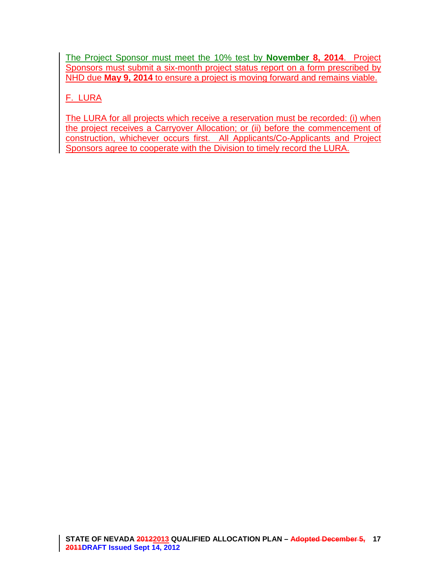The Project Sponsor must meet the 10% test by **November 8, 2014**. Project Sponsors must submit a six-month project status report on a form prescribed by NHD due **May 9, 2014** to ensure a project is moving forward and remains viable.

## F. LURA

The LURA for all projects which receive a reservation must be recorded: (i) when the project receives a Carryover Allocation; or (ii) before the commencement of construction, whichever occurs first. All Applicants/Co-Applicants and Project Sponsors agree to cooperate with the Division to timely record the LURA.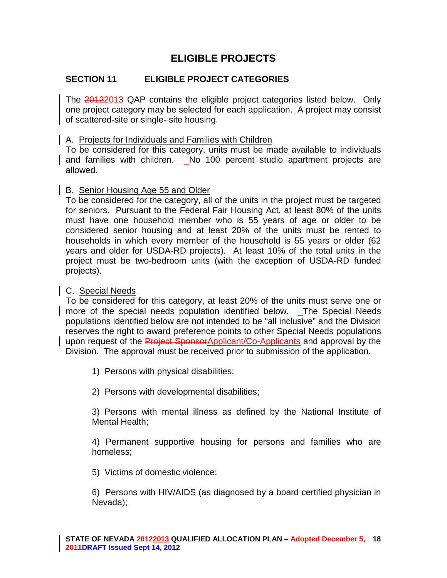# **ELIGIBLE PROJECTS**

## **SECTION 11 ELIGIBLE PROJECT CATEGORIES**

The 20122013 QAP contains the eligible project categories listed below. Only one project category may be selected for each application. A project may consist of scattered-site or single- site housing.

### A. Projects for Individuals and Families with Children

To be considered for this category, units must be made available to individuals and families with children.- No 100 percent studio apartment projects are allowed.

### B. Senior Housing Age 55 and Older

To be considered for the category, all of the units in the project must be targeted for seniors. Pursuant to the Federal Fair Housing Act, at least 80% of the units must have one household member who is 55 years of age or older to be considered senior housing and at least 20% of the units must be rented to households in which every member of the household is 55 years or older (62 years and older for USDA-RD projects). At least 10% of the total units in the project must be two-bedroom units (with the exception of USDA-RD funded projects).

### C. Special Needs

To be considered for this category, at least 20% of the units must serve one or more of the special needs population identified below.— The Special Needs populations identified below are not intended to be "all inclusive" and the Division reserves the right to award preference points to other Special Needs populations upon request of the Project SponsorApplicant/Co-Applicants and approval by the Division. The approval must be received prior to submission of the application.

1) Persons with physical disabilities;

2) Persons with developmental disabilities;

3) Persons with mental illness as defined by the National Institute of Mental Health;

4) Permanent supportive housing for persons and families who are homeless;

5) Victims of domestic violence;

6) Persons with HIV/AIDS (as diagnosed by a board certified physician in Nevada);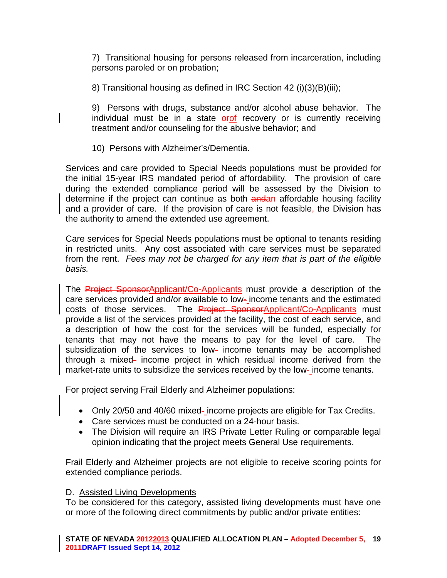7) Transitional housing for persons released from incarceration, including persons paroled or on probation;

8) Transitional housing as defined in IRC Section 42 (i)(3)(B)(iii);

9) Persons with drugs, substance and/or alcohol abuse behavior. The individual must be in a state erof recovery or is currently receiving treatment and/or counseling for the abusive behavior; and

10) Persons with Alzheimer's/Dementia.

Services and care provided to Special Needs populations must be provided for the initial 15-year IRS mandated period of affordability. The provision of care during the extended compliance period will be assessed by the Division to determine if the project can continue as both andan affordable housing facility and a provider of care. If the provision of care is not feasible, the Division has the authority to amend the extended use agreement.

Care services for Special Needs populations must be optional to tenants residing in restricted units. Any cost associated with care services must be separated from the rent. *Fees may not be charged for any item that is part of the eligible basis.*

The Project Sponsor Applicant/Co-Applicants must provide a description of the care services provided and/or available to low- income tenants and the estimated costs of those services. The **Project Sponsor**Applicant/Co-Applicants must provide a list of the services provided at the facility, the cost of each service, and a description of how the cost for the services will be funded, especially for tenants that may not have the means to pay for the level of care. The subsidization of the services to low- income tenants may be accomplished through a mixed- income project in which residual income derived from the market-rate units to subsidize the services received by the low- income tenants.

For project serving Frail Elderly and Alzheimer populations:

- Only 20/50 and 40/60 mixed- income projects are eligible for Tax Credits.
- Care services must be conducted on a 24-hour basis.
- The Division will require an IRS Private Letter Ruling or comparable legal opinion indicating that the project meets General Use requirements.

Frail Elderly and Alzheimer projects are not eligible to receive scoring points for extended compliance periods.

### D. Assisted Living Developments

To be considered for this category, assisted living developments must have one or more of the following direct commitments by public and/or private entities: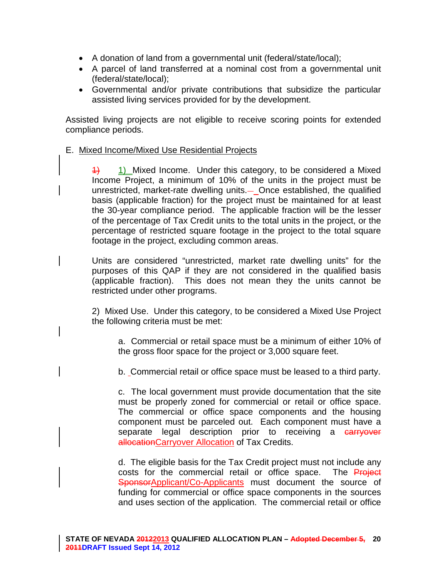- A donation of land from a governmental unit (federal/state/local);
- A parcel of land transferred at a nominal cost from a governmental unit (federal/state/local);
- Governmental and/or private contributions that subsidize the particular assisted living services provided for by the development.

Assisted living projects are not eligible to receive scoring points for extended compliance periods.

### E. Mixed Income/Mixed Use Residential Projects

1) 1) Mixed Income. Under this category, to be considered a Mixed Income Project, a minimum of 10% of the units in the project must be unrestricted, market-rate dwelling units.- Once established, the qualified basis (applicable fraction) for the project must be maintained for at least the 30-year compliance period. The applicable fraction will be the lesser of the percentage of Tax Credit units to the total units in the project, or the percentage of restricted square footage in the project to the total square footage in the project, excluding common areas.

Units are considered "unrestricted, market rate dwelling units" for the purposes of this QAP if they are not considered in the qualified basis (applicable fraction). This does not mean they the units cannot be restricted under other programs.

2) Mixed Use. Under this category, to be considered a Mixed Use Project the following criteria must be met:

a. Commercial or retail space must be a minimum of either 10% of the gross floor space for the project or 3,000 square feet.

b. Commercial retail or office space must be leased to a third party.

c. The local government must provide documentation that the site must be properly zoned for commercial or retail or office space. The commercial or office space components and the housing component must be parceled out. Each component must have a separate legal description prior to receiving a carryover allocationCarryover Allocation of Tax Credits.

d. The eligible basis for the Tax Credit project must not include any costs for the commercial retail or office space. The **Project** SponsorApplicant/Co-Applicants must document the source of funding for commercial or office space components in the sources and uses section of the application. The commercial retail or office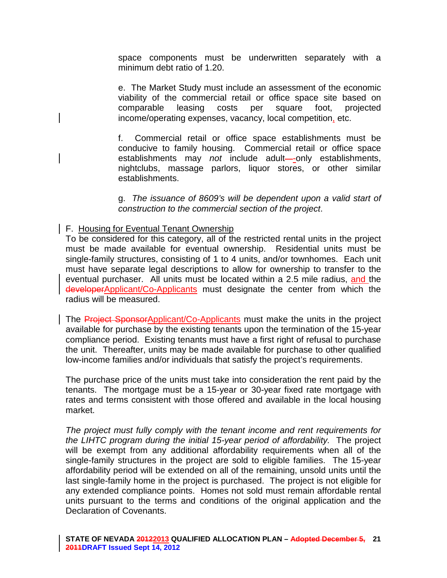space components must be underwritten separately with a minimum debt ratio of 1.20.

e. The Market Study must include an assessment of the economic viability of the commercial retail or office space site based on comparable leasing costs per square foot, projected income/operating expenses, vacancy, local competition, etc.

f. Commercial retail or office space establishments must be conducive to family housing. Commercial retail or office space establishments may *not* include adult-only establishments, nightclubs, massage parlors, liquor stores, or other similar establishments.

g. *The issuance of 8609's will be dependent upon a valid start of construction to the commercial section of the project*.

#### F. Housing for Eventual Tenant Ownership

To be considered for this category, all of the restricted rental units in the project must be made available for eventual ownership. Residential units must be single-family structures, consisting of 1 to 4 units, and/or townhomes. Each unit must have separate legal descriptions to allow for ownership to transfer to the eventual purchaser. All units must be located within a 2.5 mile radius, and the developerApplicant/Co-Applicants must designate the center from which the radius will be measured.

The Project Sponsor Applicant/Co-Applicants must make the units in the project available for purchase by the existing tenants upon the termination of the 15-year compliance period. Existing tenants must have a first right of refusal to purchase the unit. Thereafter, units may be made available for purchase to other qualified low-income families and/or individuals that satisfy the project's requirements.

The purchase price of the units must take into consideration the rent paid by the tenants. The mortgage must be a 15-year or 30-year fixed rate mortgage with rates and terms consistent with those offered and available in the local housing market.

*The project must fully comply with the tenant income and rent requirements for the LIHTC program during the initial 15-year period of affordability.* The project will be exempt from any additional affordability requirements when all of the single-family structures in the project are sold to eligible families. The 15-year affordability period will be extended on all of the remaining, unsold units until the last single-family home in the project is purchased. The project is not eligible for any extended compliance points. Homes not sold must remain affordable rental units pursuant to the terms and conditions of the original application and the Declaration of Covenants.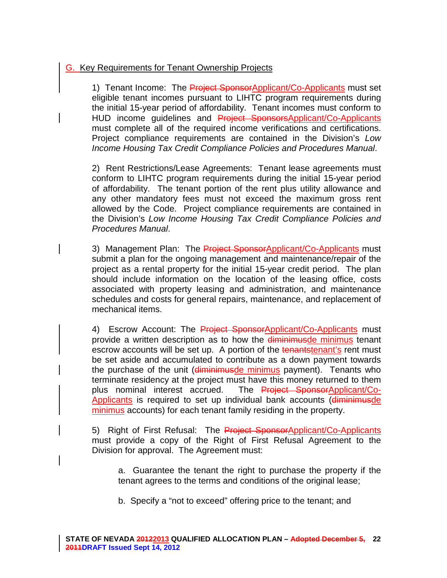## G. Key Requirements for Tenant Ownership Projects

1) Tenant Income: The Project Sponsor Applicant/Co-Applicants must set eligible tenant incomes pursuant to LIHTC program requirements during the initial 15-year period of affordability. Tenant incomes must conform to HUD income guidelines and Project SponsorsApplicant/Co-Applicants must complete all of the required income verifications and certifications. Project compliance requirements are contained in the Division's *Low Income Housing Tax Credit Compliance Policies and Procedures Manual*.

2) Rent Restrictions/Lease Agreements: Tenant lease agreements must conform to LIHTC program requirements during the initial 15-year period of affordability. The tenant portion of the rent plus utility allowance and any other mandatory fees must not exceed the maximum gross rent allowed by the Code. Project compliance requirements are contained in the Division's *Low Income Housing Tax Credit Compliance Policies and Procedures Manual*.

3) Management Plan: The Project Sponsor Applicant/Co-Applicants must submit a plan for the ongoing management and maintenance/repair of the project as a rental property for the initial 15-year credit period. The plan should include information on the location of the leasing office, costs associated with property leasing and administration, and maintenance schedules and costs for general repairs, maintenance, and replacement of mechanical items.

4) Escrow Account: The Project SponsorApplicant/Co-Applicants must provide a written description as to how the diminimusde minimus tenant escrow accounts will be set up. A portion of the tenantstenant's rent must be set aside and accumulated to contribute as a down payment towards the purchase of the unit (diminimusde minimus payment). Tenants who terminate residency at the project must have this money returned to them plus nominal interest accrued. The Project SponsorApplicant/Co-Applicants is required to set up individual bank accounts (diminimusde minimus accounts) for each tenant family residing in the property.

5) Right of First Refusal: The Project Sponsor Applicant/Co-Applicants must provide a copy of the Right of First Refusal Agreement to the Division for approval. The Agreement must:

a. Guarantee the tenant the right to purchase the property if the tenant agrees to the terms and conditions of the original lease;

b. Specify a "not to exceed" offering price to the tenant; and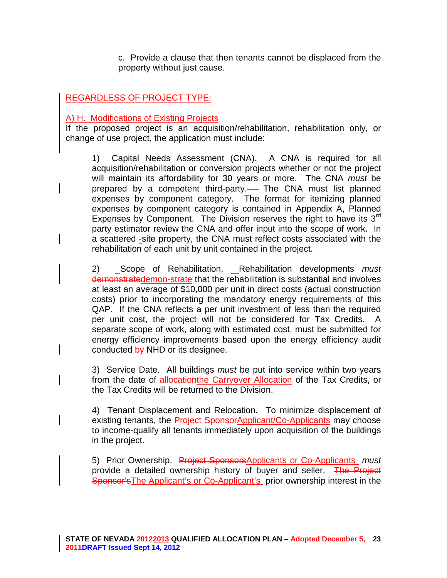c. Provide a clause that then tenants cannot be displaced from the property without just cause.

## REGARDLESS OF PROJECT TYPE:

### A) H. Modifications of Existing Projects

If the proposed project is an acquisition/rehabilitation, rehabilitation only, or change of use project, the application must include:

1) Capital Needs Assessment (CNA). A CNA is required for all acquisition/rehabilitation or conversion projects whether or not the project will maintain its affordability for 30 years or more. The CNA *must* be prepared by a competent third-party.- The CNA must list planned expenses by component category. The format for itemizing planned expenses by component category is contained in Appendix A, Planned Expenses by Component. The Division reserves the right to have its  $3<sup>rd</sup>$ party estimator review the CNA and offer input into the scope of work. In a scattered-site property, the CNA must reflect costs associated with the rehabilitation of each unit by unit contained in the project.

2) Scope of Rehabilitation. Rehabilitation developments *must* demonstratedemon-strate that the rehabilitation is substantial and involves at least an average of \$10,000 per unit in direct costs (actual construction costs) prior to incorporating the mandatory energy requirements of this QAP. If the CNA reflects a per unit investment of less than the required per unit cost, the project will not be considered for Tax Credits. A separate scope of work, along with estimated cost, must be submitted for energy efficiency improvements based upon the energy efficiency audit conducted by NHD or its designee.

3) Service Date. All buildings *must* be put into service within two years from the date of allocationthe Carryover Allocation of the Tax Credits, or the Tax Credits will be returned to the Division.

4) Tenant Displacement and Relocation. To minimize displacement of existing tenants, the **Project Sponsor**Applicant/Co-Applicants may choose to income-qualify all tenants immediately upon acquisition of the buildings in the project.

5) Prior Ownership. Project SponsorsApplicants or Co-Applicants *must* provide a detailed ownership history of buyer and seller. The Project Sponsor'sThe Applicant's or Co-Applicant's prior ownership interest in the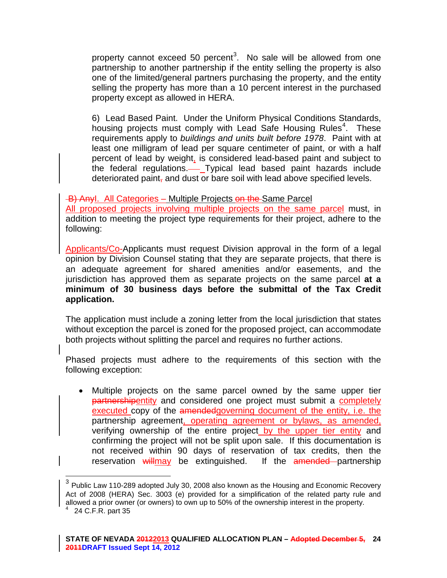property cannot exceed 50 percent<sup>[3](#page-7-0)</sup>. No sale will be allowed from one partnership to another partnership if the entity selling the property is also one of the limited/general partners purchasing the property, and the entity selling the property has more than a 10 percent interest in the purchased property except as allowed in HERA.

6) Lead Based Paint. Under the Uniform Physical Conditions Standards, housing projects must comply with Lead Safe Housing Rules<sup>[4](#page-23-0)</sup>. These requirements apply to *buildings and units built before 1978*. Paint with at least one milligram of lead per square centimeter of paint, or with a half percent of lead by weight, is considered lead-based paint and subject to the federal regulations.— Typical lead based paint hazards include deteriorated paint, and dust or bare soil with lead above specified levels.

### **B) Anyl.** All Categories – Multiple Projects on the Same Parcel

All proposed projects involving multiple projects on the same parcel must, in addition to meeting the project type requirements for their project, adhere to the following:

Applicants/Co-Applicants must request Division approval in the form of a legal opinion by Division Counsel stating that they are separate projects, that there is an adequate agreement for shared amenities and/or easements, and the jurisdiction has approved them as separate projects on the same parcel **at a minimum of 30 business days before the submittal of the Tax Credit application.**

The application must include a zoning letter from the local jurisdiction that states without exception the parcel is zoned for the proposed project, can accommodate both projects without splitting the parcel and requires no further actions.

Phased projects must adhere to the requirements of this section with the following exception:

• Multiple projects on the same parcel owned by the same upper tier partnershipentity and considered one project must submit a completely executed copy of the amendedgoverning document of the entity, i.e. the partnership agreement, operating agreement or bylaws, as amended, verifying ownership of the entire project by the upper tier entity and confirming the project will not be split upon sale. If this documentation is not received within 90 days of reservation of tax credits, then the reservation will may be extinguished. If the amended partnership

<span id="page-23-1"></span><span id="page-23-0"></span> $3$  Public Law 110-289 adopted July 30, 2008 also known as the Housing and Economic Recovery Act of 2008 (HERA) Sec. 3003 (e) provided for a simplification of the related party rule and allowed a prior owner (or owners) to own up to 50% of the ownership interest in the property.<br><sup>4</sup> 24 C.F.R. part 35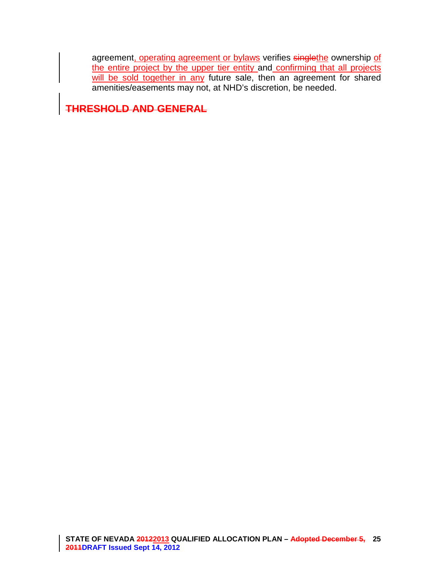agreement, operating agreement or bylaws verifies singlethe ownership of the entire project by the upper tier entity and confirming that all projects will be sold together in any future sale, then an agreement for shared amenities/easements may not, at NHD's discretion, be needed.

**THRESHOLD AND GENERAL**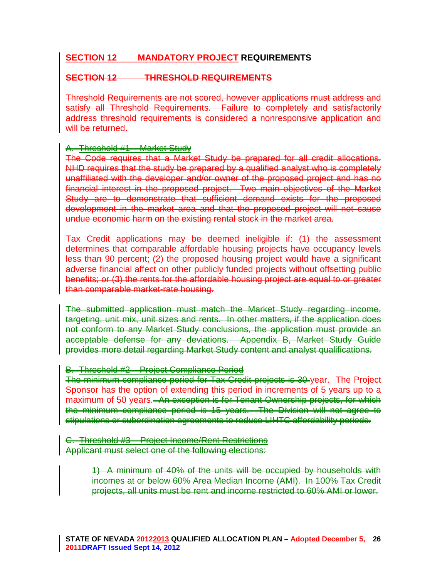## **SECTION 12 MANDATORY PROJECT REQUIREMENTS**

## **SECTION 12 THRESHOLD REQUIREMENTS**

Threshold Requirements are not scored, however applications must address and satisfy all Threshold Requirements. Failure to completely and satisfactorily address threshold requirements is considered a nonresponsive application and will be returned.

#### A. Threshold #1 – Market Study

The Code requires that a Market Study be prepared for all credit allocations. NHD requires that the study be prepared by a qualified analyst who is completely unaffiliated with the developer and/or owner of the proposed project and has no financial interest in the proposed project. Two main objectives of the Market Study are to demonstrate that sufficient demand exists for the proposed development in the market area and that the proposed project will not cause undue economic harm on the existing rental stock in the market area.

Tax Credit applications may be deemed ineligible if: (1) the assessment determines that comparable affordable housing projects have occupancy levels less than 90 percent; (2) the proposed housing project would have a significant adverse financial affect on other publicly funded projects without offsetting public benefits; or (3) the rents for the affordable housing project are equal to or greater than comparable market-rate housing.

The submitted application must match the Market Study regarding income, targeting, unit mix, unit sizes and rents. In other matters, if the application does not conform to any Market Study conclusions, the application must provide an acceptable defense for any deviations. Appendix B, Market Study Guide provides more detail regarding Market Study content and analyst qualifications.

#### B. Threshold #2 – Project Compliance Period

The minimum compliance period for Tax Credit projects is 30-year. The Project Sponsor has the option of extending this period in increments of 5 years up to a maximum of 50 years. An exception is for Tenant Ownership projects, for which the minimum compliance period is 15 years. The Division will not agree to stipulations or subordination agreements to reduce LIHTC affordability periods.

C. Threshold #3 – Project Income/Rent Restrictions Applicant must select one of the following elections:

> 1) A minimum of 40% of the units will be occupied by households with incomes at or below 60% Area Median Income (AMI). In 100% Tax Credit projects, all units must be rent and income restricted to 60% AMI or lower.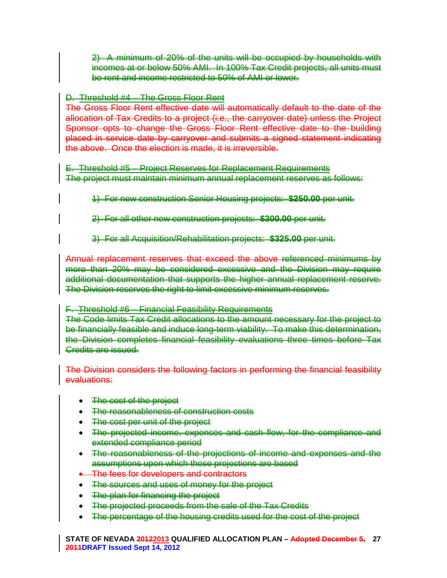2) A minimum of 20% of the units will be occupied by households with incomes at or below 50% AMI. In 100% Tax Credit projects, all units must be rent and income restricted to 50% of AMI or lower.

### D. Threshold #4 – The Gross Floor Rent

The Gross Floor Rent effective date will automatically default to the date of the allocation of Tax Credits to a project (i.e., the carryover date) unless the Project Sponsor opts to change the Gross Floor Rent effective date to the building placed in service date by carryover and submits a signed statement indicating the above. Once the election is made, it is irreversible.

E. Threshold #5 – Project Reserves for Replacement Requirements The project must maintain minimum annual replacement reserves as follows:

1) For new construction Senior Housing projects: **\$250.00** per unit.

2) For all other new construction projects: **\$300.00** per unit.

3) For all Acquisition/Rehabilitation projects: **\$325.00** per unit.

Annual replacement reserves that exceed the above referenced minimums by more than 20% may be considered excessive and the Division may require additional documentation that supports the higher annual replacement reserve. The Division reserves the right to limit excessive minimum reserves.

F. Threshold #6 – Financial Feasibility Requirements

The Code limits Tax Credit allocations to the amount necessary for the project to be financially feasible and induce long-term viability. To make this determination, the Division completes financial feasibility evaluations three times before Tax Credits are issued.

The Division considers the following factors in performing the financial feasibility evaluations:

- The cost of the project
- The reasonableness of construction costs
- The cost per unit of the project
- The projected income, expenses and cash flow, for the compliance and extended compliance period
- The reasonableness of the projections of income and expenses and the assumptions upon which those projections are based
- The fees for developers and contractors
- The sources and uses of money for the project
- The plan for financing the project
- The projected proceeds from the sale of the Tax Credits
- The percentage of the housing credits used for the cost of the project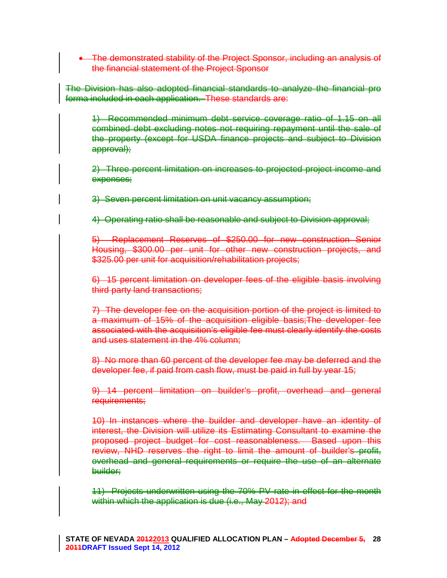• The demonstrated stability of the Project Sponsor, including an analysis of the financial statement of the Project Sponsor

The Division has also adopted financial standards to analyze the financial pro forma included in each application. These standards are:

1) Recommended minimum debt service coverage ratio of 1.15 on all combined debt excluding notes not requiring repayment until the sale of the property (except for USDA finance projects and subject to Division approval);

2) Three percent limitation on increases to projected project income and expenses;

3) Seven percent limitation on unit vacancy assumption;

4) Operating ratio shall be reasonable and subject to Division approval;

5) Replacement Reserves of \$250.00 for new construction Senior Housing, \$300.00 per unit for other new construction projects, and \$325.00 per unit for acquisition/rehabilitation projects;

6) 15 percent limitation on developer fees of the eligible basis involving third party land transactions;

7) The developer fee on the acquisition portion of the project is limited to a maximum of 15% of the acquisition eligible basis;The developer fee associated with the acquisition's eligible fee must clearly identify the costs and uses statement in the 4% column;

8) No more than 60 percent of the developer fee may be deferred and the developer fee, if paid from cash flow, must be paid in full by year 15;

9) 14 percent limitation on builder's profit, overhead and general requirements;

10) In instances where the builder and developer have an identity of interest, the Division will utilize its Estimating Consultant to examine the proposed project budget for cost reasonableness. Based upon this review, NHD reserves the right to limit the amount of builder's profit, overhead and general requirements or require the use of an alternate builder;

11) Projects underwritten using the 70% PV rate in effect for the month within which the application is due (i.e., May 2012); and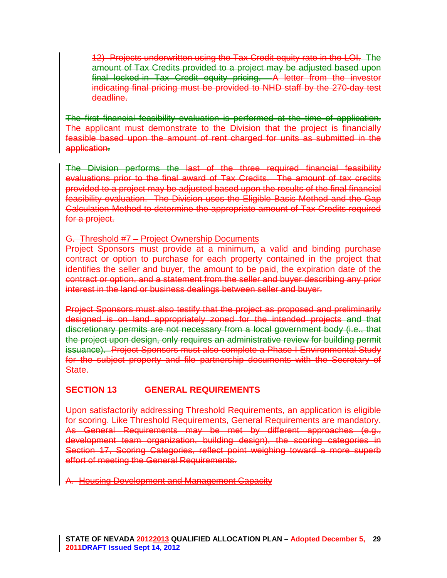12) Projects underwritten using the Tax Credit equity rate in the LOI. The amount of Tax Credits provided to a project may be adjusted based upon final locked-in Tax Credit equity pricing. A letter from the investor indicating final pricing must be provided to NHD staff by the 270-day test deadline.

The first financial feasibility evaluation is performed at the time of application. The applicant must demonstrate to the Division that the project is financially feasible based upon the amount of rent charged for units as submitted in the application.

The Division performs the last of the three required financial feasibility evaluations prior to the final award of Tax Credits. The amount of tax credits provided to a project may be adjusted based upon the results of the final financial feasibility evaluation. The Division uses the Eligible Basis Method and the Gap Calculation Method to determine the appropriate amount of Tax Credits required for a project.

G. Threshold #7 – Project Ownership Documents

Project Sponsors must provide at a minimum, a valid and binding purchase contract or option to purchase for each property contained in the project that identifies the seller and buyer, the amount to be paid, the expiration date of the contract or option, and a statement from the seller and buyer describing any prior interest in the land or business dealings between seller and buyer.

Project Sponsors must also testify that the project as proposed and preliminarily designed is on land appropriately zoned for the intended projects and that discretionary permits are not necessary from a local government body (i.e., that the project upon design, only requires an administrative review for building permit issuance). Project Sponsors must also complete a Phase I Environmental Study for the subject property and file partnership documents with the Secretary of State.

## **SECTION 13 GENERAL REQUIREMENTS**

Upon satisfactorily addressing Threshold Requirements, an application is eligible for scoring. Like Threshold Requirements, General Requirements are mandatory. As General Requirements may be met by different approaches (e.g., development team organization, building design), the scoring categories in Section 17, Scoring Categories, reflect point weighing toward a more superb effort of meeting the General Requirements.

A. Housing Development and Management Capacity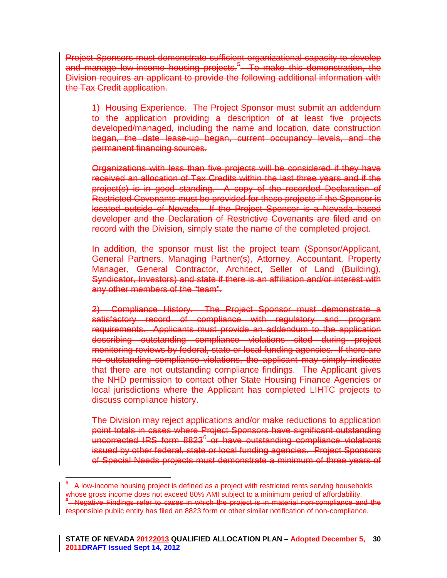Project Sponsors must demonstrate sufficient organizational capacity to develop and manage low-income housing projects.<sup>[5](#page-23-1)</sup> To make this demonstration, the Division requires an applicant to provide the following additional information with the Tax Credit application.

1) Housing Experience. The Project Sponsor must submit an addendum to the application providing a description of at least five projects developed/managed, including the name and location, date construction began, the date lease-up began, current occupancy levels, and the permanent financing sources.

Organizations with less than five projects will be considered if they have received an allocation of Tax Credits within the last three years and if the project(s) is in good standing. A copy of the recorded Declaration of Restricted Covenants must be provided for these projects if the Sponsor is located outside of Nevada. If the Project Sponsor is a Nevada based developer and the Declaration of Restrictive Covenants are filed and on record with the Division, simply state the name of the completed project.

In addition, the sponsor must list the project team (Sponsor/Applicant, General Partners, Managing Partner(s), Attorney, Accountant, Property Manager, General Contractor, Architect, Seller of Land (Building), Syndicator, Investors) and state if there is an affiliation and/or interest with any other members of the "team".

2) Compliance History. The Project Sponsor must demonstrate a satisfactory record of compliance with regulatory and program requirements. Applicants must provide an addendum to the application describing outstanding compliance violations cited during project monitoring reviews by federal, state or local funding agencies. If there are no outstanding compliance violations, the applicant may simply indicate that there are not outstanding compliance findings. The Applicant gives the NHD permission to contact other State Housing Finance Agencies or local jurisdictions where the Applicant has completed LIHTC projects to discuss compliance history.

The Division may reject applications and/or make reductions to application point totals in cases where Project Sponsors have significant outstanding uncorrected IRS form 8823<sup>[6](#page-29-0)</sup> or have outstanding compliance violations issued by other federal, state or local funding agencies. Project Sponsors of Special Needs projects must demonstrate a minimum of three years of

<span id="page-29-1"></span><span id="page-29-0"></span><sup>&</sup>lt;sup>5</sup> A low-income housing project is defined as a project with restricted rents serving households whose gross income does not exceed 80% AMI subject to a minimum period of affordability. 6 Negative Findings refer to cases in which the project is in material non-compliance and the responsible public entity has filed an 8823 form or other similar notification of non-compliance.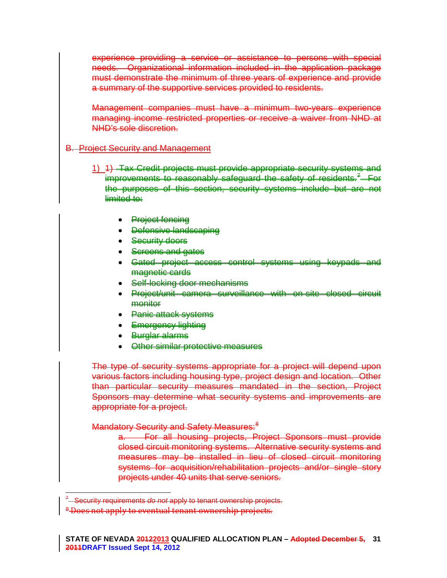experience providing a service or assistance to persons with special needs. Organizational information included in the application package must demonstrate the minimum of three years of experience and provide a summary of the supportive services provided to residents.

Management companies must have a minimum two-years experience managing income restricted properties or receive a waiver from NHD at NHD's sole discretion.

#### B. Project Security and Management

- 1) 1) Tax Credit projects must provide appropriate security systems and improvements to reasonably safeguard the safety of residents  $7$  Fer the purposes of this section, security systems include but are not limited to:
	- <del>Project fencing</del>
	- Defensive landscaping
	- Security doors
	- <del>Screens and gates</del>
	- Gated project access control systems using keypads and magnetic cards
	- Self-locking door mechanisms
	- Project/unit camera surveillance with on-site closed circuit monitor
	- <del>Panic attack systems</del>
	- <del>Emergency lighting</del>
	- Burglar alarms
	- Other similar protective measures

The type of security systems appropriate for a project will depend upon various factors including housing type, project design and location. Other than particular security measures mandated in the section, Project Sponsors may determine what security systems and improvements are appropriate for a project.

Mandatory Security and Safety Measures:<sup>[8](#page-30-0)</sup>

a. For all housing projects, Project Sponsors must provide closed circuit monitoring systems. Alternative security systems and measures may be installed in lieu of closed circuit monitoring systems for acquisition/rehabilitation projects and/or single story projects under 40 units that serve seniors.

<span id="page-30-1"></span><sup>&</sup>lt;sup>7</sup> Security requirements *do not* apply to tenant ownership projects.

<span id="page-30-0"></span><sup>&</sup>lt;sup>8</sup> Does not apply to eventual tenant ownership projects.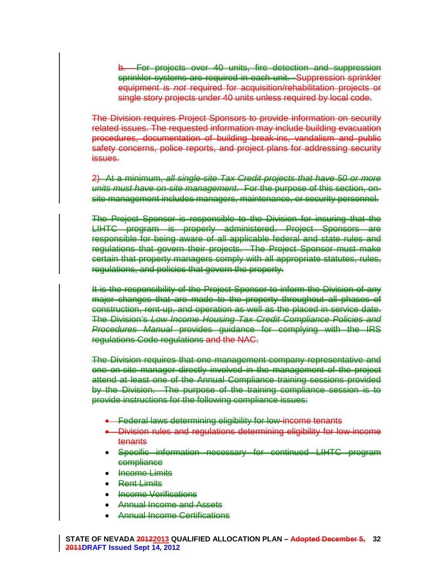b. For projects over 40 units, fire detection and suppression sprinkler systems are required in each unit. Suppression sprinkler equipment is *not* required for acquisition/rehabilitation projects or single story projects under 40 units unless required by local code.

The Division requires Project Sponsors to provide information on security related issues. The requested information may include building evacuation procedures, documentation of building break-ins, vandalism and public safety concerns, police reports, and project plans for addressing security issues.

2) At a minimum, *all single-site Tax Credit projects that have 50 or more units must have on-site management*. For the purpose of this section, onsite management includes managers, maintenance, or security personnel.

The Project Sponsor is responsible to the Division for insuring that the LIHTC program is properly administered. Project Sponsors are responsible for being aware of all applicable federal and state rules and regulations that govern their projects. The Project Sponsor must make certain that property managers comply with all appropriate statutes, rules, requlations, and policies that govern the property.

It is the responsibility of the Project Sponsor to inform the Division of any major changes that are made to the property throughout all phases of construction, rent-up, and operation as well as the placed in service date. The Division's *Low Income Housing Tax Credit Compliance Policies and Procedures Manual* provides guidance for complying with the IRS regulations Code regulations and the NAC.

The Division requires that one management company representative and one on-site manager directly involved in the management of the project attend at least one of the Annual Compliance training sessions provided by the Division. The purpose of the training compliance session is to provide instructions for the following compliance issues:

- Federal laws determining eligibility for low-income tenants
- Division rules and regulations determining eligibility for low-income **tenants**
- Specific information necessary for continued LIHTC program **compliance**
- Income Limits
- Rent Limits
- Income Verifications
- Annual Income and Assets
- Annual Income Certifications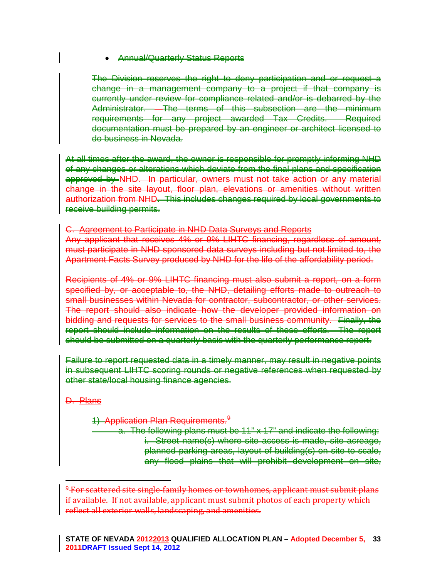### • Annual/Quarterly Status Reports

The Division reserves the right to deny participation and or request a change in a management company to a project if that company is currently under review for compliance related and/or is debarred by the Administrator. - The terms of this subsection are the minimum requirements for any project awarded Tax Credits. Required documentation must be prepared by an engineer or architect licensed to do business in Nevada.

At all times after the award, the owner is responsible for promptly informing NHD of any changes or alterations which deviate from the final plans and specification approved by NHD. In particular, owners must not take action or any material change in the site layout, floor plan, elevations or amenities without written authorization from NHD. This includes changes required by local governments to receive building permits.

C. Agreement to Participate in NHD Data Surveys and Reports

Any applicant that receives 4% or 9% LIHTC financing, regardless of amount, must participate in NHD sponsored data surveys including but not limited to, the Apartment Facts Survey produced by NHD for the life of the affordability period.

Recipients of 4% or 9% LIHTC financing must also submit a report, on a form specified by, or acceptable to, the NHD, detailing efforts made to outreach to small businesses within Nevada for contractor, subcontractor, or other services. The report should also indicate how the developer provided information on bidding and requests for services to the small business community. Finally, the report should include information on the results of these efforts. The report should be submitted on a quarterly basis with the quarterly performance report.

Failure to report requested data in a timely manner, may result in negative points in subsequent LIHTC scoring rounds or negative references when requested by other state/local housing finance agencies.

D. Plans

<del>1) Application Plan Requirements.<sup>[9](#page-30-1)</sup></del>

a. The following plans must be 11" x 17" and indicate the following: i. Street name(s) where site access is made, site acreage, planned parking areas, layout of building(s) on site to scale, any flood plains that will prohibit development on site,

<sup>&</sup>lt;sup>9</sup> For scattered site single-family homes or townhomes, applicant must submit plans if available. If not available, applicant must submit photos of each property which reflect all exterior walls, landscaping, and amenities.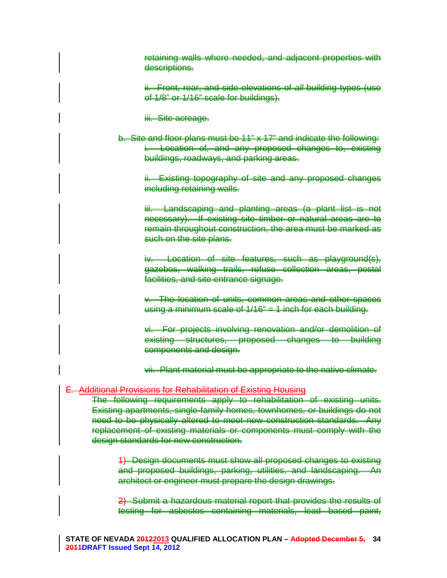retaining walls where needed, and adjacent properties with descriptions.

ii. Front, rear, and side elevations of *all* building types (use of 1/8" or 1/16" scale for buildings).

iii. Site acreage.

b. Site and floor plans must be 11" x 17" and indicate the following: Location of, and any proposed changes to, existing buildings, roadways, and parking areas.

> ii. Existing topography of site and any proposed changes including retaining walls.

> iii. Landscaping and planting areas (a plant list is not necessary). If existing site timber or natural areas are to remain throughout construction, the area must be marked as such on the site plans.

> iv. Location of site features, such as playground(s), gazebos, walking trails, refuse collection areas, postal facilities, and site entrance signage.

> v. The location of units, common areas and other spaces using a minimum scale of 1/16" = 1 inch for each building.

> vi. For projects involving renovation and/or demolition of existing structures, proposed changes to building components and design.

vii. Plant material must be appropriate to the native climate.

#### E. Additional Provisions for Rehabilitation of Existing Housing

The following requirements apply to rehabilitation of existing units. Existing apartments, single-family homes, townhomes, or buildings do not need to be physically altered to meet new construction standards. Any replacement of existing materials or components must comply with the design standards for new construction.

1) Design documents must show all proposed changes to existing and proposed buildings, parking, utilities, and landscaping. An architect or engineer must prepare the design drawings.

Submit a hazardous material report that provides the results of testing for asbestos containing materials, lead based paint,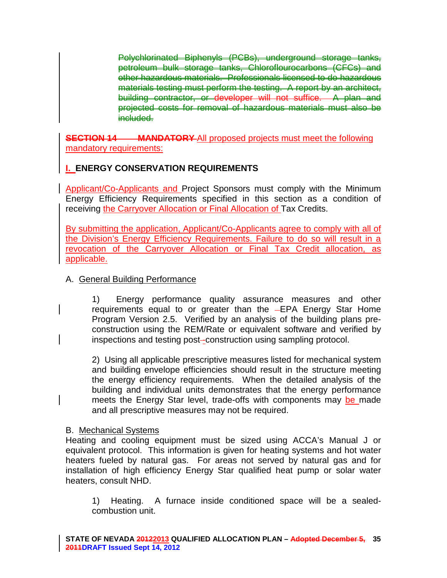Polychlorinated Biphenyls (PCBs), underground storage tanks, petroleum bulk storage tanks, Chloroflourocarbons (CFCs) and other hazardous materials. Professionals licensed to do hazardous materials testing must perform the testing. A report by an architect, building contractor, or developer will not suffice. A plan and projected costs for removal of hazardous materials must also be included.

**SECTION 14 MANDATORY** All proposed projects must meet the following mandatory requirements:

## **I. ENERGY CONSERVATION REQUIREMENTS**

Applicant/Co-Applicants and Project Sponsors must comply with the Minimum Energy Efficiency Requirements specified in this section as a condition of receiving the Carryover Allocation or Final Allocation of Tax Credits.

By submitting the application, Applicant/Co-Applicants agree to comply with all of the Division's Energy Efficiency Requirements. Failure to do so will result in a revocation of the Carryover Allocation or Final Tax Credit allocation, as applicable.

## A. General Building Performance

1) Energy performance quality assurance measures and other requirements equal to or greater than the -EPA Energy Star Home Program Version 2.5. Verified by an analysis of the building plans preconstruction using the REM/Rate or equivalent software and verified by inspections and testing post-construction using sampling protocol.

2) Using all applicable prescriptive measures listed for mechanical system and building envelope efficiencies should result in the structure meeting the energy efficiency requirements. When the detailed analysis of the building and individual units demonstrates that the energy performance meets the Energy Star level, trade-offs with components may be made and all prescriptive measures may not be required.

## B. Mechanical Systems

Heating and cooling equipment must be sized using ACCA's Manual J or equivalent protocol. This information is given for heating systems and hot water heaters fueled by natural gas. For areas not served by natural gas and for installation of high efficiency Energy Star qualified heat pump or solar water heaters, consult NHD.

1) Heating. A furnace inside conditioned space will be a sealedcombustion unit.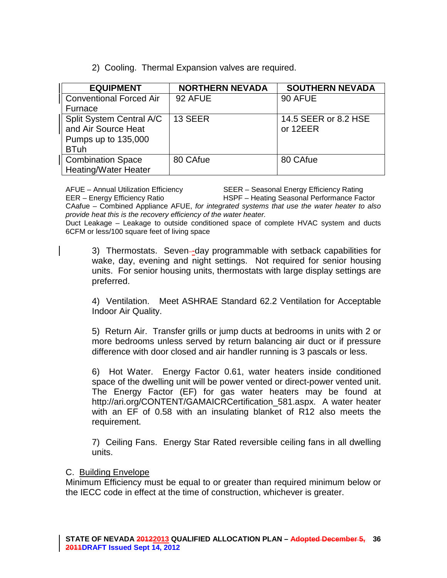2) Cooling. Thermal Expansion valves are required.

| <b>EQUIPMENT</b>               | <b>NORTHERN NEVADA</b> | <b>SOUTHERN NEVADA</b> |
|--------------------------------|------------------------|------------------------|
| <b>Conventional Forced Air</b> | 92 AFUE                | 90 AFUE                |
| <b>Furnace</b>                 |                        |                        |
| Split System Central A/C       | 13 SEER                | 14.5 SEER or 8.2 HSE   |
| and Air Source Heat            |                        | or 12EER               |
| Pumps up to 135,000            |                        |                        |
| <b>BTuh</b>                    |                        |                        |
| <b>Combination Space</b>       | 80 CAfue               | 80 CAfue               |
| <b>Heating/Water Heater</b>    |                        |                        |

AFUE – Annual Utilization Efficiency SEER – Seasonal Energy Efficiency Rating<br>EER – Energy Efficiency Ratio Station State HSPF – Heating Seasonal Performance Fac HSPF – Heating Seasonal Performance Factor CAafue – Combined Appliance AFUE, *for integrated systems that use the water heater to also provide heat this is the recovery efficiency of the water heater.* Duct Leakage – Leakage to outside conditioned space of complete HVAC system and ducts

6CFM or less/100 square feet of living space

3) Thermostats. Seven--day programmable with setback capabilities for wake, day, evening and night settings. Not required for senior housing units. For senior housing units, thermostats with large display settings are preferred.

4) Ventilation. Meet ASHRAE Standard 62.2 Ventilation for Acceptable Indoor Air Quality.

5) Return Air. Transfer grills or jump ducts at bedrooms in units with 2 or more bedrooms unless served by return balancing air duct or if pressure difference with door closed and air handler running is 3 pascals or less.

6) Hot Water. Energy Factor 0.61, water heaters inside conditioned space of the dwelling unit will be power vented or direct-power vented unit. The Energy Factor (EF) for gas water heaters may be found at http://ari.org/CONTENT/GAMAICRCertification 581.aspx. A water heater with an EF of 0.58 with an insulating blanket of R12 also meets the requirement.

7) Ceiling Fans. Energy Star Rated reversible ceiling fans in all dwelling units.

### C. Building Envelope

Minimum Efficiency must be equal to or greater than required minimum below or the IECC code in effect at the time of construction, whichever is greater.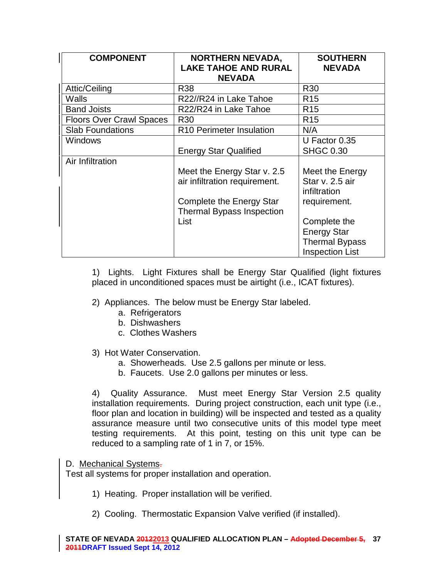| <b>COMPONENT</b>                | <b>NORTHERN NEVADA,</b><br><b>LAKE TAHOE AND RURAL</b><br><b>NEVADA</b> | <b>SOUTHERN</b><br><b>NEVADA</b>   |
|---------------------------------|-------------------------------------------------------------------------|------------------------------------|
| Attic/Ceiling                   | R <sub>38</sub>                                                         | R <sub>30</sub>                    |
| Walls                           | R22//R24 in Lake Tahoe                                                  | R <sub>15</sub>                    |
| <b>Band Joists</b>              | R22/R24 in Lake Tahoe                                                   | R <sub>15</sub>                    |
| <b>Floors Over Crawl Spaces</b> | R <sub>30</sub>                                                         | R <sub>15</sub>                    |
| <b>Slab Foundations</b>         | R <sub>10</sub> Perimeter Insulation                                    | N/A                                |
| Windows                         | <b>Energy Star Qualified</b>                                            | U Factor 0.35<br><b>SHGC 0.30</b>  |
| Air Infiltration                |                                                                         |                                    |
|                                 | Meet the Energy Star v. 2.5<br>air infiltration requirement.            | Meet the Energy<br>Star v. 2.5 air |
|                                 |                                                                         | infiltration                       |
|                                 | Complete the Energy Star<br><b>Thermal Bypass Inspection</b>            | requirement.                       |
|                                 | List                                                                    | Complete the                       |
|                                 |                                                                         | <b>Energy Star</b>                 |
|                                 |                                                                         | <b>Thermal Bypass</b>              |
|                                 |                                                                         | <b>Inspection List</b>             |

1) Lights. Light Fixtures shall be Energy Star Qualified (light fixtures placed in unconditioned spaces must be airtight (i.e., ICAT fixtures).

- 2) Appliances. The below must be Energy Star labeled.
	- a. Refrigerators
	- b. Dishwashers
	- c. Clothes Washers
- 3) Hot Water Conservation.
	- a. Showerheads. Use 2.5 gallons per minute or less.
	- b. Faucets. Use 2.0 gallons per minutes or less.

4) Quality Assurance. Must meet Energy Star Version 2.5 quality installation requirements. During project construction, each unit type (i.e., floor plan and location in building) will be inspected and tested as a quality assurance measure until two consecutive units of this model type meet testing requirements. At this point, testing on this unit type can be reduced to a sampling rate of 1 in 7, or 15%.

#### D. Mechanical Systems.

Test all systems for proper installation and operation.

- 1) Heating. Proper installation will be verified.
- 2) Cooling. Thermostatic Expansion Valve verified (if installed).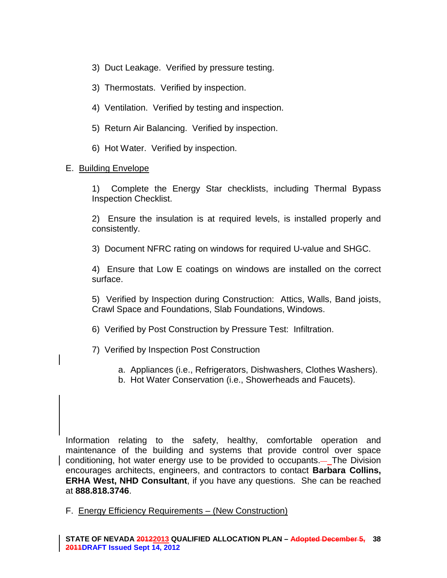- 3) Duct Leakage. Verified by pressure testing.
- 3) Thermostats. Verified by inspection.
- 4) Ventilation. Verified by testing and inspection.
- 5) Return Air Balancing. Verified by inspection.
- 6) Hot Water. Verified by inspection.

## E. Building Envelope

1) Complete the Energy Star checklists, including Thermal Bypass Inspection Checklist.

2) Ensure the insulation is at required levels, is installed properly and consistently.

3) Document NFRC rating on windows for required U-value and SHGC.

4) Ensure that Low E coatings on windows are installed on the correct surface.

5) Verified by Inspection during Construction: Attics, Walls, Band joists, Crawl Space and Foundations, Slab Foundations, Windows.

6) Verified by Post Construction by Pressure Test: Infiltration.

- 7) Verified by Inspection Post Construction
	- a. Appliances (i.e., Refrigerators, Dishwashers, Clothes Washers).
	- b. Hot Water Conservation (i.e., Showerheads and Faucets).

Information relating to the safety, healthy, comfortable operation and maintenance of the building and systems that provide control over space conditioning, hot water energy use to be provided to occupants.- The Division encourages architects, engineers, and contractors to contact **Barbara Collins, ERHA West, NHD Consultant**, if you have any questions. She can be reached at **888.818.3746**.

F. Energy Efficiency Requirements – (New Construction)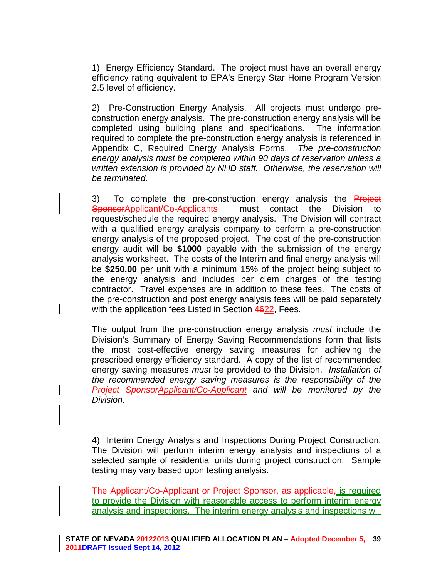1) Energy Efficiency Standard. The project must have an overall energy efficiency rating equivalent to EPA's Energy Star Home Program Version 2.5 level of efficiency.

2) Pre-Construction Energy Analysis. All projects must undergo preconstruction energy analysis. The pre-construction energy analysis will be completed using building plans and specifications. The information required to complete the pre-construction energy analysis is referenced in Appendix C, Required Energy Analysis Forms. *The pre-construction energy analysis must be completed within 90 days of reservation unless a written extension is provided by NHD staff. Otherwise, the reservation will be terminated.* 

3) To complete the pre-construction energy analysis the **Project** SponsorApplicant/Co-Applicants must contact the Division to request/schedule the required energy analysis. The Division will contract with a qualified energy analysis company to perform a pre-construction energy analysis of the proposed project. The cost of the pre-construction energy audit will be **\$1000** payable with the submission of the energy analysis worksheet. The costs of the Interim and final energy analysis will be **\$250.00** per unit with a minimum 15% of the project being subject to the energy analysis and includes per diem charges of the testing contractor. Travel expenses are in addition to these fees. The costs of the pre-construction and post energy analysis fees will be paid separately with the application fees Listed in Section 4622, Fees.

The output from the pre-construction energy analysis *must* include the Division's Summary of Energy Saving Recommendations form that lists the most cost-effective energy saving measures for achieving the prescribed energy efficiency standard. A copy of the list of recommended energy saving measures *must* be provided to the Division. *Installation of the recommended energy saving measures is the responsibility of the Project SponsorApplicant/Co-Applicant and will be monitored by the Division.* 

4) Interim Energy Analysis and Inspections During Project Construction. The Division will perform interim energy analysis and inspections of a selected sample of residential units during project construction. Sample testing may vary based upon testing analysis.

The Applicant/Co-Applicant or Project Sponsor, as applicable, is required to provide the Division with reasonable access to perform interim energy analysis and inspections. The interim energy analysis and inspections will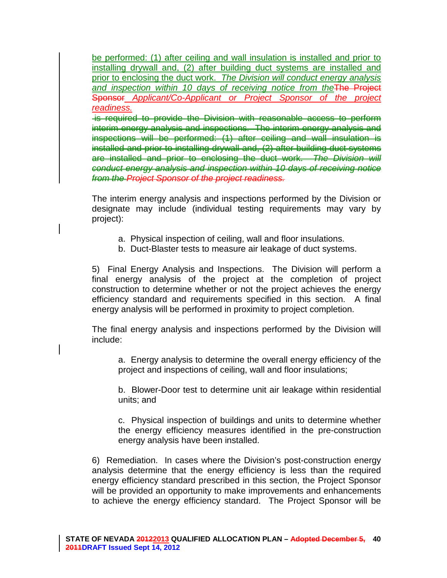be performed: (1) after ceiling and wall insulation is installed and prior to installing drywall and, (2) after building duct systems are installed and prior to enclosing the duct work. *The Division will conduct energy analysis and inspection within 10 days of receiving notice from the*The Project Sponsor *Applicant/Co-Applicant or Project Sponsor of the project readiness.*

is required to provide the Division with reasonable access to perform interim energy analysis and inspections. The interim energy analysis and inspections will be performed: (1) after ceiling and wall insulation is installed and prior to installing drywall and, (2) after building duct systems are installed and prior to enclosing the duct work. *The Division will conduct energy analysis and inspection within 10 days of receiving notice from the Project Sponsor of the project readiness.*

The interim energy analysis and inspections performed by the Division or designate may include (individual testing requirements may vary by project):

- a. Physical inspection of ceiling, wall and floor insulations.
- b. Duct-Blaster tests to measure air leakage of duct systems.

5) Final Energy Analysis and Inspections. The Division will perform a final energy analysis of the project at the completion of project construction to determine whether or not the project achieves the energy efficiency standard and requirements specified in this section. A final energy analysis will be performed in proximity to project completion.

The final energy analysis and inspections performed by the Division will include:

a. Energy analysis to determine the overall energy efficiency of the project and inspections of ceiling, wall and floor insulations;

b. Blower-Door test to determine unit air leakage within residential units; and

c. Physical inspection of buildings and units to determine whether the energy efficiency measures identified in the pre-construction energy analysis have been installed.

6) Remediation. In cases where the Division's post-construction energy analysis determine that the energy efficiency is less than the required energy efficiency standard prescribed in this section, the Project Sponsor will be provided an opportunity to make improvements and enhancements to achieve the energy efficiency standard. The Project Sponsor will be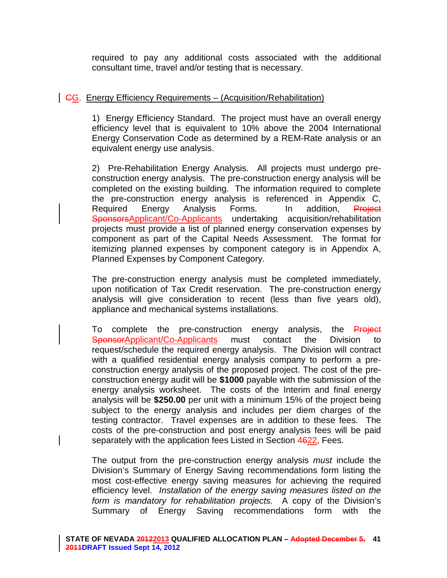required to pay any additional costs associated with the additional consultant time, travel and/or testing that is necessary.

## GG. Energy Efficiency Requirements – (Acquisition/Rehabilitation)

1) Energy Efficiency Standard. The project must have an overall energy efficiency level that is equivalent to 10% above the 2004 International Energy Conservation Code as determined by a REM-Rate analysis or an equivalent energy use analysis.

2) Pre-Rehabilitation Energy Analysis. All projects must undergo preconstruction energy analysis. The pre-construction energy analysis will be completed on the existing building. The information required to complete the pre-construction energy analysis is referenced in Appendix C, Required Energy Analysis Forms. In addition, Project SponsorsApplicant/Co-Applicants undertaking acquisition/rehabilitation projects must provide a list of planned energy conservation expenses by component as part of the Capital Needs Assessment. The format for itemizing planned expenses by component category is in Appendix A, Planned Expenses by Component Category.

The pre-construction energy analysis must be completed immediately, upon notification of Tax Credit reservation. The pre-construction energy analysis will give consideration to recent (less than five years old), appliance and mechanical systems installations.

To complete the pre-construction energy analysis, the Project SponsorApplicant/Co-Applicants must contact the Division to request/schedule the required energy analysis. The Division will contract with a qualified residential energy analysis company to perform a preconstruction energy analysis of the proposed project. The cost of the preconstruction energy audit will be **\$1000** payable with the submission of the energy analysis worksheet. The costs of the Interim and final energy analysis will be **\$250.00** per unit with a minimum 15% of the project being subject to the energy analysis and includes per diem charges of the testing contractor. Travel expenses are in addition to these fees. The costs of the pre-construction and post energy analysis fees will be paid separately with the application fees Listed in Section 4622, Fees.

The output from the pre-construction energy analysis *must* include the Division's Summary of Energy Saving recommendations form listing the most cost-effective energy saving measures for achieving the required efficiency level. *Installation of the energy saving measures listed on the form is mandatory for rehabilitation projects.* A copy of the Division's Summary of Energy Saving recommendations form with the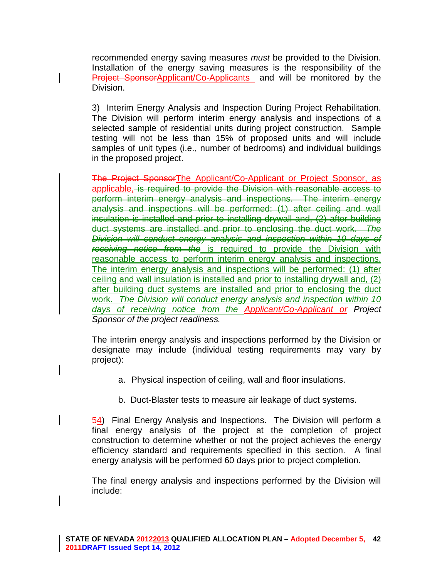recommended energy saving measures *must* be provided to the Division. Installation of the energy saving measures is the responsibility of the Project SponsorApplicant/Co-Applicants and will be monitored by the Division.

3) Interim Energy Analysis and Inspection During Project Rehabilitation. The Division will perform interim energy analysis and inspections of a selected sample of residential units during project construction. Sample testing will not be less than 15% of proposed units and will include samples of unit types (i.e., number of bedrooms) and individual buildings in the proposed project.

The Project SponsorThe Applicant/Co-Applicant or Project Sponsor, as applicable, is required to provide the Division with reasonable access to perform interim energy analysis and inspections. The interim energy analysis and inspections will be performed: (1) after ceiling and wall insulation is installed and prior to installing drywall and, (2) after building duct systems are installed and prior to enclosing the duct work. *The Division will conduct energy analysis and inspection within 10 days of receiving notice from the* is required to provide the Division with reasonable access to perform interim energy analysis and inspections. The interim energy analysis and inspections will be performed: (1) after ceiling and wall insulation is installed and prior to installing drywall and, (2) after building duct systems are installed and prior to enclosing the duct work. *The Division will conduct energy analysis and inspection within 10 days of receiving notice from the Applicant/Co-Applicant or Project Sponsor of the project readiness.*

The interim energy analysis and inspections performed by the Division or designate may include (individual testing requirements may vary by project):

- a. Physical inspection of ceiling, wall and floor insulations.
- b. Duct-Blaster tests to measure air leakage of duct systems.

54) Final Energy Analysis and Inspections. The Division will perform a final energy analysis of the project at the completion of project construction to determine whether or not the project achieves the energy efficiency standard and requirements specified in this section. A final energy analysis will be performed 60 days prior to project completion.

The final energy analysis and inspections performed by the Division will include: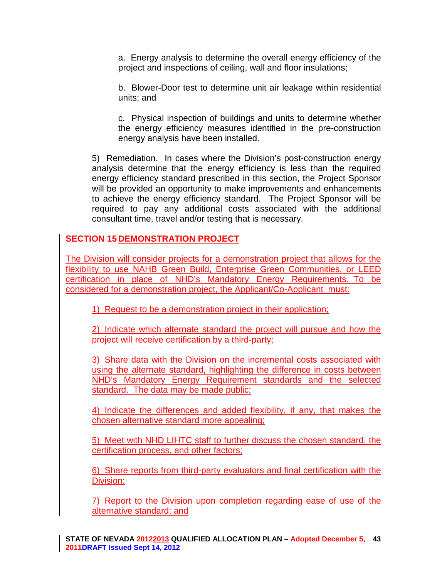a. Energy analysis to determine the overall energy efficiency of the project and inspections of ceiling, wall and floor insulations;

b. Blower-Door test to determine unit air leakage within residential units; and

c. Physical inspection of buildings and units to determine whether the energy efficiency measures identified in the pre-construction energy analysis have been installed.

5) Remediation. In cases where the Division's post-construction energy analysis determine that the energy efficiency is less than the required energy efficiency standard prescribed in this section, the Project Sponsor will be provided an opportunity to make improvements and enhancements to achieve the energy efficiency standard. The Project Sponsor will be required to pay any additional costs associated with the additional consultant time, travel and/or testing that is necessary.

## **SECTION 15 DEMONSTRATION PROJECT**

The Division will consider projects for a demonstration project that allows for the flexibility to use NAHB Green Build, Enterprise Green Communities, or LEED certification in place of NHD's Mandatory Energy Requirements. To be considered for a demonstration project, the Applicant/Co-Applicant must:

1) Request to be a demonstration project in their application;

2) Indicate which alternate standard the project will pursue and how the project will receive certification by a third-party;

3) Share data with the Division on the incremental costs associated with using the alternate standard, highlighting the difference in costs between NHD's Mandatory Energy Requirement standards and the selected standard. The data may be made public;

4) Indicate the differences and added flexibility, if any, that makes the chosen alternative standard more appealing;

5) Meet with NHD LIHTC staff to further discuss the chosen standard, the certification process, and other factors;

6) Share reports from third-party evaluators and final certification with the Division;

7) Report to the Division upon completion regarding ease of use of the alternative standard; and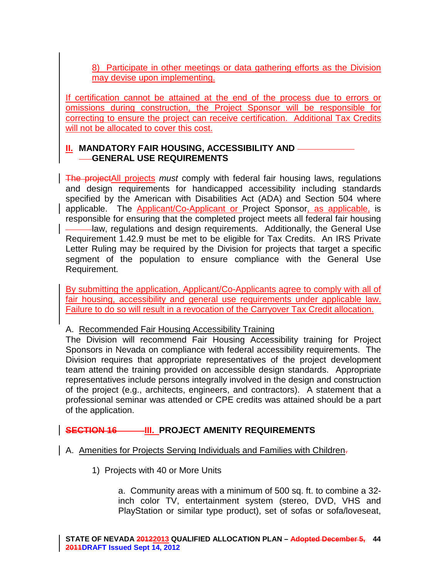8) Participate in other meetings or data gathering efforts as the Division may devise upon implementing.

If certification cannot be attained at the end of the process due to errors or omissions during construction, the Project Sponsor will be responsible for correcting to ensure the project can receive certification. Additional Tax Credits will not be allocated to cover this cost.

## **II. MANDATORY FAIR HOUSING, ACCESSIBILITY AND GENERAL USE REQUIREMENTS**

The projectAll projects *must* comply with federal fair housing laws, regulations and design requirements for handicapped accessibility including standards specified by the American with Disabilities Act (ADA) and Section 504 where applicable. The Applicant/Co-Applicant or Project Sponsor, as applicable, is responsible for ensuring that the completed project meets all federal fair housing law, regulations and design requirements. Additionally, the General Use Requirement 1.42.9 must be met to be eligible for Tax Credits. An IRS Private Letter Ruling may be required by the Division for projects that target a specific segment of the population to ensure compliance with the General Use Requirement.

By submitting the application, Applicant/Co-Applicants agree to comply with all of fair housing, accessibility and general use requirements under applicable law. Failure to do so will result in a revocation of the Carryover Tax Credit allocation.

#### A. Recommended Fair Housing Accessibility Training

The Division will recommend Fair Housing Accessibility training for Project Sponsors in Nevada on compliance with federal accessibility requirements. The Division requires that appropriate representatives of the project development team attend the training provided on accessible design standards. Appropriate representatives include persons integrally involved in the design and construction of the project (e.g., architects, engineers, and contractors). A statement that a professional seminar was attended or CPE credits was attained should be a part of the application.

## **SECTION 16 III. PROJECT AMENITY REQUIREMENTS**

## A. Amenities for Projects Serving Individuals and Families with Children.

1) Projects with 40 or More Units

a. Community areas with a minimum of 500 sq. ft. to combine a 32 inch color TV, entertainment system (stereo, DVD, VHS and PlayStation or similar type product), set of sofas or sofa/loveseat,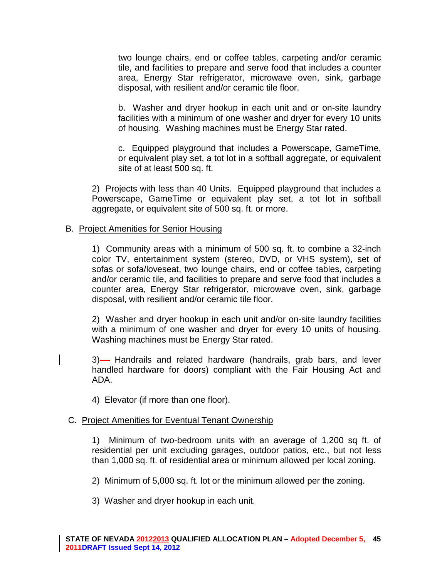two lounge chairs, end or coffee tables, carpeting and/or ceramic tile, and facilities to prepare and serve food that includes a counter area, Energy Star refrigerator, microwave oven, sink, garbage disposal, with resilient and/or ceramic tile floor.

b. Washer and dryer hookup in each unit and or on-site laundry facilities with a minimum of one washer and dryer for every 10 units of housing. Washing machines must be Energy Star rated.

c. Equipped playground that includes a Powerscape, GameTime, or equivalent play set, a tot lot in a softball aggregate, or equivalent site of at least 500 sq. ft.

2) Projects with less than 40 Units. Equipped playground that includes a Powerscape, GameTime or equivalent play set, a tot lot in softball aggregate, or equivalent site of 500 sq. ft. or more.

#### B. Project Amenities for Senior Housing

1) Community areas with a minimum of 500 sq. ft. to combine a 32-inch color TV, entertainment system (stereo, DVD, or VHS system), set of sofas or sofa/loveseat, two lounge chairs, end or coffee tables, carpeting and/or ceramic tile, and facilities to prepare and serve food that includes a counter area, Energy Star refrigerator, microwave oven, sink, garbage disposal, with resilient and/or ceramic tile floor.

2) Washer and dryer hookup in each unit and/or on-site laundry facilities with a minimum of one washer and dryer for every 10 units of housing. Washing machines must be Energy Star rated.

3) Handrails and related hardware (handrails, grab bars, and lever handled hardware for doors) compliant with the Fair Housing Act and ADA.

4) Elevator (if more than one floor).

#### C. Project Amenities for Eventual Tenant Ownership

1) Minimum of two-bedroom units with an average of 1,200 sq ft. of residential per unit excluding garages, outdoor patios, etc., but not less than 1,000 sq. ft. of residential area or minimum allowed per local zoning.

2) Minimum of 5,000 sq. ft. lot or the minimum allowed per the zoning.

3) Washer and dryer hookup in each unit.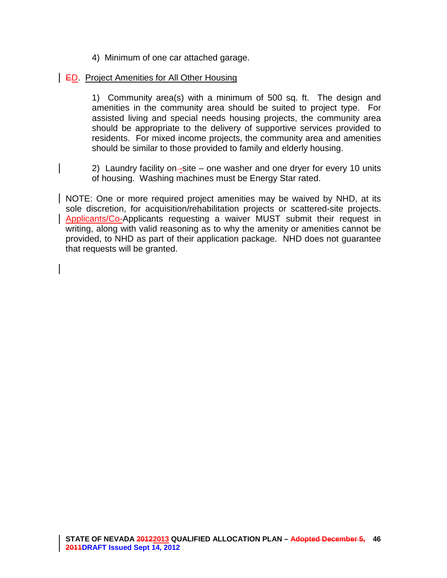4) Minimum of one car attached garage.

## **ED.** Project Amenities for All Other Housing

1) Community area(s) with a minimum of 500 sq. ft. The design and amenities in the community area should be suited to project type. For assisted living and special needs housing projects, the community area should be appropriate to the delivery of supportive services provided to residents. For mixed income projects, the community area and amenities should be similar to those provided to family and elderly housing.

2) Laundry facility on-site – one washer and one dryer for every 10 units of housing. Washing machines must be Energy Star rated.

NOTE: One or more required project amenities may be waived by NHD, at its sole discretion, for acquisition/rehabilitation projects or scattered-site projects. **Applicants/Co-Applicants requesting a waiver MUST submit their request in** writing, along with valid reasoning as to why the amenity or amenities cannot be provided, to NHD as part of their application package. NHD does not guarantee that requests will be granted.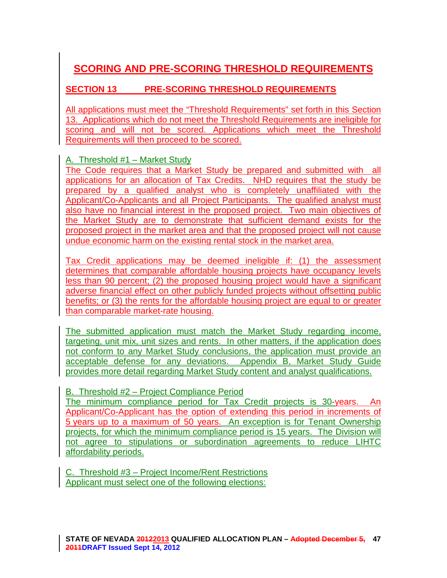# **SCORING AND PRE-SCORING THRESHOLD REQUIREMENTS**

## **SECTION 13 PRE-SCORING THRESHOLD REQUIREMENTS**

All applications must meet the "Threshold Requirements" set forth in this Section 13. Applications which do not meet the Threshold Requirements are ineligible for scoring and will not be scored. Applications which meet the Threshold Requirements will then proceed to be scored.

## A. Threshold #1 – Market Study

The Code requires that a Market Study be prepared and submitted with all applications for an allocation of Tax Credits. NHD requires that the study be prepared by a qualified analyst who is completely unaffiliated with the Applicant/Co-Applicants and all Project Participants. The qualified analyst must also have no financial interest in the proposed project. Two main objectives of the Market Study are to demonstrate that sufficient demand exists for the proposed project in the market area and that the proposed project will not cause undue economic harm on the existing rental stock in the market area.

Tax Credit applications may be deemed ineligible if: (1) the assessment determines that comparable affordable housing projects have occupancy levels less than 90 percent; (2) the proposed housing project would have a significant adverse financial effect on other publicly funded projects without offsetting public benefits; or (3) the rents for the affordable housing project are equal to or greater than comparable market-rate housing.

The submitted application must match the Market Study regarding income, targeting, unit mix, unit sizes and rents. In other matters, if the application does not conform to any Market Study conclusions, the application must provide an acceptable defense for any deviations. Appendix B, Market Study Guide provides more detail regarding Market Study content and analyst qualifications.

#### B. Threshold #2 – Project Compliance Period

The minimum compliance period for Tax Credit projects is 30-years. An Applicant/Co-Applicant has the option of extending this period in increments of 5 years up to a maximum of 50 years. An exception is for Tenant Ownership projects, for which the minimum compliance period is 15 years. The Division will not agree to stipulations or subordination agreements to reduce LIHTC affordability periods.

C. Threshold #3 – Project Income/Rent Restrictions Applicant must select one of the following elections: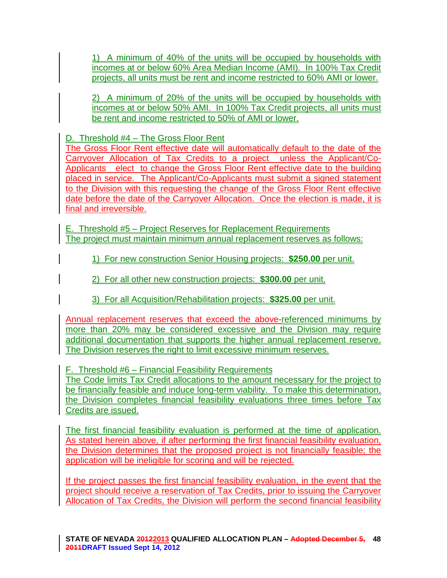1) A minimum of 40% of the units will be occupied by households with incomes at or below 60% Area Median Income (AMI). In 100% Tax Credit projects, all units must be rent and income restricted to 60% AMI or lower.

2) A minimum of 20% of the units will be occupied by households with incomes at or below 50% AMI. In 100% Tax Credit projects, all units must be rent and income restricted to 50% of AMI or lower.

D. Threshold #4 - The Gross Floor Rent

The Gross Floor Rent effective date will automatically default to the date of the Carryover Allocation of Tax Credits to a project unless the Applicant/Co-Applicants elect to change the Gross Floor Rent effective date to the building placed in service. The Applicant/Co-Applicants must submit a signed statement to the Division with this requesting the change of the Gross Floor Rent effective date before the date of the Carryover Allocation. Once the election is made, it is final and irreversible.

E. Threshold #5 – Project Reserves for Replacement Requirements The project must maintain minimum annual replacement reserves as follows:

1) For new construction Senior Housing projects: **\$250.00** per unit.

2) For all other new construction projects: **\$300.00** per unit.

3) For all Acquisition/Rehabilitation projects: **\$325.00** per unit.

Annual replacement reserves that exceed the above-referenced minimums by more than 20% may be considered excessive and the Division may require additional documentation that supports the higher annual replacement reserve. The Division reserves the right to limit excessive minimum reserves.

F. Threshold #6 – Financial Feasibility Requirements

The Code limits Tax Credit allocations to the amount necessary for the project to be financially feasible and induce long-term viability. To make this determination, the Division completes financial feasibility evaluations three times before Tax Credits are issued.

The first financial feasibility evaluation is performed at the time of application. As stated herein above, if after performing the first financial feasibility evaluation, the Division determines that the proposed project is not financially feasible; the application will be ineligible for scoring and will be rejected.

If the project passes the first financial feasibility evaluation, in the event that the project should receive a reservation of Tax Credits, prior to issuing the Carryover Allocation of Tax Credits, the Division will perform the second financial feasibility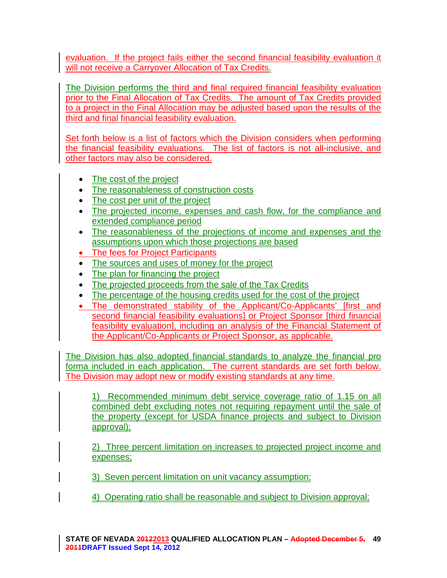evaluation. If the project fails either the second financial feasibility evaluation it will not receive a Carryover Allocation of Tax Credits.

The Division performs the third and final required financial feasibility evaluation prior to the Final Allocation of Tax Credits. The amount of Tax Credits provided to a project in the Final Allocation may be adjusted based upon the results of the third and final financial feasibility evaluation.

Set forth below is a list of factors which the Division considers when performing the financial feasibility evaluations. The list of factors is not all-inclusive, and other factors may also be considered.

- The cost of the project
- The reasonableness of construction costs
- The cost per unit of the project
- The projected income, expenses and cash flow, for the compliance and extended compliance period
- The reasonableness of the projections of income and expenses and the assumptions upon which those projections are based
- The fees for Project Participants
- The sources and uses of money for the project
- The plan for financing the project
- The projected proceeds from the sale of the Tax Credits
- The percentage of the housing credits used for the cost of the project

• The demonstrated stability of the Applicant/Co-Applicants' [first and second financial feasibility evaluations] or Project Sponsor [third financial feasibility evaluation], including an analysis of the Financial Statement of the Applicant/Co-Applicants or Project Sponsor, as applicable.

The Division has also adopted financial standards to analyze the financial pro forma included in each application. The current standards are set forth below. The Division may adopt new or modify existing standards at any time.

1) Recommended minimum debt service coverage ratio of 1.15 on all combined debt excluding notes not requiring repayment until the sale of the property (except for USDA finance projects and subject to Division approval);

2) Three percent limitation on increases to projected project income and expenses;

3) Seven percent limitation on unit vacancy assumption;

4) Operating ratio shall be reasonable and subject to Division approval;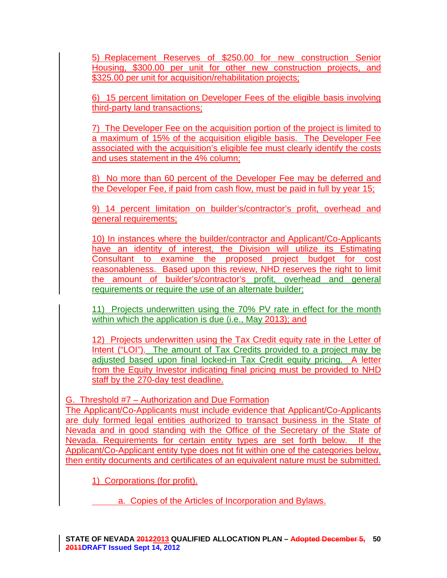5) Replacement Reserves of \$250.00 for new construction Senior Housing, \$300.00 per unit for other new construction projects, and \$325.00 per unit for acquisition/rehabilitation projects;

6) 15 percent limitation on Developer Fees of the eligible basis involving third-party land transactions;

7) The Developer Fee on the acquisition portion of the project is limited to a maximum of 15% of the acquisition eligible basis. The Developer Fee associated with the acquisition's eligible fee must clearly identify the costs and uses statement in the 4% column;

8) No more than 60 percent of the Developer Fee may be deferred and the Developer Fee, if paid from cash flow, must be paid in full by year 15;

9) 14 percent limitation on builder's/contractor's profit, overhead and general requirements;

10) In instances where the builder/contractor and Applicant/Co-Applicants have an identity of interest, the Division will utilize its Estimating Consultant to examine the proposed project budget for cost reasonableness. Based upon this review, NHD reserves the right to limit the amount of builder's/contractor's profit, overhead and general requirements or require the use of an alternate builder;

11) Projects underwritten using the 70% PV rate in effect for the month within which the application is due (i.e., May 2013); and

12) Projects underwritten using the Tax Credit equity rate in the Letter of Intent ("LOI"). The amount of Tax Credits provided to a project may be adjusted based upon final locked-in Tax Credit equity pricing. A letter from the Equity Investor indicating final pricing must be provided to NHD staff by the 270-day test deadline.

G. Threshold #7 – Authorization and Due Formation

The Applicant/Co-Applicants must include evidence that Applicant/Co-Applicants are duly formed legal entities authorized to transact business in the State of Nevada and in good standing with the Office of the Secretary of the State of Nevada. Requirements for certain entity types are set forth below. If the Applicant/Co-Applicant entity type does not fit within one of the categories below, then entity documents and certificates of an equivalent nature must be submitted.

1) Corporations (for profit).

a. Copies of the Articles of Incorporation and Bylaws.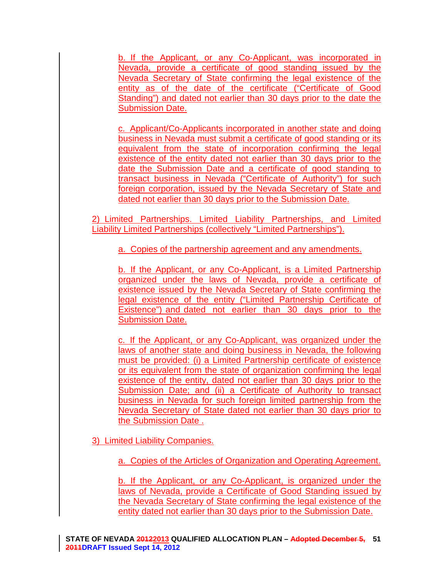b. If the Applicant, or any Co‐Applicant, was incorporated in Nevada, provide a certificate of good standing issued by the Nevada Secretary of State confirming the legal existence of the entity as of the date of the certificate ("Certificate of Good Standing") and dated not earlier than 30 days prior to the date the **Submission Date.** 

c. Applicant/Co‐Applicants incorporated in another state and doing business in Nevada must submit a certificate of good standing or its equivalent from the state of incorporation confirming the legal existence of the entity dated not earlier than 30 days prior to the date the Submission Date and a certificate of good standing to transact business in Nevada ("Certificate of Authority") for such foreign corporation, issued by the Nevada Secretary of State and dated not earlier than 30 days prior to the Submission Date.

2) Limited Partnerships. Limited Liability Partnerships, and Limited Liability Limited Partnerships (collectively "Limited Partnerships").

a. Copies of the partnership agreement and any amendments.

b. If the Applicant, or any Co-Applicant, is a Limited Partnership organized under the laws of Nevada, provide a certificate of existence issued by the Nevada Secretary of State confirming the legal existence of the entity ("Limited Partnership Certificate of Existence") and dated not earlier than 30 days prior to the **Submission Date.** 

c. If the Applicant, or any Co-Applicant, was organized under the laws of another state and doing business in Nevada, the following must be provided: (i) a Limited Partnership certificate of existence or its equivalent from the state of organization confirming the legal existence of the entity, dated not earlier than 30 days prior to the Submission Date; and (ii) a Certificate of Authority to transact business in Nevada for such foreign limited partnership from the Nevada Secretary of State dated not earlier than 30 days prior to the Submission Date .

3) Limited Liability Companies.

a. Copies of the Articles of Organization and Operating Agreement.

b. If the Applicant, or any Co-Applicant, is organized under the laws of Nevada, provide a Certificate of Good Standing issued by the Nevada Secretary of State confirming the legal existence of the entity dated not earlier than 30 days prior to the Submission Date.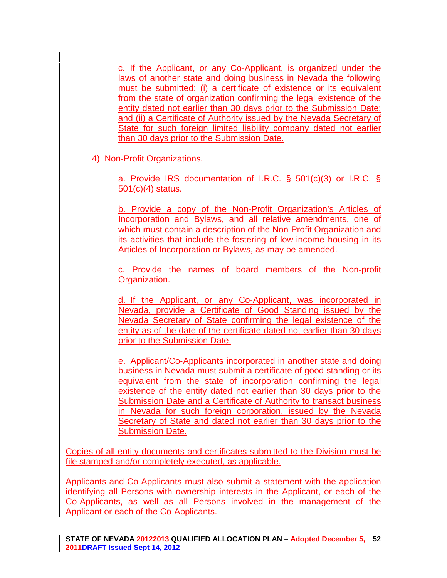c. If the Applicant, or any Co‐Applicant, is organized under the laws of another state and doing business in Nevada the following must be submitted: (i) a certificate of existence or its equivalent from the state of organization confirming the legal existence of the entity dated not earlier than 30 days prior to the Submission Date; and (ii) a Certificate of Authority issued by the Nevada Secretary of State for such foreign limited liability company dated not earlier than 30 days prior to the Submission Date.

4) Non-Profit Organizations.

a. Provide IRS documentation of I.R.C. § 501(c)(3) or I.R.C. § 501(c)(4) status.

b. Provide a copy of the Non‐Profit Organization's Articles of Incorporation and Bylaws, and all relative amendments, one of which must contain a description of the Non-Profit Organization and its activities that include the fostering of low income housing in its Articles of Incorporation or Bylaws, as may be amended.

c. Provide the names of board members of the Non-profit Organization.

d. If the Applicant, or any Co‐Applicant, was incorporated in Nevada, provide a Certificate of Good Standing issued by the Nevada Secretary of State confirming the legal existence of the entity as of the date of the certificate dated not earlier than 30 days prior to the Submission Date.

e. Applicant/Co‐Applicants incorporated in another state and doing business in Nevada must submit a certificate of good standing or its equivalent from the state of incorporation confirming the legal existence of the entity dated not earlier than 30 days prior to the Submission Date and a Certificate of Authority to transact business in Nevada for such foreign corporation, issued by the Nevada Secretary of State and dated not earlier than 30 days prior to the Submission Date.

Copies of all entity documents and certificates submitted to the Division must be file stamped and/or completely executed, as applicable.

Applicants and Co-Applicants must also submit a statement with the application identifying all Persons with ownership interests in the Applicant, or each of the Co-Applicants, as well as all Persons involved in the management of the Applicant or each of the Co-Applicants.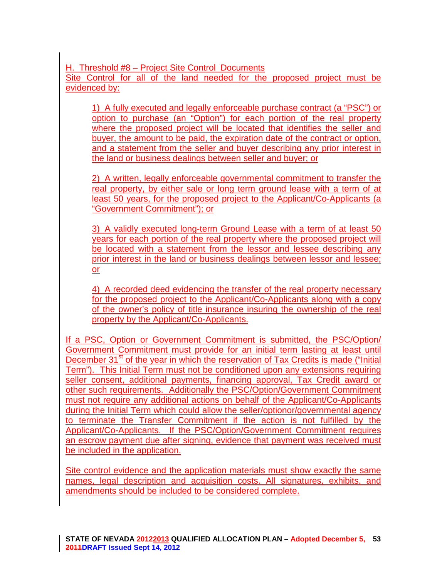H. Threshold #8 – Project Site Control Documents

Site Control for all of the land needed for the proposed project must be evidenced by:

1) A fully executed and legally enforceable purchase contract (a "PSC") or option to purchase (an "Option") for each portion of the real property where the proposed project will be located that identifies the seller and buyer, the amount to be paid, the expiration date of the contract or option, and a statement from the seller and buyer describing any prior interest in the land or business dealings between seller and buyer; or

2) A written, legally enforceable governmental commitment to transfer the real property, by either sale or long term ground lease with a term of at least 50 years, for the proposed project to the Applicant/Co-Applicants (a "Government Commitment"); or

3) A validly executed long-term Ground Lease with a term of at least 50 years for each portion of the real property where the proposed project will be located with a statement from the lessor and lessee describing any prior interest in the land or business dealings between lessor and lessee; or

4) A recorded deed evidencing the transfer of the real property necessary for the proposed project to the Applicant/Co-Applicants along with a copy of the owner's policy of title insurance insuring the ownership of the real property by the Applicant/Co-Applicants.

If a PSC, Option or Government Commitment is submitted, the PSC/Option/ Government Commitment must provide for an initial term lasting at least until December 31<sup>st</sup> of the year in which the reservation of Tax Credits is made ("Initial Term"). This Initial Term must not be conditioned upon any extensions requiring seller consent, additional payments, financing approval, Tax Credit award or other such requirements. Additionally the PSC/Option/Government Commitment must not require any additional actions on behalf of the Applicant/Co-Applicants during the Initial Term which could allow the seller/optionor/governmental agency to terminate the Transfer Commitment if the action is not fulfilled by the Applicant/Co-Applicants. If the PSC/Option/Government Commitment requires an escrow payment due after signing, evidence that payment was received must be included in the application.

Site control evidence and the application materials must show exactly the same names, legal description and acquisition costs. All signatures, exhibits, and amendments should be included to be considered complete.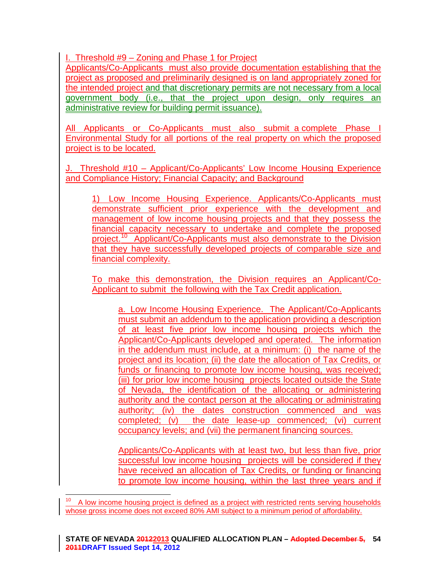I. Threshold #9 – Zoning and Phase 1 for Project

Applicants/Co-Applicants must also provide documentation establishing that the project as proposed and preliminarily designed is on land appropriately zoned for the intended project and that discretionary permits are not necessary from a local government body (i.e., that the project upon design, only requires an administrative review for building permit issuance).

All Applicants or Co-Applicants must also submit a complete Phase I Environmental Study for all portions of the real property on which the proposed project is to be located.

J. Threshold #10 – Applicant/Co-Applicants' Low Income Housing Experience and Compliance History; Financial Capacity; and Background

1) Low Income Housing Experience. Applicants/Co-Applicants must demonstrate sufficient prior experience with the development and management of low income housing projects and that they possess the financial capacity necessary to undertake and complete the proposed project.<sup>10</sup> Applicant/Co-Applicants must also demonstrate to the Division that they have successfully developed projects of comparable size and financial complexity.

To make this demonstration, the Division requires an Applicant/Co-Applicant to submit the following with the Tax Credit application.

a. Low Income Housing Experience. The Applicant/Co-Applicants must submit an addendum to the application providing a description of at least five prior low income housing projects which the Applicant/Co-Applicants developed and operated. The information in the addendum must include, at a minimum: (i) the name of the project and its location; (ii) the date the allocation of Tax Credits, or funds or financing to promote low income housing, was received; (iii) for prior low income housing projects located outside the State of Nevada, the identification of the allocating or administering authority and the contact person at the allocating or administrating authority; (iv) the dates construction commenced and was completed; (v) the date lease-up commenced; (vi) current occupancy levels; and (vii) the permanent financing sources.

Applicants/Co-Applicants with at least two, but less than five, prior successful low income housing projects will be considered if they have received an allocation of Tax Credits, or funding or financing to promote low income housing, within the last three years and if

<span id="page-53-0"></span><sup>&</sup>lt;sup>10</sup> A low income housing project is defined as a project with restricted rents serving households whose gross income does not exceed 80% AMI subject to a minimum period of affordability.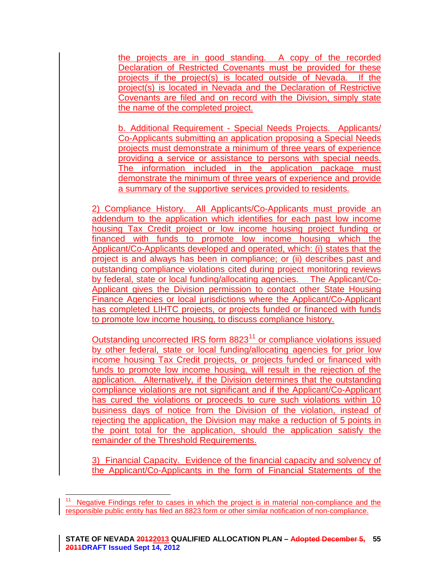the projects are in good standing. A copy of the recorded Declaration of Restricted Covenants must be provided for these projects if the project(s) is located outside of Nevada. If the project(s) is located in Nevada and the Declaration of Restrictive Covenants are filed and on record with the Division, simply state the name of the completed project.

b. Additional Requirement - Special Needs Projects. Applicants/ Co-Applicants submitting an application proposing a Special Needs projects must demonstrate a minimum of three years of experience providing a service or assistance to persons with special needs. The information included in the application package must demonstrate the minimum of three years of experience and provide a summary of the supportive services provided to residents.

2) Compliance History. All Applicants/Co-Applicants must provide an addendum to the application which identifies for each past low income housing Tax Credit project or low income housing project funding or financed with funds to promote low income housing which the Applicant/Co-Applicants developed and operated, which: (i) states that the project is and always has been in compliance; or (ii) describes past and outstanding compliance violations cited during project monitoring reviews by federal, state or local funding/allocating agencies. The Applicant/Co-Applicant gives the Division permission to contact other State Housing Finance Agencies or local jurisdictions where the Applicant/Co-Applicant has completed LIHTC projects, or projects funded or financed with funds to promote low income housing, to discuss compliance history.

Outstanding uncorrected IRS form 8823<sup>[11](#page-53-0)</sup> or compliance violations issued by other federal, state or local funding/allocating agencies for prior low income housing Tax Credit projects, or projects funded or financed with funds to promote low income housing, will result in the rejection of the application. Alternatively, if the Division determines that the outstanding compliance violations are not significant and if the Applicant/Co-Applicant has cured the violations or proceeds to cure such violations within 10 business days of notice from the Division of the violation, instead of rejecting the application, the Division may make a reduction of 5 points in the point total for the application, should the application satisfy the remainder of the Threshold Requirements.

3) Financial Capacity. Evidence of the financial capacity and solvency of the Applicant/Co-Applicants in the form of Financial Statements of the

<span id="page-54-0"></span><sup>&</sup>lt;sup>11</sup> Negative Findings refer to cases in which the project is in material non-compliance and the responsible public entity has filed an 8823 form or other similar notification of non-compliance.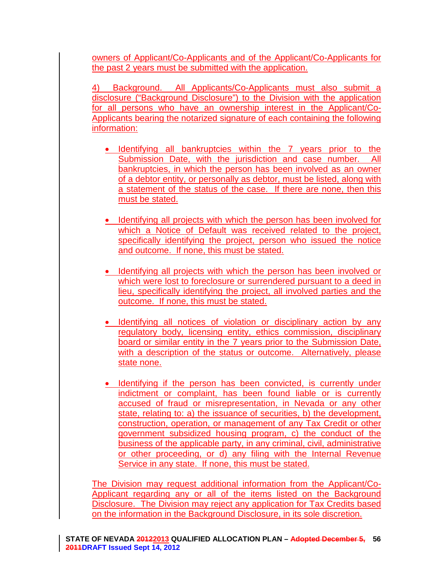owners of Applicant/Co-Applicants and of the Applicant/Co-Applicants for the past 2 years must be submitted with the application.

4) Background. All Applicants/Co-Applicants must also submit a disclosure ("Background Disclosure") to the Division with the application for all persons who have an ownership interest in the Applicant/Co-Applicants bearing the notarized signature of each containing the following information:

- Identifying all bankruptcies within the 7 years prior to the Submission Date, with the jurisdiction and case number. All bankruptcies, in which the person has been involved as an owner of a debtor entity, or personally as debtor, must be listed, along with a statement of the status of the case. If there are none, then this must be stated.
- Identifying all projects with which the person has been involved for which a Notice of Default was received related to the project, specifically identifying the project, person who issued the notice and outcome. If none, this must be stated.
- Identifying all projects with which the person has been involved or which were lost to foreclosure or surrendered pursuant to a deed in lieu, specifically identifying the project, all involved parties and the outcome. If none, this must be stated.
- Identifying all notices of violation or disciplinary action by any regulatory body, licensing entity, ethics commission, disciplinary board or similar entity in the 7 years prior to the Submission Date, with a description of the status or outcome. Alternatively, please state none.
- Identifying if the person has been convicted, is currently under indictment or complaint, has been found liable or is currently accused of fraud or misrepresentation, in Nevada or any other state, relating to: a) the issuance of securities, b) the development, construction, operation, or management of any Tax Credit or other government subsidized housing program, c) the conduct of the business of the applicable party, in any criminal, civil, administrative or other proceeding, or d) any filing with the Internal Revenue Service in any state. If none, this must be stated.

The Division may request additional information from the Applicant/Co-Applicant regarding any or all of the items listed on the Background Disclosure. The Division may reject any application for Tax Credits based on the information in the Background Disclosure, in its sole discretion.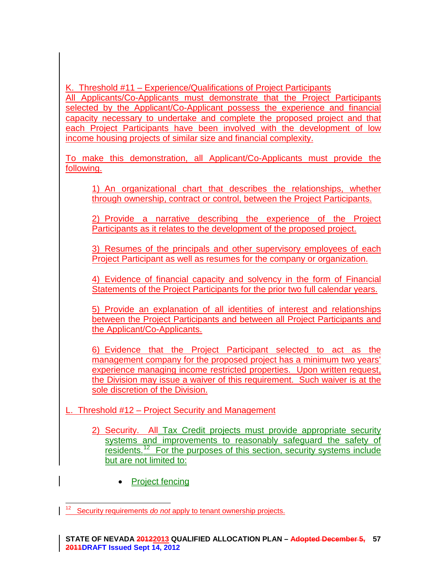K. Threshold #11 – Experience/Qualifications of Project Participants

All Applicants/Co-Applicants must demonstrate that the Project Participants selected by the Applicant/Co-Applicant possess the experience and financial capacity necessary to undertake and complete the proposed project and that each Project Participants have been involved with the development of low income housing projects of similar size and financial complexity.

To make this demonstration, all Applicant/Co-Applicants must provide the following.

1) An organizational chart that describes the relationships, whether through ownership, contract or control, between the Project Participants.

2) Provide a narrative describing the experience of the Project Participants as it relates to the development of the proposed project.

3) Resumes of the principals and other supervisory employees of each Project Participant as well as resumes for the company or organization.

4) Evidence of financial capacity and solvency in the form of Financial Statements of the Project Participants for the prior two full calendar years.

5) Provide an explanation of all identities of interest and relationships between the Project Participants and between all Project Participants and the Applicant/Co-Applicants.

6) Evidence that the Project Participant selected to act as the management company for the proposed project has a minimum two years' experience managing income restricted properties. Upon written request, the Division may issue a waiver of this requirement. Such waiver is at the sole discretion of the Division.

L. Threshold #12 – Project Security and Management

- 2) Security. All Tax Credit projects must provide appropriate security systems and improvements to reasonably safeguard the safety of residents.<sup>[12](#page-54-0)</sup> For the purposes of this section, security systems include but are not limited to:
	- Project fencing

<span id="page-56-0"></span>12 Security requirements *do not* apply to tenant ownership projects.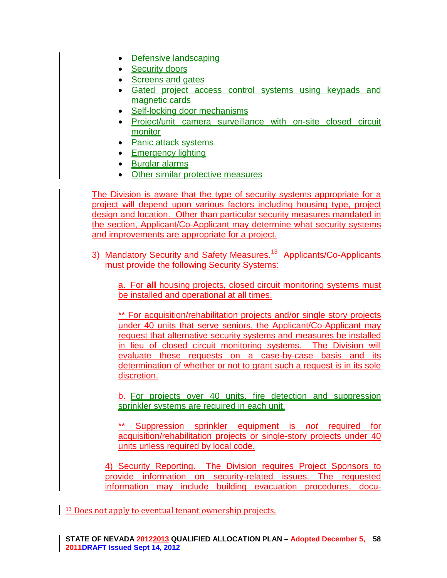- Defensive landscaping
- Security doors
- Screens and gates
- Gated project access control systems using keypads and magnetic cards
- Self-locking door mechanisms
- Project/unit camera surveillance with on-site closed circuit monitor
- Panic attack systems
- Emergency lighting
- Burglar alarms
- Other similar protective measures

The Division is aware that the type of security systems appropriate for a project will depend upon various factors including housing type, project design and location. Other than particular security measures mandated in the section, Applicant/Co-Applicant may determine what security systems and improvements are appropriate for a project.

3) Mandatory Security and Safety Measures.<sup>[13](#page-56-0)</sup> Applicants/Co-Applicants must provide the following Security Systems:

a. For **all** housing projects, closed circuit monitoring systems must be installed and operational at all times.

\*\* For acquisition/rehabilitation projects and/or single story projects under 40 units that serve seniors, the Applicant/Co-Applicant may request that alternative security systems and measures be installed in lieu of closed circuit monitoring systems. The Division will evaluate these requests on a case-by-case basis and its determination of whether or not to grant such a request is in its sole discretion.

b. For projects over 40 units, fire detection and suppression sprinkler systems are required in each unit.

\*\* Suppression sprinkler equipment is *not* required for acquisition/rehabilitation projects or single-story projects under 40 units unless required by local code.

4) Security Reporting. The Division requires Project Sponsors to provide information on security-related issues. The requested information may include building evacuation procedures, docu-

<span id="page-57-0"></span> <sup>13</sup> Does not apply to eventual tenant ownership projects.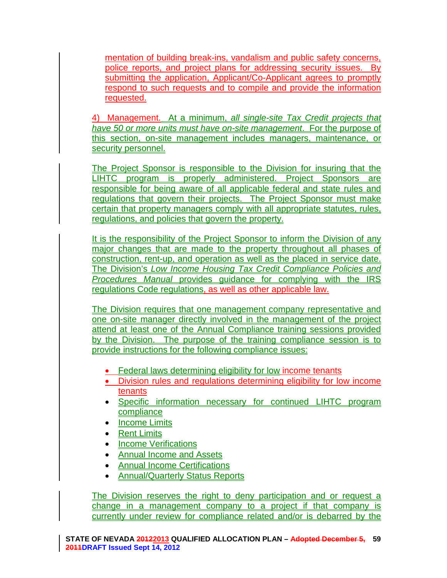mentation of building break-ins, vandalism and public safety concerns, police reports, and project plans for addressing security issues. By submitting the application, Applicant/Co-Applicant agrees to promptly respond to such requests and to compile and provide the information requested.

4) Management. At a minimum, *all single-site Tax Credit projects that have 50 or more units must have on-site management*. For the purpose of this section, on-site management includes managers, maintenance, or security personnel.

The Project Sponsor is responsible to the Division for insuring that the LIHTC program is properly administered. Project Sponsors are responsible for being aware of all applicable federal and state rules and regulations that govern their projects. The Project Sponsor must make certain that property managers comply with all appropriate statutes, rules, regulations, and policies that govern the property.

It is the responsibility of the Project Sponsor to inform the Division of any major changes that are made to the property throughout all phases of construction, rent-up, and operation as well as the placed in service date. The Division's *Low Income Housing Tax Credit Compliance Policies and Procedures Manual* provides guidance for complying with the IRS regulations Code regulations, as well as other applicable law.

The Division requires that one management company representative and one on-site manager directly involved in the management of the project attend at least one of the Annual Compliance training sessions provided by the Division. The purpose of the training compliance session is to provide instructions for the following compliance issues:

- Federal laws determining eligibility for low income tenants
- Division rules and regulations determining eligibility for low income tenants
- Specific information necessary for continued LIHTC program **compliance**
- Income Limits
- Rent Limits
- Income Verifications
- Annual Income and Assets
- Annual Income Certifications
- Annual/Quarterly Status Reports

The Division reserves the right to deny participation and or request a change in a management company to a project if that company is currently under review for compliance related and/or is debarred by the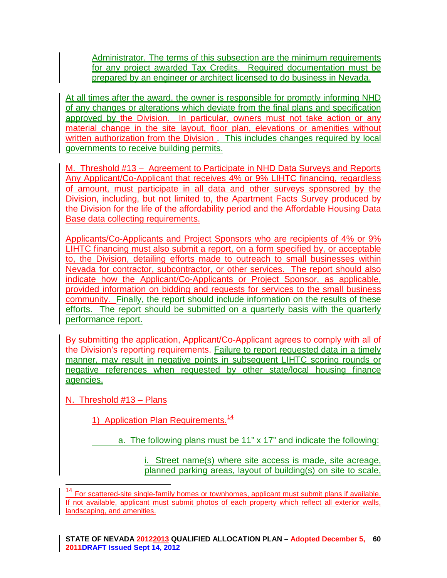Administrator. The terms of this subsection are the minimum requirements for any project awarded Tax Credits. Required documentation must be prepared by an engineer or architect licensed to do business in Nevada.

At all times after the award, the owner is responsible for promptly informing NHD of any changes or alterations which deviate from the final plans and specification approved by the Division. In particular, owners must not take action or any material change in the site layout, floor plan, elevations or amenities without written authorization from the Division . This includes changes required by local governments to receive building permits.

M. Threshold #13 – Agreement to Participate in NHD Data Surveys and Reports Any Applicant/Co-Applicant that receives 4% or 9% LIHTC financing, regardless of amount, must participate in all data and other surveys sponsored by the Division, including, but not limited to, the Apartment Facts Survey produced by the Division for the life of the affordability period and the Affordable Housing Data Base data collecting requirements.

Applicants/Co-Applicants and Project Sponsors who are recipients of 4% or 9% LIHTC financing must also submit a report, on a form specified by, or acceptable to, the Division, detailing efforts made to outreach to small businesses within Nevada for contractor, subcontractor, or other services. The report should also indicate how the Applicant/Co-Applicants or Project Sponsor, as applicable, provided information on bidding and requests for services to the small business community. Finally, the report should include information on the results of these efforts. The report should be submitted on a quarterly basis with the quarterly performance report.

By submitting the application, Applicant/Co-Applicant agrees to comply with all of the Division's reporting requirements. Failure to report requested data in a timely manner, may result in negative points in subsequent LIHTC scoring rounds or negative references when requested by other state/local housing finance agencies.

N. Threshold #13 – Plans

1) Application Plan Requirements.<sup>[14](#page-57-0)</sup>

a. The following plans must be 11" x 17" and indicate the following:

i. Street name(s) where site access is made, site acreage, planned parking areas, layout of building(s) on site to scale,

<sup>&</sup>lt;sup>14</sup> For scattered-site single-family homes or townhomes, applicant must submit plans if available. If not available, applicant must submit photos of each property which reflect all exterior walls, landscaping, and amenities.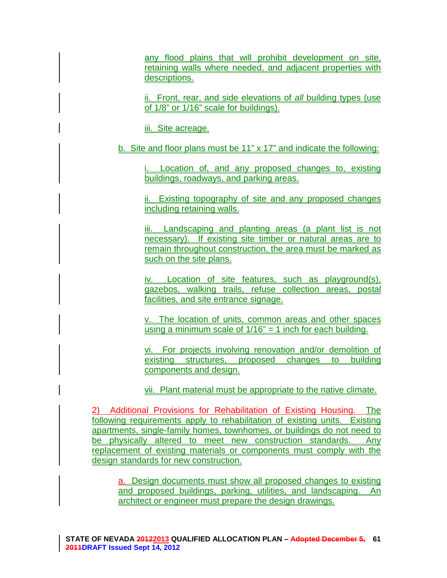any flood plains that will prohibit development on site, retaining walls where needed, and adjacent properties with descriptions.

ii. Front, rear, and side elevations of *all* building types (use of 1/8" or 1/16" scale for buildings).

iii. Site acreage.

b. Site and floor plans must be 11" x 17" and indicate the following:

Location of, and any proposed changes to, existing buildings, roadways, and parking areas.

ii. Existing topography of site and any proposed changes including retaining walls.

iii. Landscaping and planting areas (a plant list is not necessary). If existing site timber or natural areas are to remain throughout construction, the area must be marked as such on the site plans.

iv. Location of site features, such as playground(s), gazebos, walking trails, refuse collection areas, postal facilities, and site entrance signage.

v. The location of units, common areas and other spaces using a minimum scale of  $1/16$ " = 1 inch for each building.

vi. For projects involving renovation and/or demolition of existing structures, proposed changes to building components and design.

vii. Plant material must be appropriate to the native climate.

2) Additional Provisions for Rehabilitation of Existing Housing. The following requirements apply to rehabilitation of existing units. Existing apartments, single-family homes, townhomes, or buildings do not need to be physically altered to meet new construction standards. Any replacement of existing materials or components must comply with the design standards for new construction.

a. Design documents must show all proposed changes to existing and proposed buildings, parking, utilities, and landscaping. An architect or engineer must prepare the design drawings.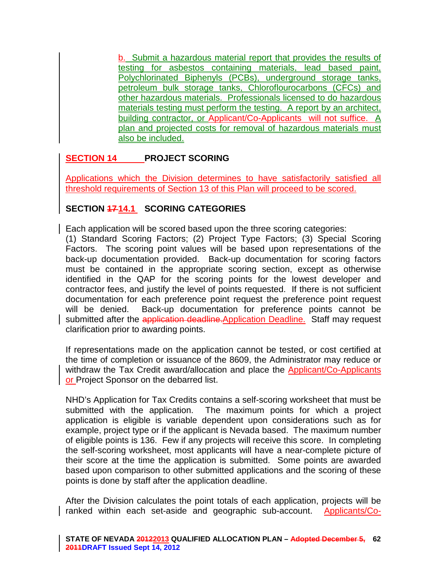b. Submit a hazardous material report that provides the results of testing for asbestos containing materials, lead based paint, Polychlorinated Biphenyls (PCBs), underground storage tanks, petroleum bulk storage tanks, Chloroflourocarbons (CFCs) and other hazardous materials. Professionals licensed to do hazardous materials testing must perform the testing. A report by an architect, building contractor, or Applicant/Co-Applicants will not suffice. A plan and projected costs for removal of hazardous materials must also be included.

## **SECTION 14 PROJECT SCORING**

Applications which the Division determines to have satisfactorily satisfied all threshold requirements of Section 13 of this Plan will proceed to be scored.

## **SECTION 17 14.1 SCORING CATEGORIES**

Each application will be scored based upon the three scoring categories: (1) Standard Scoring Factors; (2) Project Type Factors; (3) Special Scoring Factors. The scoring point values will be based upon representations of the back-up documentation provided. Back-up documentation for scoring factors must be contained in the appropriate scoring section, except as otherwise identified in the QAP for the scoring points for the lowest developer and contractor fees, and justify the level of points requested. If there is not sufficient documentation for each preference point request the preference point request will be denied. Back-up documentation for preference points cannot be submitted after the application deadline. Application Deadline. Staff may request clarification prior to awarding points.

If representations made on the application cannot be tested, or cost certified at the time of completion or issuance of the 8609, the Administrator may reduce or withdraw the Tax Credit award/allocation and place the Applicant/Co-Applicants or Project Sponsor on the debarred list.

NHD's Application for Tax Credits contains a self-scoring worksheet that must be submitted with the application. The maximum points for which a project application is eligible is variable dependent upon considerations such as for example, project type or if the applicant is Nevada based. The maximum number of eligible points is 136. Few if any projects will receive this score. In completing the self-scoring worksheet, most applicants will have a near-complete picture of their score at the time the application is submitted. Some points are awarded based upon comparison to other submitted applications and the scoring of these points is done by staff after the application deadline.

After the Division calculates the point totals of each application, projects will be ranked within each set-aside and geographic sub-account. Applicants/Co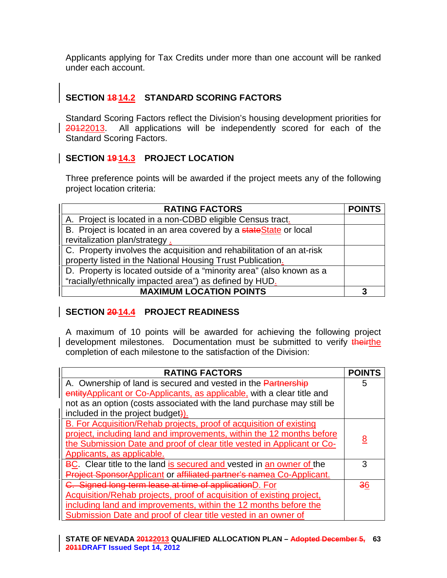Applicants applying for Tax Credits under more than one account will be ranked under each account.

# **SECTION 18 14.2 STANDARD SCORING FACTORS**

Standard Scoring Factors reflect the Division's housing development priorities for 20122013. All applications will be independently scored for each of the Standard Scoring Factors.

## **SECTION 19 14.3 PROJECT LOCATION**

Three preference points will be awarded if the project meets any of the following project location criteria:

| <b>RATING FACTORS</b>                                                 | <b>POINTS</b> |
|-----------------------------------------------------------------------|---------------|
| A. Project is located in a non-CDBD eligible Census tract.            |               |
| B. Project is located in an area covered by a stateState or local     |               |
| revitalization plan/strategy.                                         |               |
| C. Property involves the acquisition and rehabilitation of an at-risk |               |
| property listed in the National Housing Trust Publication.            |               |
| D. Property is located outside of a "minority area" (also known as a  |               |
| "racially/ethnically impacted area") as defined by HUD.               |               |
| <b>MAXIMUM LOCATION POINTS</b>                                        | 2             |

## **SECTION 20 14.4 PROJECT READINESS**

A maximum of 10 points will be awarded for achieving the following project development milestones. Documentation must be submitted to verify theirthe completion of each milestone to the satisfaction of the Division:

| <b>RATING FACTORS</b>                                                       | <b>POINTS</b>  |
|-----------------------------------------------------------------------------|----------------|
| A. Ownership of land is secured and vested in the Partnership               | 5              |
| entity Applicant or Co-Applicants, as applicable, with a clear title and    |                |
| not as an option (costs associated with the land purchase may still be      |                |
| included in the project budget).                                            |                |
| B. For Acquisition/Rehab projects, proof of acquisition of existing         |                |
| project, including land and improvements, within the 12 months before       | 8              |
| the Submission Date and proof of clear title vested in Applicant or Co-     |                |
| Applicants, as applicable.                                                  |                |
| <b>BC.</b> Clear title to the land is secured and vested in an owner of the | 3              |
| Project SponsorApplicant or affiliated partner's namea Co-Applicant.        |                |
| C. Signed long-term lease at time of application D. For                     | $\frac{36}{5}$ |
| Acquisition/Rehab projects, proof of acquisition of existing project,       |                |
| including land and improvements, within the 12 months before the            |                |
| Submission Date and proof of clear title vested in an owner of              |                |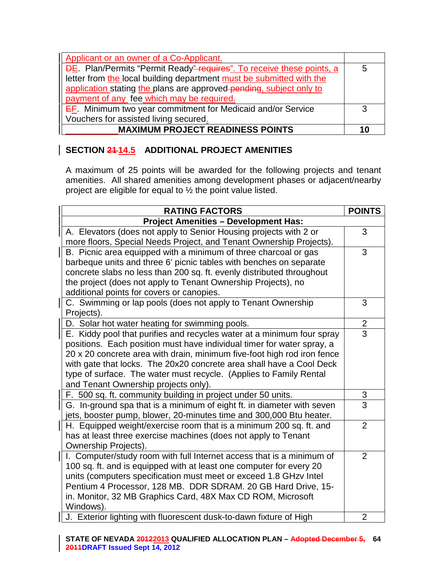| Applicant or an owner of a Co-Applicant.                                     |    |
|------------------------------------------------------------------------------|----|
| <b>DE.</b> Plan/Permits "Permit Ready" requires". To receive these points, a | 5  |
| letter from the local building department must be submitted with the         |    |
| application stating the plans are approved pending, subject only to          |    |
| payment of any fee which may be required.                                    |    |
| $EF$ . Minimum two year commitment for Medicaid and/or Service               | З  |
| Vouchers for assisted living secured.                                        |    |
| <b>MAXIMUM PROJECT READINESS POINTS</b>                                      | 10 |

# **SECTION 21 14.5 ADDITIONAL PROJECT AMENITIES**

A maximum of 25 points will be awarded for the following projects and tenant amenities. All shared amenities among development phases or adjacent/nearby project are eligible for equal to ½ the point value listed.

| <b>RATING FACTORS</b>                                                   | <b>POINTS</b>  |
|-------------------------------------------------------------------------|----------------|
| <b>Project Amenities - Development Has:</b>                             |                |
| A. Elevators (does not apply to Senior Housing projects with 2 or       | 3              |
| more floors, Special Needs Project, and Tenant Ownership Projects).     |                |
| B. Picnic area equipped with a minimum of three charcoal or gas         | 3              |
| barbeque units and three 6' picnic tables with benches on separate      |                |
| concrete slabs no less than 200 sq. ft. evenly distributed throughout   |                |
| the project (does not apply to Tenant Ownership Projects), no           |                |
| additional points for covers or canopies.                               |                |
| C. Swimming or lap pools (does not apply to Tenant Ownership            | 3              |
| Projects).                                                              |                |
| D. Solar hot water heating for swimming pools.                          | $\overline{2}$ |
| E. Kiddy pool that purifies and recycles water at a minimum four spray  | $\overline{3}$ |
| positions. Each position must have individual timer for water spray, a  |                |
| 20 x 20 concrete area with drain, minimum five-foot high rod iron fence |                |
| with gate that locks. The 20x20 concrete area shall have a Cool Deck    |                |
| type of surface. The water must recycle. (Applies to Family Rental      |                |
| and Tenant Ownership projects only).                                    |                |
| F. 500 sq. ft. community building in project under 50 units.            | 3              |
| G. In-ground spa that is a minimum of eight ft. in diameter with seven  | $\overline{3}$ |
| jets, booster pump, blower, 20-minutes time and 300,000 Btu heater.     |                |
| H. Equipped weight/exercise room that is a minimum 200 sq. ft. and      | $\overline{2}$ |
| has at least three exercise machines (does not apply to Tenant          |                |
| Ownership Projects).                                                    |                |
| I. Computer/study room with full Internet access that is a minimum of   | $\overline{2}$ |
| 100 sq. ft. and is equipped with at least one computer for every 20     |                |
| units (computers specification must meet or exceed 1.8 GHzv Intel       |                |
| Pentium 4 Processor, 128 MB. DDR SDRAM. 20 GB Hard Drive, 15-           |                |
| in. Monitor, 32 MB Graphics Card, 48X Max CD ROM, Microsoft             |                |
| Windows).                                                               |                |
| J. Exterior lighting with fluorescent dusk-to-dawn fixture of High      | $\overline{2}$ |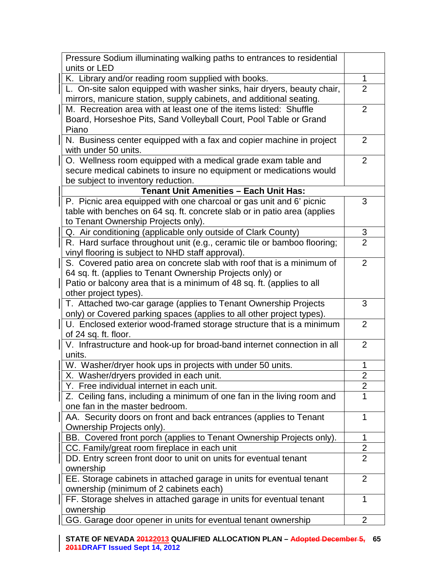| Pressure Sodium illuminating walking paths to entrances to residential   |                         |
|--------------------------------------------------------------------------|-------------------------|
| units or LED                                                             |                         |
| K. Library and/or reading room supplied with books.                      | 1                       |
| L. On-site salon equipped with washer sinks, hair dryers, beauty chair,  | $\overline{2}$          |
| mirrors, manicure station, supply cabinets, and additional seating.      |                         |
| M. Recreation area with at least one of the items listed: Shuffle        | $\overline{2}$          |
| Board, Horseshoe Pits, Sand Volleyball Court, Pool Table or Grand        |                         |
| Piano                                                                    |                         |
| N. Business center equipped with a fax and copier machine in project     | $\overline{2}$          |
| with under 50 units.                                                     |                         |
| O. Wellness room equipped with a medical grade exam table and            | $\overline{2}$          |
| secure medical cabinets to insure no equipment or medications would      |                         |
| be subject to inventory reduction.                                       |                         |
| Tenant Unit Amenities - Each Unit Has:                                   |                         |
| P. Picnic area equipped with one charcoal or gas unit and 6' picnic      | 3                       |
| table with benches on 64 sq. ft. concrete slab or in patio area (applies |                         |
| to Tenant Ownership Projects only).                                      |                         |
| Q. Air conditioning (applicable only outside of Clark County)            | 3                       |
| R. Hard surface throughout unit (e.g., ceramic tile or bamboo flooring;  | $\overline{2}$          |
| vinyl flooring is subject to NHD staff approval).                        |                         |
| S. Covered patio area on concrete slab with roof that is a minimum of    | $\overline{2}$          |
| 64 sq. ft. (applies to Tenant Ownership Projects only) or                |                         |
| Patio or balcony area that is a minimum of 48 sq. ft. (applies to all    |                         |
| other project types).                                                    |                         |
| T. Attached two-car garage (applies to Tenant Ownership Projects         | 3                       |
| only) or Covered parking spaces (applies to all other project types).    |                         |
| U. Enclosed exterior wood-framed storage structure that is a minimum     | $\overline{2}$          |
| of 24 sq. ft. floor.                                                     |                         |
| V. Infrastructure and hook-up for broad-band internet connection in all  | $\overline{2}$          |
| units.                                                                   |                         |
| W. Washer/dryer hook ups in projects with under 50 units.                | 1                       |
| X. Washer/dryers provided in each unit.                                  | $\overline{2}$          |
| Y. Free individual internet in each unit.                                | 2                       |
| Z. Ceiling fans, including a minimum of one fan in the living room and   | 1                       |
| one fan in the master bedroom.                                           |                         |
| AA. Security doors on front and back entrances (applies to Tenant        | 1                       |
| Ownership Projects only).                                                |                         |
| BB. Covered front porch (applies to Tenant Ownership Projects only).     | $\mathbf{1}$            |
| CC. Family/great room fireplace in each unit                             | $\overline{\mathbf{c}}$ |
| DD. Entry screen front door to unit on units for eventual tenant         | $\overline{2}$          |
| ownership                                                                |                         |
| EE. Storage cabinets in attached garage in units for eventual tenant     | $\overline{2}$          |
| ownership (minimum of 2 cabinets each)                                   |                         |
| FF. Storage shelves in attached garage in units for eventual tenant      | 1                       |
| ownership                                                                |                         |
| GG. Garage door opener in units for eventual tenant ownership            | $\overline{2}$          |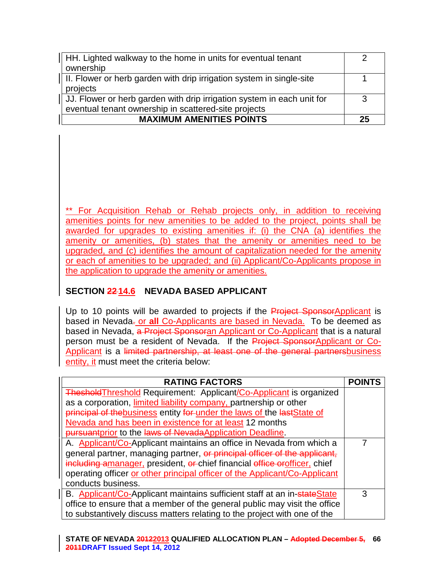| HH. Lighted walkway to the home in units for eventual tenant           |    |
|------------------------------------------------------------------------|----|
| ownership                                                              |    |
| II. Flower or herb garden with drip irrigation system in single-site   |    |
| projects                                                               |    |
| JJ. Flower or herb garden with drip irrigation system in each unit for | 3  |
| eventual tenant ownership in scattered-site projects                   |    |
| <b>MAXIMUM AMENITIES POINTS</b>                                        | 25 |

\*\* For Acquisition Rehab or Rehab projects only, in addition to receiving amenities points for new amenities to be added to the project, points shall be awarded for upgrades to existing amenities if: (i) the CNA (a) identifies the amenity or amenities, (b) states that the amenity or amenities need to be upgraded, and (c) identifies the amount of capitalization needed for the amenity or each of amenities to be upgraded; and (ii) Applicant/Co-Applicants propose in the application to upgrade the amenity or amenities.

## **SECTION 22 14.6 NEVADA BASED APPLICANT**

Up to 10 points will be awarded to projects if the **Project Sponsor**Applicant is based in Nevada- or all Co-Applicants are based in Nevada. To be deemed as based in Nevada, a Project Sponsoran Applicant or Co-Applicant that is a natural person must be a resident of Nevada. If the Project Sponsor Applicant or Co-Applicant is a limited partnership, at least one of the general partnersbusiness entity, it must meet the criteria below:

| <b>RATING FACTORS</b>                                                      | <b>POIN</b> |
|----------------------------------------------------------------------------|-------------|
| <b>Theshold Threshold Requirement: Applicant/Co-Applicant is organized</b> |             |
| as a corporation, <i>limited liability company</i> , partnership or other  |             |
| principal of thebusiness entity for under the laws of the lastState of     |             |
| Nevada and has been in existence for at least 12 months                    |             |
| pursuantprior to the laws of Nevada Application Deadline.                  |             |
| A. Applicant/Co-Applicant maintains an office in Nevada from which a       |             |
| general partner, managing partner, or principal officer of the applicant,  |             |
| including amanager, president, or-chief financial office orofficer, chief  |             |
| operating officer or other principal officer of the Applicant/Co-Applicant |             |
| conducts business.                                                         |             |
| B. Applicant/Co-Applicant maintains sufficient staff at an in-stateState   | 3           |
| office to ensure that a member of the general public may visit the office  |             |
| to substantively discuss matters relating to the project with one of the   |             |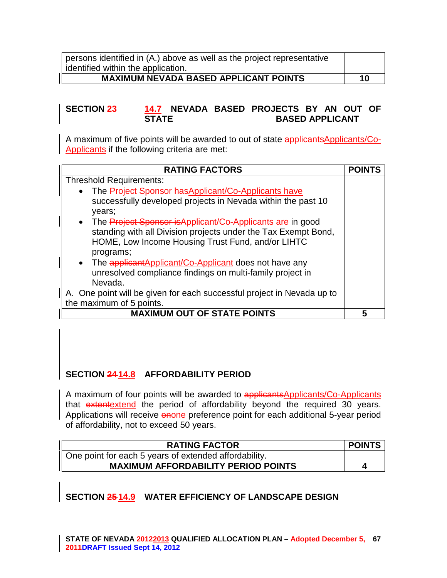| persons identified in $(A)$ above as well as the project representative<br>identified within the application. |    |
|---------------------------------------------------------------------------------------------------------------|----|
|                                                                                                               |    |
| <b>MAXIMUM NEVADA BASED APPLICANT POINTS</b>                                                                  | 10 |

#### **SECTION 23 14.7 NEVADA BASED PROJECTS BY AN OUT OF STATE BASED APPLICANT**

A maximum of five points will be awarded to out of state applicantsApplicants/Co-Applicants if the following criteria are met:

| <b>RATING FACTORS</b>                                                                                                                                                                                                                                                                                                                                                                                                                                                 | <b>POIN</b> |
|-----------------------------------------------------------------------------------------------------------------------------------------------------------------------------------------------------------------------------------------------------------------------------------------------------------------------------------------------------------------------------------------------------------------------------------------------------------------------|-------------|
| <b>Threshold Requirements:</b>                                                                                                                                                                                                                                                                                                                                                                                                                                        |             |
| The Project Sponsor has Applicant/Co-Applicants have<br>successfully developed projects in Nevada within the past 10<br>years;<br>• The Project Sponsor is Applicant/Co-Applicants are in good<br>standing with all Division projects under the Tax Exempt Bond,<br>HOME, Low Income Housing Trust Fund, and/or LIHTC<br>programs;<br>• The applicantApplicant/Co-Applicant does not have any<br>unresolved compliance findings on multi-family project in<br>Nevada. |             |
| A. One point will be given for each successful project in Nevada up to<br>the maximum of 5 points.                                                                                                                                                                                                                                                                                                                                                                    |             |
| <b>MAXIMUM OUT OF STATE POINTS</b>                                                                                                                                                                                                                                                                                                                                                                                                                                    | 5           |

## **SECTION 24 14.8 AFFORDABILITY PERIOD**

A maximum of four points will be awarded to applicantsApplicants/Co-Applicants that extentextend the period of affordability beyond the required 30 years. Applications will receive onone preference point for each additional 5-year period of affordability, not to exceed 50 years.

| <b>RATING FACTOR</b>                                  | <b>POINTS</b> |
|-------------------------------------------------------|---------------|
| One point for each 5 years of extended affordability. |               |
| <b>MAXIMUM AFFORDABILITY PERIOD POINTS</b>            | 4             |

## **SECTION 25 14.9 WATER EFFICIENCY OF LANDSCAPE DESIGN**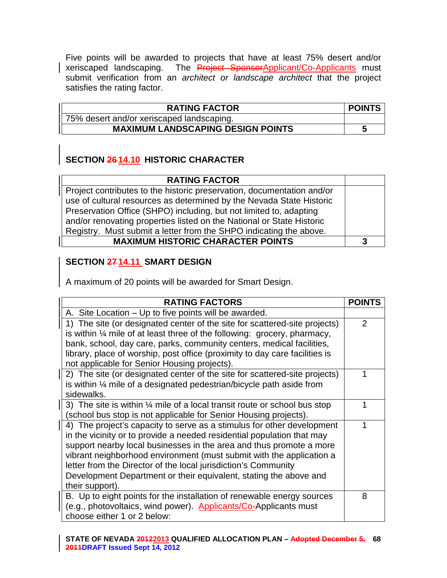Five points will be awarded to projects that have at least 75% desert and/or xeriscaped landscaping. The Project Sponsor Applicant/Co-Applicants must submit verification from an *architect or landscape architect* that the project satisfies the rating factor.

| <b>RATING FACTOR</b>                      | <b>POINTS</b> |
|-------------------------------------------|---------------|
| 75% desert and/or xeriscaped landscaping. |               |
| <b>MAXIMUM LANDSCAPING DESIGN POINTS</b>  | 5             |

# **SECTION 26 14.10 HISTORIC CHARACTER**

| <b>RATING FACTOR</b>                                                   |  |  |
|------------------------------------------------------------------------|--|--|
| Project contributes to the historic preservation, documentation and/or |  |  |
| use of cultural resources as determined by the Nevada State Historic   |  |  |
| Preservation Office (SHPO) including, but not limited to, adapting     |  |  |
| and/or renovating properties listed on the National or State Historic  |  |  |
| Registry. Must submit a letter from the SHPO indicating the above.     |  |  |
| <b>MAXIMUM HISTORIC CHARACTER POINTS</b>                               |  |  |

# **SECTION 27 14.11 SMART DESIGN**

A maximum of 20 points will be awarded for Smart Design.

| <b>RATING FACTORS</b>                                                                | <b>POINTS</b>  |
|--------------------------------------------------------------------------------------|----------------|
| A. Site Location – Up to five points will be awarded.                                |                |
| 1) The site (or designated center of the site for scattered-site projects)           | $\mathfrak{p}$ |
| is within $\frac{1}{4}$ mile of at least three of the following: grocery, pharmacy,  |                |
| bank, school, day care, parks, community centers, medical facilities,                |                |
| library, place of worship, post office (proximity to day care facilities is          |                |
| not applicable for Senior Housing projects).                                         |                |
| 2) The site (or designated center of the site for scattered-site projects)           |                |
| is within $\frac{1}{4}$ mile of a designated pedestrian/bicycle path aside from      |                |
| sidewalks.                                                                           |                |
| 3) The site is within $\frac{1}{4}$ mile of a local transit route or school bus stop |                |
| (school bus stop is not applicable for Senior Housing projects).                     |                |
| 4) The project's capacity to serve as a stimulus for other development               |                |
| in the vicinity or to provide a needed residential population that may               |                |
| support nearby local businesses in the area and thus promote a more                  |                |
| vibrant neighborhood environment (must submit with the application a                 |                |
| letter from the Director of the local jurisdiction's Community                       |                |
| Development Department or their equivalent, stating the above and                    |                |
| their support).                                                                      |                |
| B. Up to eight points for the installation of renewable energy sources               | 8              |
| (e.g., photovoltaics, wind power). Applicants/Co-Applicants must                     |                |
| choose either 1 or 2 below:                                                          |                |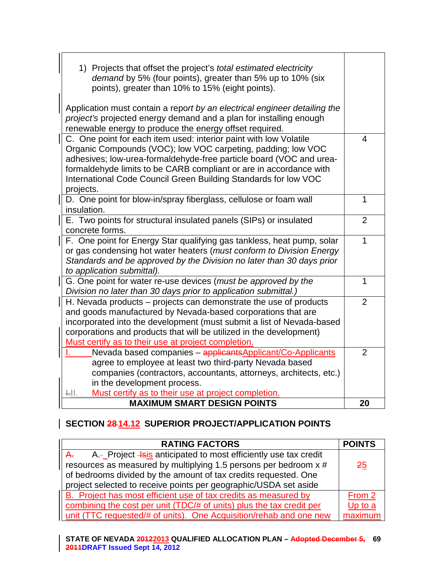| 1) Projects that offset the project's total estimated electricity<br>demand by 5% (four points), greater than 5% up to 10% (six<br>points), greater than 10% to 15% (eight points).                                                                                                                                                                            |                |
|----------------------------------------------------------------------------------------------------------------------------------------------------------------------------------------------------------------------------------------------------------------------------------------------------------------------------------------------------------------|----------------|
| Application must contain a report by an electrical engineer detailing the<br>project's projected energy demand and a plan for installing enough<br>renewable energy to produce the energy offset required.                                                                                                                                                     |                |
| C. One point for each item used: interior paint with low Volatile<br>Organic Compounds (VOC); low VOC carpeting, padding; low VOC<br>adhesives; low-urea-formaldehyde-free particle board (VOC and urea-<br>formaldehyde limits to be CARB compliant or are in accordance with<br>International Code Council Green Building Standards for low VOC<br>projects. | 4              |
| D. One point for blow-in/spray fiberglass, cellulose or foam wall<br>insulation.                                                                                                                                                                                                                                                                               | 1              |
| E. Two points for structural insulated panels (SIPs) or insulated<br>concrete forms.                                                                                                                                                                                                                                                                           | $\overline{2}$ |
| F. One point for Energy Star qualifying gas tankless, heat pump, solar<br>or gas condensing hot water heaters (must conform to Division Energy<br>Standards and be approved by the Division no later than 30 days prior<br>to application submittal).                                                                                                          | $\mathbf{1}$   |
| G. One point for water re-use devices (must be approved by the<br>Division no later than 30 days prior to application submittal.)                                                                                                                                                                                                                              | 1              |
| H. Nevada products – projects can demonstrate the use of products<br>and goods manufactured by Nevada-based corporations that are<br>incorporated into the development (must submit a list of Nevada-based<br>corporations and products that will be utilized in the development)<br>Must certify as to their use at project completion.                       | $\overline{2}$ |
| Nevada based companies - applicantsApplicant/Co-Applicants<br>agree to employee at least two third-party Nevada based<br>companies (contractors, accountants, attorneys, architects, etc.)<br>in the development process.                                                                                                                                      | $\overline{2}$ |
| Must certify as to their use at project completion.<br>HII.<br><b>MAXIMUM SMART DESIGN POINTS</b>                                                                                                                                                                                                                                                              | 20             |

# **SECTION 28 14.12 SUPERIOR PROJECT/APPLICATION POINTS**

| <b>RATING FACTORS</b>                                                        | <b>POINTS</b> |
|------------------------------------------------------------------------------|---------------|
| A.-_Project <b>-sis</b> anticipated to most efficiently use tax credit<br>A. |               |
| resources as measured by multiplying 1.5 persons per bedroom x #             | 25            |
| of bedrooms divided by the amount of tax credits requested. One              |               |
| project selected to receive points per geographic/USDA set aside             |               |
| B. Project has most efficient use of tax credits as measured by              | From 2        |
| combining the cost per unit (TDC/# of units) plus the tax credit per         | Up to a       |
| unit (TTC requested/# of units). One Acquisition/rehab and one new           | maximum       |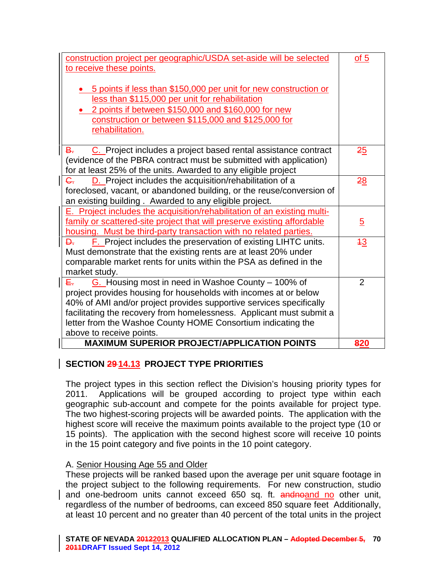| construction project per geographic/USDA set-aside will be selected                                                                                                                                                                                                                                                                                                      | of 5           |
|--------------------------------------------------------------------------------------------------------------------------------------------------------------------------------------------------------------------------------------------------------------------------------------------------------------------------------------------------------------------------|----------------|
| to receive these points.                                                                                                                                                                                                                                                                                                                                                 |                |
| 5 points if less than \$150,000 per unit for new construction or<br>less than \$115,000 per unit for rehabilitation<br>2 points if between \$150,000 and \$160,000 for new<br>construction or between \$115,000 and \$125,000 for<br>rehabilitation.                                                                                                                     |                |
| C. Project includes a project based rental assistance contract<br><b>B</b> .<br>(evidence of the PBRA contract must be submitted with application)<br>for at least 25% of the units. Awarded to any eligible project                                                                                                                                                     | 25             |
| D. Project includes the acquisition/rehabilitation of a<br>C.<br>foreclosed, vacant, or abandoned building, or the reuse/conversion of<br>an existing building. Awarded to any eligible project.                                                                                                                                                                         | <u>28</u>      |
| E. Project includes the acquisition/rehabilitation of an existing multi-<br>family or scattered-site project that will preserve existing affordable<br>housing. Must be third-party transaction with no related parties.                                                                                                                                                 | $\overline{5}$ |
| <b>F.</b> Project includes the preservation of existing LIHTC units.<br><del>D.</del><br>Must demonstrate that the existing rents are at least 20% under<br>comparable market rents for units within the PSA as defined in the<br>market study.                                                                                                                          | 43             |
| G. Housing most in need in Washoe County - 100% of<br>E.,<br>project provides housing for households with incomes at or below<br>40% of AMI and/or project provides supportive services specifically<br>facilitating the recovery from homelessness. Applicant must submit a<br>letter from the Washoe County HOME Consortium indicating the<br>above to receive points. | 2              |
| <b>MAXIMUM SUPERIOR PROJECT/APPLICATION POINTS</b>                                                                                                                                                                                                                                                                                                                       | 820            |

## **SECTION 29 14.13 PROJECT TYPE PRIORITIES**

The project types in this section reflect the Division's housing priority types for 2011. Applications will be grouped according to project type within each geographic sub-account and compete for the points available for project type. The two highest-scoring projects will be awarded points. The application with the highest score will receive the maximum points available to the project type (10 or 15 points). The application with the second highest score will receive 10 points in the 15 point category and five points in the 10 point category.

#### A. Senior Housing Age 55 and Older

These projects will be ranked based upon the average per unit square footage in the project subject to the following requirements. For new construction, studio and one-bedroom units cannot exceed 650 sq. ft. and no ather unit, regardless of the number of bedrooms, can exceed 850 square feet Additionally, at least 10 percent and no greater than 40 percent of the total units in the project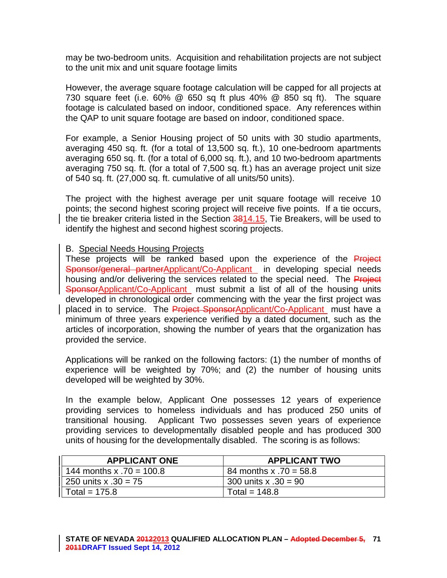may be two-bedroom units. Acquisition and rehabilitation projects are not subject to the unit mix and unit square footage limits

However, the average square footage calculation will be capped for all projects at 730 square feet (i.e. 60% @ 650 sq ft plus 40% @ 850 sq ft). The square footage is calculated based on indoor, conditioned space. Any references within the QAP to unit square footage are based on indoor, conditioned space.

For example, a Senior Housing project of 50 units with 30 studio apartments, averaging 450 sq. ft. (for a total of 13,500 sq. ft.), 10 one-bedroom apartments averaging 650 sq. ft. (for a total of 6,000 sq. ft.), and 10 two-bedroom apartments averaging 750 sq. ft. (for a total of 7,500 sq. ft.) has an average project unit size of 540 sq. ft. (27,000 sq. ft. cumulative of all units/50 units).

The project with the highest average per unit square footage will receive 10 points; the second highest scoring project will receive five points. If a tie occurs, the tie breaker criteria listed in the Section 3814.15, Tie Breakers, will be used to identify the highest and second highest scoring projects.

#### B. Special Needs Housing Projects

These projects will be ranked based upon the experience of the **Project** Sponsor/general partnerApplicant/Co-Applicant in developing special needs housing and/or delivering the services related to the special need. The **Project** SponsorApplicant/Co-Applicant must submit a list of all of the housing units developed in chronological order commencing with the year the first project was placed in to service. The **Project Sponsor**Applicant/Co-Applicant must have a minimum of three years experience verified by a dated document, such as the articles of incorporation, showing the number of years that the organization has provided the service.

Applications will be ranked on the following factors: (1) the number of months of experience will be weighted by 70%; and (2) the number of housing units developed will be weighted by 30%.

In the example below, Applicant One possesses 12 years of experience providing services to homeless individuals and has produced 250 units of transitional housing. Applicant Two possesses seven years of experience providing services to developmentally disabled people and has produced 300 units of housing for the developmentally disabled. The scoring is as follows:

| <b>APPLICANT ONE</b>     | <b>APPLICANT TWO</b>      |
|--------------------------|---------------------------|
| 144 months x .70 = 100.8 | $184$ months x .70 = 58.8 |
| 250 units x .30 = 75     | 300 units x .30 = 90      |
| Total = $175.8$          | Total = $148.8$           |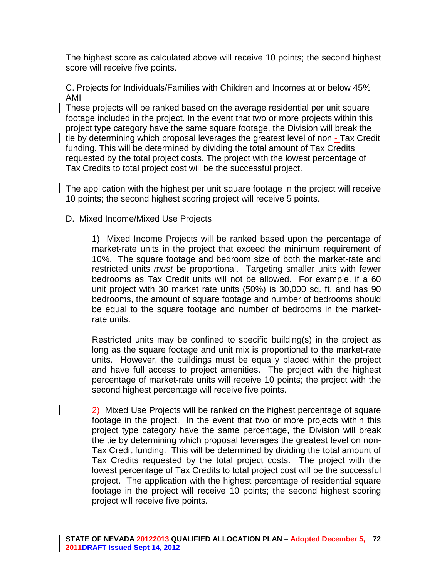The highest score as calculated above will receive 10 points; the second highest score will receive five points.

#### C. Projects for Individuals/Families with Children and Incomes at or below 45% AMI

These projects will be ranked based on the average residential per unit square footage included in the project. In the event that two or more projects within this project type category have the same square footage, the Division will break the tie by determining which proposal leverages the greatest level of non - Tax Credit funding. This will be determined by dividing the total amount of Tax Credits requested by the total project costs. The project with the lowest percentage of Tax Credits to total project cost will be the successful project.

The application with the highest per unit square footage in the project will receive 10 points; the second highest scoring project will receive 5 points.

## D. Mixed Income/Mixed Use Projects

1) Mixed Income Projects will be ranked based upon the percentage of market-rate units in the project that exceed the minimum requirement of 10%. The square footage and bedroom size of both the market-rate and restricted units *must* be proportional. Targeting smaller units with fewer bedrooms as Tax Credit units will not be allowed. For example, if a 60 unit project with 30 market rate units (50%) is 30,000 sq. ft. and has 90 bedrooms, the amount of square footage and number of bedrooms should be equal to the square footage and number of bedrooms in the marketrate units.

Restricted units may be confined to specific building(s) in the project as long as the square footage and unit mix is proportional to the market-rate units. However, the buildings must be equally placed within the project and have full access to project amenities. The project with the highest percentage of market-rate units will receive 10 points; the project with the second highest percentage will receive five points.

2) Mixed Use Projects will be ranked on the highest percentage of square footage in the project. In the event that two or more projects within this project type category have the same percentage, the Division will break the tie by determining which proposal leverages the greatest level on non-Tax Credit funding. This will be determined by dividing the total amount of Tax Credits requested by the total project costs. The project with the lowest percentage of Tax Credits to total project cost will be the successful project. The application with the highest percentage of residential square footage in the project will receive 10 points; the second highest scoring project will receive five points.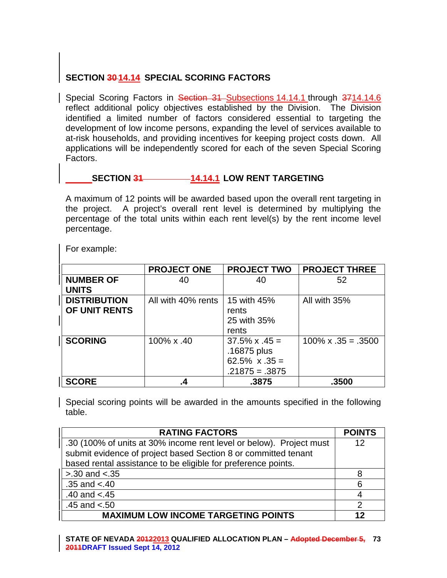# **SECTION 30 14.14 SPECIAL SCORING FACTORS**

Special Scoring Factors in Section 31 Subsections 14.14.1 through 3714.14.6 reflect additional policy objectives established by the Division. The Division identified a limited number of factors considered essential to targeting the development of low income persons, expanding the level of services available to at-risk households, and providing incentives for keeping project costs down. All applications will be independently scored for each of the seven Special Scoring Factors.

### **SECTION 31 14.14.1 LOW RENT TARGETING**

A maximum of 12 points will be awarded based upon the overall rent targeting in the project. A project's overall rent level is determined by multiplying the percentage of the total units within each rent level(s) by the rent income level percentage.

For example:

|                                      | <b>PROJECT ONE</b> | <b>PROJECT TWO</b>                                                                | <b>PROJECT THREE</b>       |
|--------------------------------------|--------------------|-----------------------------------------------------------------------------------|----------------------------|
| <b>NUMBER OF</b><br><b>UNITS</b>     | 40                 | 40                                                                                | 52                         |
| <b>DISTRIBUTION</b><br>OF UNIT RENTS | All with 40% rents | 15 with 45%<br>rents<br>25 with 35%<br>rents                                      | All with 35%               |
| <b>SCORING</b>                       | 100% x .40         | $37.5\% \times .45 =$<br>.16875 plus<br>$62.5\% \times .35 =$<br>$.21875 = .3875$ | $100\% \times .35 = .3500$ |
| <b>SCORE</b>                         |                    | .3875                                                                             | .3500                      |

Special scoring points will be awarded in the amounts specified in the following table.

| <b>RATING FACTORS</b>                                               |    |  |  |  |
|---------------------------------------------------------------------|----|--|--|--|
| .30 (100% of units at 30% income rent level or below). Project must | 12 |  |  |  |
| submit evidence of project based Section 8 or committed tenant      |    |  |  |  |
| based rental assistance to be eligible for preference points.       |    |  |  |  |
| $> 0.30$ and $< 0.35$                                               |    |  |  |  |
| $.35$ and $< .40$                                                   |    |  |  |  |
| .40 and $< .45$                                                     | 4  |  |  |  |
| $.45$ and $< 50$                                                    |    |  |  |  |
| <b>MAXIMUM LOW INCOME TARGETING POINTS</b>                          | 19 |  |  |  |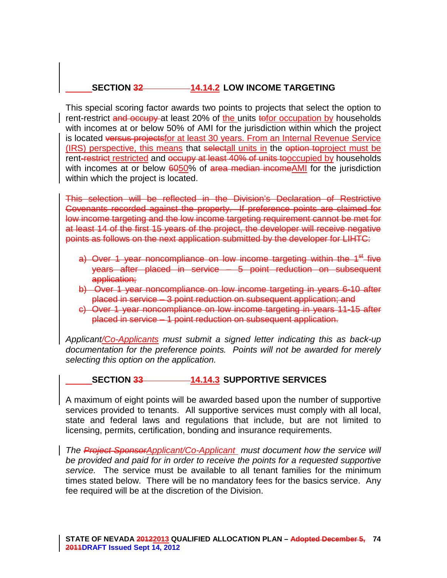# **SECTION 32 14.14.2 LOW INCOME TARGETING**

This special scoring factor awards two points to projects that select the option to rent-restrict and occupy at least 20% of the units tofor occupation by households with incomes at or below 50% of AMI for the jurisdiction within which the project is located versus projectsfor at least 30 years. From an Internal Revenue Service (IRS) perspective, this means that selectall units in the option toproject must be rent-restrict restricted and occupy at least 40% of units tooccupied by households with incomes at or below 6050% of area median income AMI for the jurisdiction within which the project is located.

This selection will be reflected in the Division's Declaration of Restrictive Covenants recorded against the property. If preference points are claimed for low income targeting and the low income targeting requirement cannot be met for at least 14 of the first 15 years of the project, the developer will receive negative points as follows on the next application submitted by the developer for LIHTC:

- a) Over 1 year noncompliance on low income targeting within the  $1<sup>st</sup>$  five years after placed in service – 5 point reduction on subsequent application;
- b) Over 1 year noncompliance on low income targeting in years 6-10 after placed in service – 3 point reduction on subsequent application; and
- c) Over 1 year noncompliance on low income targeting in years 11-15 after placed in service – 1 point reduction on subsequent application.

*Applicant/Co-Applicants must submit a signed letter indicating this as back-up documentation for the preference points. Points will not be awarded for merely selecting this option on the application.*

#### **SECTION 33 14.14.3 SUPPORTIVE SERVICES**

A maximum of eight points will be awarded based upon the number of supportive services provided to tenants. All supportive services must comply with all local, state and federal laws and regulations that include, but are not limited to licensing, permits, certification, bonding and insurance requirements.

*The Project SponsorApplicant/Co-Applicant must document how the service will be provided and paid for in order to receive the points for a requested supportive service.* The service must be available to all tenant families for the minimum times stated below. There will be no mandatory fees for the basics service. Any fee required will be at the discretion of the Division.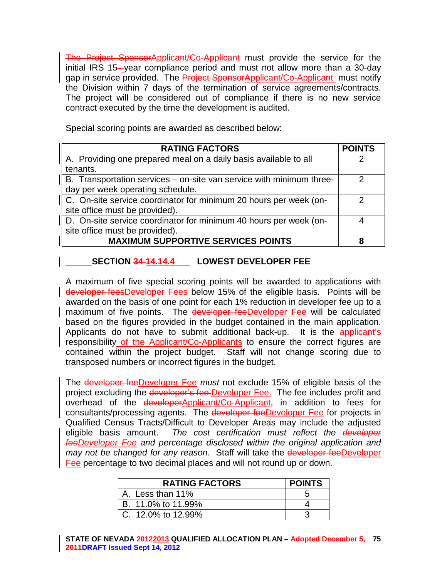The Project SponsorApplicant/Co-Applicant must provide the service for the initial IRS 15-year compliance period and must not allow more than a 30-day gap in service provided. The **Project Sponsor**Applicant/Co-Applicant must notify the Division within 7 days of the termination of service agreements/contracts. The project will be considered out of compliance if there is no new service contract executed by the time the development is audited.

Special scoring points are awarded as described below:

| <b>RATING FACTORS</b>                                                |  |  |  |  |
|----------------------------------------------------------------------|--|--|--|--|
| A. Providing one prepared meal on a daily basis available to all     |  |  |  |  |
| tenants.                                                             |  |  |  |  |
| B. Transportation services – on-site van service with minimum three- |  |  |  |  |
| day per week operating schedule.                                     |  |  |  |  |
| C. On-site service coordinator for minimum 20 hours per week (on-    |  |  |  |  |
| site office must be provided).                                       |  |  |  |  |
| D. On-site service coordinator for minimum 40 hours per week (on-    |  |  |  |  |
| site office must be provided).                                       |  |  |  |  |
| <b>MAXIMUM SUPPORTIVE SERVICES POINTS</b>                            |  |  |  |  |

### **SECTION 34 14.14.4 LOWEST DEVELOPER FEE**

A maximum of five special scoring points will be awarded to applications with developer feesDeveloper Fees below 15% of the eligible basis. Points will be awarded on the basis of one point for each 1% reduction in developer fee up to a maximum of five points. The developer feeDeveloper Fee will be calculated based on the figures provided in the budget contained in the main application. Applicants do not have to submit additional back-up. It is the applicant's responsibility of the Applicant/Co-Applicants to ensure the correct figures are contained within the project budget. Staff will not change scoring due to transposed numbers or incorrect figures in the budget.

The developer feeDeveloper Fee *must* not exclude 15% of eligible basis of the project excluding the developer's fee. Developer Fee. The fee includes profit and overhead of the developerApplicant/Co-Applicant, in addition to fees for consultants/processing agents. The developer feeDeveloper Fee for projects in Qualified Census Tracts/Difficult to Developer Areas may include the adjusted eligible basis amount. *The cost certification must reflect the developer feeDeveloper Fee and percentage disclosed within the original application and may not be changed for any reason.* Staff will take the developer feeDeveloper Fee percentage to two decimal places and will not round up or down.

| <b>RATING FACTORS</b> | <b>POINTS</b> |
|-----------------------|---------------|
| A. Less than 11%      |               |
| B. 11.0% to 11.99%    |               |
| C. 12.0% to 12.99%    |               |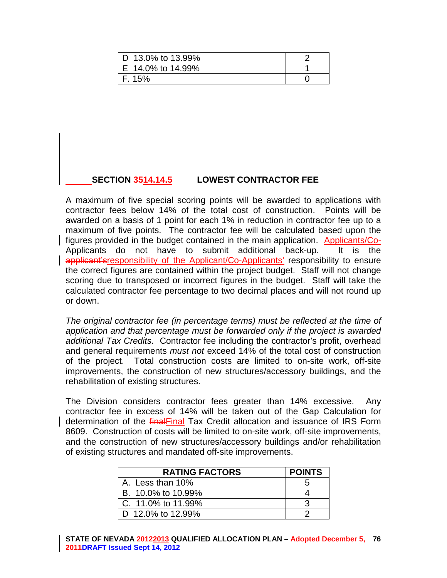| D 13.0% to 13.99% |  |
|-------------------|--|
| E 14.0% to 14.99% |  |
| F. 15%            |  |

#### **SECTION 3514.14.5 LOWEST CONTRACTOR FEE**

A maximum of five special scoring points will be awarded to applications with contractor fees below 14% of the total cost of construction. Points will be awarded on a basis of 1 point for each 1% in reduction in contractor fee up to a maximum of five points. The contractor fee will be calculated based upon the figures provided in the budget contained in the main application. Applicants/Co-Applicants do not have to submit additional back-up. It is the applicant's responsibility of the Applicant/Co-Applicants' responsibility to ensure the correct figures are contained within the project budget. Staff will not change scoring due to transposed or incorrect figures in the budget. Staff will take the calculated contractor fee percentage to two decimal places and will not round up or down.

*The original contractor fee (in percentage terms) must be reflected at the time of application and that percentage must be forwarded only if the project is awarded additional Tax Credits*. Contractor fee including the contractor's profit, overhead and general requirements *must not* exceed 14% of the total cost of construction of the project. Total construction costs are limited to on-site work, off-site improvements, the construction of new structures/accessory buildings, and the rehabilitation of existing structures.

The Division considers contractor fees greater than 14% excessive. Any contractor fee in excess of 14% will be taken out of the Gap Calculation for determination of the *finalFinal Tax Credit allocation and issuance of IRS Form* 8609. Construction of costs will be limited to on-site work, off-site improvements, and the construction of new structures/accessory buildings and/or rehabilitation of existing structures and mandated off-site improvements.

| <b>RATING FACTORS</b> | <b>POINTS</b> |
|-----------------------|---------------|
| A. Less than 10%      |               |
| B. 10.0% to 10.99%    |               |
| C. 11.0% to 11.99%    |               |
| D 12.0% to 12.99%     |               |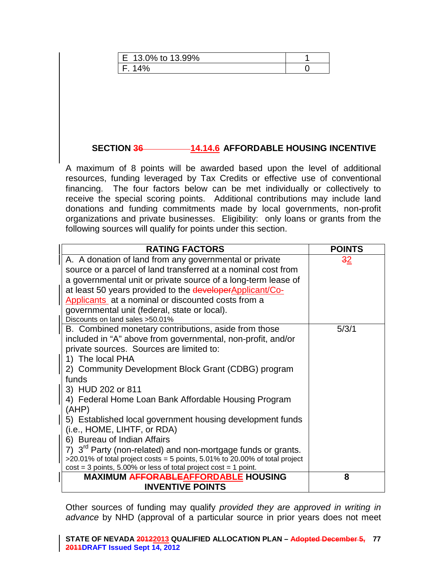| $E$ 13.0% to 13.99% |  |
|---------------------|--|
| 14%                 |  |

### **SECTION 36 14.14.6 AFFORDABLE HOUSING INCENTIVE**

A maximum of 8 points will be awarded based upon the level of additional resources, funding leveraged by Tax Credits or effective use of conventional financing. The four factors below can be met individually or collectively to receive the special scoring points. Additional contributions may include land donations and funding commitments made by local governments, non-profit organizations and private businesses. Eligibility: only loans or grants from the following sources will qualify for points under this section.

| <b>RATING FACTORS</b>                                                          | <b>POINTS</b> |
|--------------------------------------------------------------------------------|---------------|
| A. A donation of land from any governmental or private                         | 32            |
| source or a parcel of land transferred at a nominal cost from                  |               |
| a governmental unit or private source of a long-term lease of                  |               |
| at least 50 years provided to the developerApplicant/Co-                       |               |
| Applicants at a nominal or discounted costs from a                             |               |
| governmental unit (federal, state or local).                                   |               |
| Discounts on land sales > 50.01%                                               |               |
| B. Combined monetary contributions, aside from those                           | 5/3/1         |
| included in "A" above from governmental, non-profit, and/or                    |               |
| private sources. Sources are limited to:                                       |               |
| 1) The local PHA                                                               |               |
| 2) Community Development Block Grant (CDBG) program                            |               |
| funds                                                                          |               |
| 3) HUD 202 or 811                                                              |               |
| 4) Federal Home Loan Bank Affordable Housing Program                           |               |
| (AHP)                                                                          |               |
| 5) Established local government housing development funds                      |               |
| (i.e., HOME, LIHTF, or RDA)                                                    |               |
| 6) Bureau of Indian Affairs                                                    |               |
| 7) 3 <sup>rd</sup> Party (non-related) and non-mortgage funds or grants.       |               |
| $>20.01\%$ of total project costs = 5 points, 5.01% to 20.00% of total project |               |
| $cost = 3$ points, 5.00% or less of total project $cost = 1$ point.            |               |
| <b>MAXIMUM AFFORABLEAFFORDABLE HOUSING</b>                                     | 8             |
| <b>INVENTIVE POINTS</b>                                                        |               |

Other sources of funding may qualify *provided they are approved in writing in advance* by NHD (approval of a particular source in prior years does not meet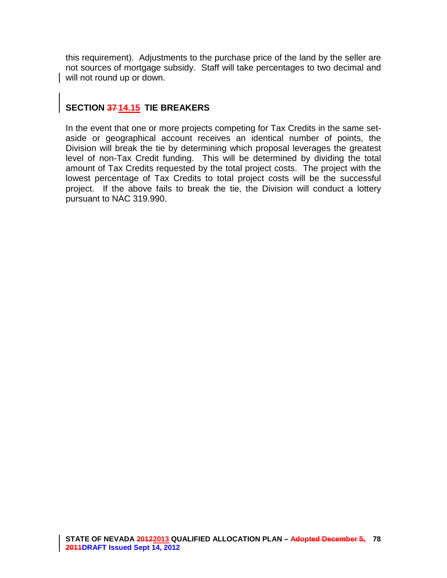this requirement). Adjustments to the purchase price of the land by the seller are not sources of mortgage subsidy. Staff will take percentages to two decimal and will not round up or down.

# **SECTION 37 14.15 TIE BREAKERS**

In the event that one or more projects competing for Tax Credits in the same setaside or geographical account receives an identical number of points, the Division will break the tie by determining which proposal leverages the greatest level of non-Tax Credit funding. This will be determined by dividing the total amount of Tax Credits requested by the total project costs. The project with the lowest percentage of Tax Credits to total project costs will be the successful project. If the above fails to break the tie, the Division will conduct a lottery pursuant to NAC 319.990.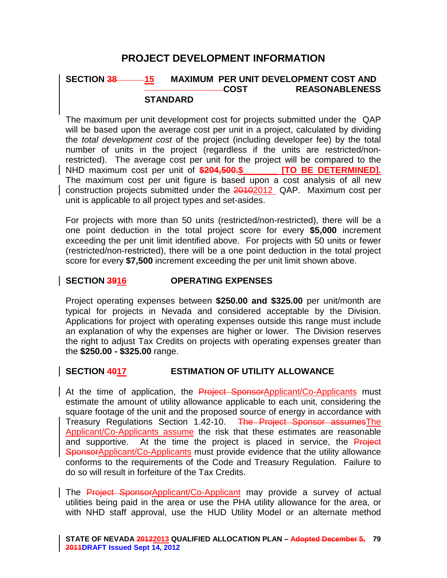# **PROJECT DEVELOPMENT INFORMATION**

#### **SECTION 38 15 MAXIMUM PER UNIT DEVELOPMENT COST AND COST REASONABLENESS STANDARD**

The maximum per unit development cost for projects submitted under the QAP will be based upon the average cost per unit in a project, calculated by dividing the *total development cost* of the project (including developer fee) by the total number of units in the project (regardless if the units are restricted/nonrestricted). The average cost per unit for the project will be compared to the NHD maximum cost per unit of \$204,500.\$ **ITO BE DETERMINED].** The maximum cost per unit figure is based upon a cost analysis of all new construction projects submitted under the 20102012 QAP. Maximum cost per unit is applicable to all project types and set-asides.

For projects with more than 50 units (restricted/non-restricted), there will be a one point deduction in the total project score for every **\$5,000** increment exceeding the per unit limit identified above. For projects with 50 units or fewer (restricted/non-restricted), there will be a one point deduction in the total project score for every **\$7,500** increment exceeding the per unit limit shown above.

#### **SECTION 3916 OPERATING EXPENSES**

Project operating expenses between **\$250.00 and \$325.00** per unit/month are typical for projects in Nevada and considered acceptable by the Division. Applications for project with operating expenses outside this range must include an explanation of why the expenses are higher or lower. The Division reserves the right to adjust Tax Credits on projects with operating expenses greater than the **\$250.00 - \$325.00** range.

#### **SECTION 4017 ESTIMATION OF UTILITY ALLOWANCE**

At the time of application, the Project SponsorApplicant/Co-Applicants must estimate the amount of utility allowance applicable to each unit, considering the square footage of the unit and the proposed source of energy in accordance with Treasury Regulations Section 1.42-10. The Project Sponsor assumesThe Applicant/Co-Applicants assume the risk that these estimates are reasonable and supportive. At the time the project is placed in service, the **Project** SponsorApplicant/Co-Applicants must provide evidence that the utility allowance conforms to the requirements of the Code and Treasury Regulation. Failure to do so will result in forfeiture of the Tax Credits.

The Project SponsorApplicant/Co-Applicant may provide a survey of actual utilities being paid in the area or use the PHA utility allowance for the area, or with NHD staff approval, use the HUD Utility Model or an alternate method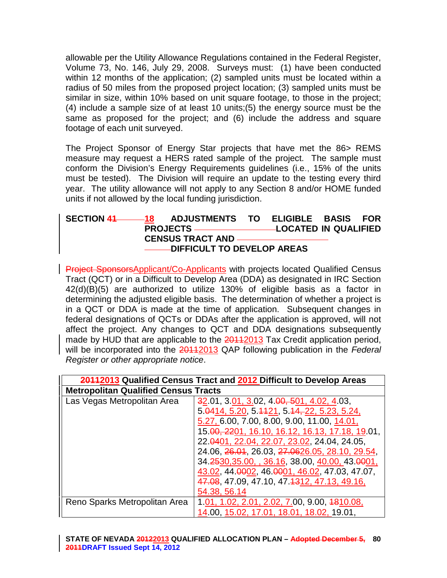allowable per the Utility Allowance Regulations contained in the Federal Register, Volume 73, No. 146, July 29, 2008. Surveys must: (1) have been conducted within 12 months of the application; (2) sampled units must be located within a radius of 50 miles from the proposed project location; (3) sampled units must be similar in size, within 10% based on unit square footage, to those in the project; (4) include a sample size of at least 10 units;(5) the energy source must be the same as proposed for the project; and (6) include the address and square footage of each unit surveyed.

The Project Sponsor of Energy Star projects that have met the 86> REMS measure may request a HERS rated sample of the project. The sample must conform the Division's Energy Requirements guidelines (i.e., 15% of the units must be tested). The Division will require an update to the testing every third year. The utility allowance will not apply to any Section 8 and/or HOME funded units if not allowed by the local funding jurisdiction.

#### **SECTION 41 18 ADJUSTMENTS TO ELIGIBLE BASIS FOR PROJECTS LOCATED IN QUALIFIED CENSUS TRACT AND DIFFICULT TO DEVELOP AREAS**

Project SponsorsApplicant/Co-Applicants with projects located Qualified Census Tract (QCT) or in a Difficult to Develop Area (DDA) as designated in IRC Section 42(d)(B)(5) are authorized to utilize 130% of eligible basis as a factor in determining the adjusted eligible basis. The determination of whether a project is in a QCT or DDA is made at the time of application. Subsequent changes in federal designations of QCTs or DDAs after the application is approved, will not affect the project. Any changes to QCT and DDA designations subsequently made by HUD that are applicable to the 20112013 Tax Credit application period, will be incorporated into the 20112013 QAP following publication in the *Federal Register or other appropriate notice*.

| 20112013 Qualified Census Tract and 2012 Difficult to Develop Areas |                                                 |  |  |  |
|---------------------------------------------------------------------|-------------------------------------------------|--|--|--|
| <b>Metropolitan Qualified Census Tracts</b>                         |                                                 |  |  |  |
| Las Vegas Metropolitan Area                                         | $32.01, 3.01, 3.02, 4.00, 501, 4.02, 4.03,$     |  |  |  |
|                                                                     | 5.0414, 5.20, 5.1121, 5.14, 22, 5.23, 5.24,     |  |  |  |
|                                                                     | 5.27, 6.00, 7.00, 8.00, 9.00, 11.00, 14.01,     |  |  |  |
|                                                                     | 15.00, 2201, 16.10, 16.12, 16.13, 17.18, 19.01, |  |  |  |
|                                                                     | 22.0401, 22.04, 22.07, 23.02, 24.04, 24.05,     |  |  |  |
|                                                                     | 24.06, 26.04, 26.03, 27.0626.05, 28.10, 29.54,  |  |  |  |
|                                                                     | 34.2530,35.00, , 36.16, 38.00, 40.00, 43.0001,  |  |  |  |
|                                                                     | 43.02, 44.0002, 46.0001, 46.02, 47.03, 47.07,   |  |  |  |
|                                                                     | 47.08, 47.09, 47.10, 47.4312, 47.13, 49.16,     |  |  |  |
|                                                                     | 54.38, 56.14                                    |  |  |  |
| Reno Sparks Metropolitan Area                                       | 1.01, 1.02, 2.01, 2.02, 7.00, 9.00, 4810.08,    |  |  |  |
|                                                                     | 14.00, 15.02, 17.01, 18.01, 18.02, 19.01,       |  |  |  |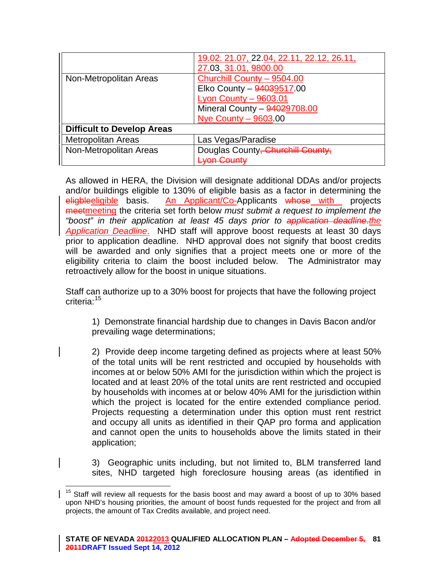|                                   | 19.02. 21.07, 22.04, 22.11, 22.12, 26.11,<br>27.03, 31.01, 9800.00                                                                        |
|-----------------------------------|-------------------------------------------------------------------------------------------------------------------------------------------|
| Non-Metropolitan Areas            | Churchill County - 9504.00<br>Elko County - 94039517.00<br>Lyon County $-9603.01$<br>Mineral County - 94029708.00<br>Nye County - 9603.00 |
| <b>Difficult to Develop Areas</b> |                                                                                                                                           |
| <b>Metropolitan Areas</b>         | Las Vegas/Paradise                                                                                                                        |
| Non-Metropolitan Areas            | Douglas County, Churchill County,<br><b>Lyon County</b>                                                                                   |

As allowed in HERA, the Division will designate additional DDAs and/or projects and/or buildings eligible to 130% of eligible basis as a factor in determining the eligbleeligible basis. An Applicant/Co-Applicants whose with projects meetmeeting the criteria set forth below *must submit a request to implement the "boost" in their application at least 45 days prior to application deadline*.*the Application Deadline*. NHD staff will approve boost requests at least 30 days prior to application deadline. NHD approval does not signify that boost credits will be awarded and only signifies that a project meets one or more of the eligibility criteria to claim the boost included below. The Administrator may retroactively allow for the boost in unique situations.

Staff can authorize up to a 30% boost for projects that have the following project criteria:<sup>[15](#page-59-0)</sup>

1) Demonstrate financial hardship due to changes in Davis Bacon and/or prevailing wage determinations;

2) Provide deep income targeting defined as projects where at least 50% of the total units will be rent restricted and occupied by households with incomes at or below 50% AMI for the jurisdiction within which the project is located and at least 20% of the total units are rent restricted and occupied by households with incomes at or below 40% AMI for the jurisdiction within which the project is located for the entire extended compliance period. Projects requesting a determination under this option must rent restrict and occupy all units as identified in their QAP pro forma and application and cannot open the units to households above the limits stated in their application;

3) Geographic units including, but not limited to, BLM transferred land sites, NHD targeted high foreclosure housing areas (as identified in

<span id="page-80-0"></span> $15$  Staff will review all requests for the basis boost and may award a boost of up to 30% based upon NHD's housing priorities, the amount of boost funds requested for the project and from all projects, the amount of Tax Credits available, and project need.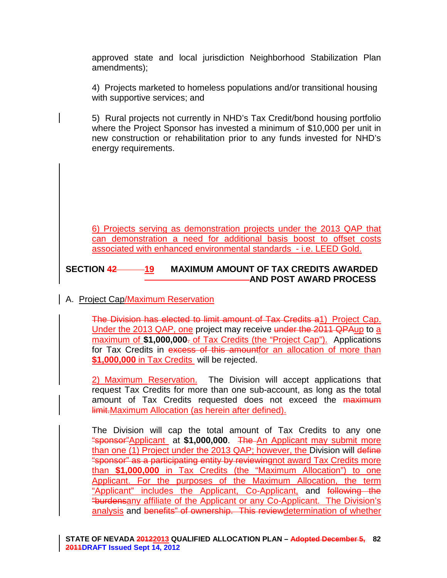approved state and local jurisdiction Neighborhood Stabilization Plan amendments);

4) Projects marketed to homeless populations and/or transitional housing with supportive services; and

5) Rural projects not currently in NHD's Tax Credit/bond housing portfolio where the Project Sponsor has invested a minimum of \$10,000 per unit in new construction or rehabilitation prior to any funds invested for NHD's energy requirements.

6) Projects serving as demonstration projects under the 2013 QAP that can demonstration a need for additional basis boost to offset costs associated with enhanced environmental standards - i.e. LEED Gold.

#### **SECTION 42 19 MAXIMUM AMOUNT OF TAX CREDITS AWARDED AND POST AWARD PROCESS**

### A. Project Cap/Maximum Reservation

The Division has elected to limit amount of Tax Credits a1) Project Cap. Under the 2013 QAP, one project may receive under the 2011 QPAup to a maximum of \$1,000,000<sub>.</sub> of Tax Credits (the "Project Cap"). Applications for Tax Credits in excess of this amountfor an allocation of more than **\$1,000,000** in Tax Credits will be rejected.

2) Maximum Reservation. The Division will accept applications that request Tax Credits for more than one sub-account, as long as the total amount of Tax Credits requested does not exceed the **maximum** limit.Maximum Allocation (as herein after defined).

The Division will cap the total amount of Tax Credits to any one "sponsor"Applicant at **\$1,000,000**. The An Applicant may submit more than one (1) Project under the 2013 QAP; however, the Division will define "sponsor" as a participating entity by reviewingnot award Tax Credits more than **\$1,000,000** in Tax Credits (the "Maximum Allocation") to one Applicant. For the purposes of the Maximum Allocation, the term "Applicant" includes the Applicant, Co-Applicant, and following the "burdensany affiliate of the Applicant or any Co-Applicant. The Division's analysis and benefits" of ownership. This reviewdetermination of whether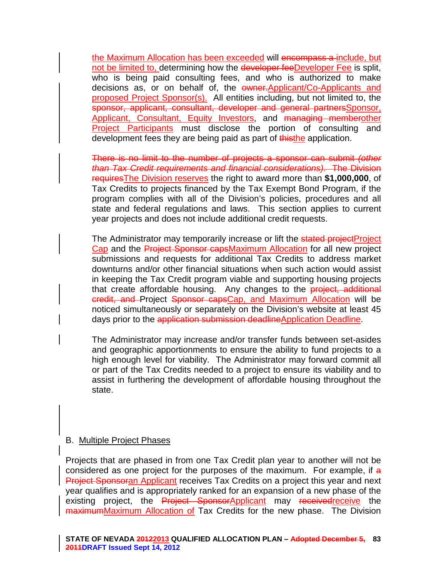the Maximum Allocation has been exceeded will encompass a-include, but not be limited to, determining how the developer feeDeveloper Fee is split, who is being paid consulting fees, and who is authorized to make decisions as, or on behalf of, the **ewner.**Applicant/Co-Applicants and proposed Project Sponsor(s). All entities including, but not limited to, the sponsor, applicant, consultant, developer and general partnersSponsor, Applicant, Consultant, Equity Investors, and managing memberother Project Participants must disclose the portion of consulting and development fees they are being paid as part of thisthe application.

There is no limit to the number of projects a sponsor can submit *(other than Tax Credit requirements and financial considerations)*. The Division requiresThe Division reserves the right to award more than **\$1,000,000**, of Tax Credits to projects financed by the Tax Exempt Bond Program, if the program complies with all of the Division's policies, procedures and all state and federal regulations and laws. This section applies to current year projects and does not include additional credit requests.

The Administrator may temporarily increase or lift the stated project Project Cap and the Project Sponsor capsMaximum Allocation for all new project submissions and requests for additional Tax Credits to address market downturns and/or other financial situations when such action would assist in keeping the Tax Credit program viable and supporting housing projects that create affordable housing. Any changes to the project, additional credit, and Project Sponsor capsCap, and Maximum Allocation will be noticed simultaneously or separately on the Division's website at least 45 days prior to the application submission deadlineApplication Deadline.

The Administrator may increase and/or transfer funds between set-asides and geographic apportionments to ensure the ability to fund projects to a high enough level for viability. The Administrator may forward commit all or part of the Tax Credits needed to a project to ensure its viability and to assist in furthering the development of affordable housing throughout the state.

#### B. Multiple Project Phases

Projects that are phased in from one Tax Credit plan year to another will not be considered as one project for the purposes of the maximum. For example, if a Project Sponsoran Applicant receives Tax Credits on a project this year and next year qualifies and is appropriately ranked for an expansion of a new phase of the existing project, the Project SponsorApplicant may receivedreceive the maximumMaximum Allocation of Tax Credits for the new phase. The Division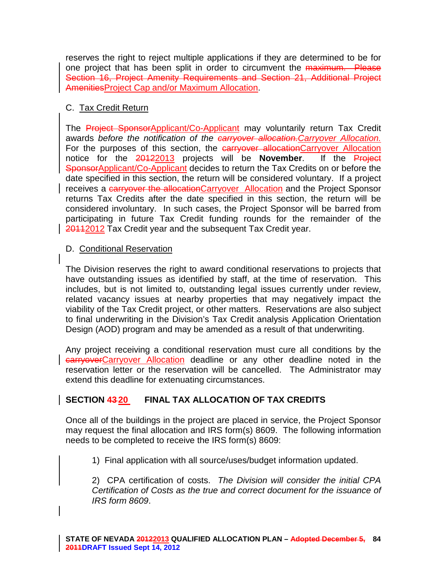reserves the right to reject multiple applications if they are determined to be for one project that has been split in order to circumvent the maximum. Please Section 16, Project Amenity Requirements and Section 21, Additional Project AmenitiesProject Cap and/or Maximum Allocation.

# C. Tax Credit Return

The Project Sponsor Applicant/Co-Applicant may voluntarily return Tax Credit awards before the notification of the **carryover allocation.**Carryover Allocation. For the purposes of this section, the carryover allocationCarryover Allocation notice for the 20122013 projects will be **November**. If the Project SponsorApplicant/Co-Applicant decides to return the Tax Credits on or before the date specified in this section, the return will be considered voluntary. If a project receives a carryover the allocationCarryover Allocation and the Project Sponsor returns Tax Credits after the date specified in this section, the return will be considered involuntary. In such cases, the Project Sponsor will be barred from participating in future Tax Credit funding rounds for the remainder of the 20112012 Tax Credit year and the subsequent Tax Credit year.

#### D. Conditional Reservation

The Division reserves the right to award conditional reservations to projects that have outstanding issues as identified by staff, at the time of reservation. This includes, but is not limited to, outstanding legal issues currently under review, related vacancy issues at nearby properties that may negatively impact the viability of the Tax Credit project, or other matters. Reservations are also subject to final underwriting in the Division's Tax Credit analysis Application Orientation Design (AOD) program and may be amended as a result of that underwriting.

Any project receiving a conditional reservation must cure all conditions by the carryoverCarryover Allocation deadline or any other deadline noted in the reservation letter or the reservation will be cancelled. The Administrator may extend this deadline for extenuating circumstances.

# **SECTION 43 20 FINAL TAX ALLOCATION OF TAX CREDITS**

Once all of the buildings in the project are placed in service, the Project Sponsor may request the final allocation and IRS form(s) 8609. The following information needs to be completed to receive the IRS form(s) 8609:

1) Final application with all source/uses/budget information updated.

2) CPA certification of costs. *The Division will consider the initial CPA Certification of Costs as the true and correct document for the issuance of IRS form 8609*.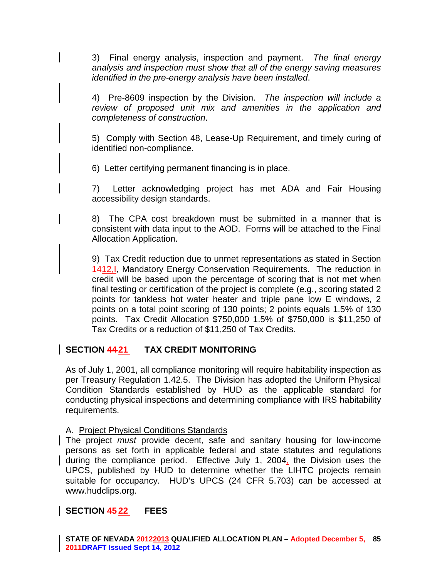3) Final energy analysis, inspection and payment. *The final energy analysis and inspection must show that all of the energy saving measures identified in the pre-energy analysis have been installed*.

4) Pre-8609 inspection by the Division. *The inspection will include a review of proposed unit mix and amenities in the application and completeness of construction*.

5) Comply with Section 48, Lease-Up Requirement, and timely curing of identified non-compliance.

6) Letter certifying permanent financing is in place.

7) Letter acknowledging project has met ADA and Fair Housing accessibility design standards.

8) The CPA cost breakdown must be submitted in a manner that is consistent with data input to the AOD. Forms will be attached to the Final Allocation Application.

9) Tax Credit reduction due to unmet representations as stated in Section 1412,I, Mandatory Energy Conservation Requirements. The reduction in credit will be based upon the percentage of scoring that is not met when final testing or certification of the project is complete (e.g., scoring stated 2 points for tankless hot water heater and triple pane low E windows, 2 points on a total point scoring of 130 points; 2 points equals 1.5% of 130 points. Tax Credit Allocation \$750,000 1.5% of \$750,000 is \$11,250 of Tax Credits or a reduction of \$11,250 of Tax Credits.

### **SECTION 44 21 TAX CREDIT MONITORING**

As of July 1, 2001, all compliance monitoring will require habitability inspection as per Treasury Regulation 1.42.5. The Division has adopted the Uniform Physical Condition Standards established by HUD as the applicable standard for conducting physical inspections and determining compliance with IRS habitability requirements.

#### A. Project Physical Conditions Standards

The project *must* provide decent, safe and sanitary housing for low-income persons as set forth in applicable federal and state statutes and regulations during the compliance period. Effective July 1, 2004, the Division uses the UPCS, published by HUD to determine whether the LIHTC projects remain suitable for occupancy. HUD's UPCS (24 CFR 5.703) can be accessed at www.hudclips.org.

#### **SECTION 45 22 FEES**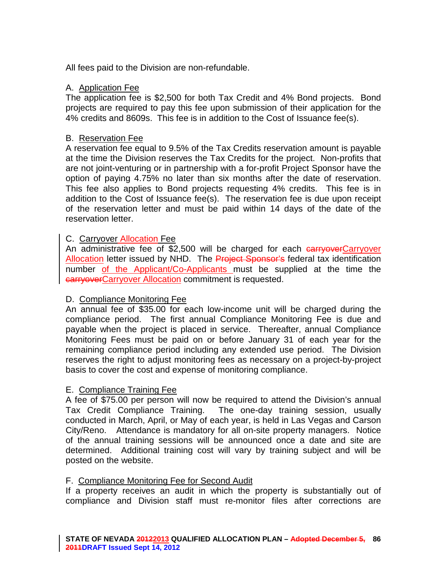All fees paid to the Division are non-refundable.

#### A. Application Fee

The application fee is \$2,500 for both Tax Credit and 4% Bond projects. Bond projects are required to pay this fee upon submission of their application for the 4% credits and 8609s. This fee is in addition to the Cost of Issuance fee(s).

#### B. Reservation Fee

A reservation fee equal to 9.5% of the Tax Credits reservation amount is payable at the time the Division reserves the Tax Credits for the project. Non-profits that are not joint-venturing or in partnership with a for-profit Project Sponsor have the option of paying 4.75% no later than six months after the date of reservation. This fee also applies to Bond projects requesting 4% credits. This fee is in addition to the Cost of Issuance fee(s). The reservation fee is due upon receipt of the reservation letter and must be paid within 14 days of the date of the reservation letter.

#### C. Carryover Allocation Fee

An administrative fee of \$2,500 will be charged for each carryoverCarryover Allocation letter issued by NHD. The Project Sponsor's federal tax identification number of the Applicant/Co-Applicants must be supplied at the time the carryoverCarryover Allocation commitment is requested.

#### D. Compliance Monitoring Fee

An annual fee of \$35.00 for each low-income unit will be charged during the compliance period. The first annual Compliance Monitoring Fee is due and payable when the project is placed in service. Thereafter, annual Compliance Monitoring Fees must be paid on or before January 31 of each year for the remaining compliance period including any extended use period. The Division reserves the right to adjust monitoring fees as necessary on a project-by-project basis to cover the cost and expense of monitoring compliance.

#### E. Compliance Training Fee

A fee of \$75.00 per person will now be required to attend the Division's annual Tax Credit Compliance Training. The one-day training session, usually conducted in March, April, or May of each year, is held in Las Vegas and Carson City/Reno. Attendance is mandatory for all on-site property managers. Notice of the annual training sessions will be announced once a date and site are determined. Additional training cost will vary by training subject and will be posted on the website.

#### F. Compliance Monitoring Fee for Second Audit

If a property receives an audit in which the property is substantially out of compliance and Division staff must re-monitor files after corrections are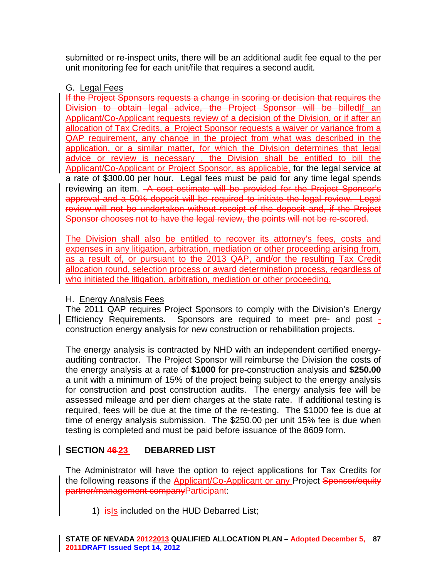submitted or re-inspect units, there will be an additional audit fee equal to the per unit monitoring fee for each unit/file that requires a second audit.

# G. Legal Fees

If the Project Sponsors requests a change in scoring or decision that requires the Division to obtain legal advice, the Project Sponsor will be billedlf an Applicant/Co-Applicant requests review of a decision of the Division, or if after an allocation of Tax Credits, a Project Sponsor requests a waiver or variance from a QAP requirement, any change in the project from what was described in the application, or a similar matter, for which the Division determines that legal advice or review is necessary , the Division shall be entitled to bill the Applicant/Co-Applicant or Project Sponsor, as applicable, for the legal service at a rate of \$300.00 per hour. Legal fees must be paid for any time legal spends reviewing an item. A cost estimate will be provided for the Project Sponsor's approval and a 50% deposit will be required to initiate the legal review. Legal review will not be undertaken without receipt of the deposit and, if the Project Sponsor chooses not to have the legal review, the points will not be re-scored.

The Division shall also be entitled to recover its attorney's fees, costs and expenses in any litigation, arbitration, mediation or other proceeding arising from, as a result of, or pursuant to the 2013 QAP, and/or the resulting Tax Credit allocation round, selection process or award determination process, regardless of who initiated the litigation, arbitration, mediation or other proceeding.

# H. Energy Analysis Fees

The 2011 QAP requires Project Sponsors to comply with the Division's Energy Efficiency Requirements. Sponsors are required to meet pre- and post construction energy analysis for new construction or rehabilitation projects.

The energy analysis is contracted by NHD with an independent certified energyauditing contractor. The Project Sponsor will reimburse the Division the costs of the energy analysis at a rate of **\$1000** for pre-construction analysis and **\$250.00** a unit with a minimum of 15% of the project being subject to the energy analysis for construction and post construction audits. The energy analysis fee will be assessed mileage and per diem charges at the state rate. If additional testing is required, fees will be due at the time of the re-testing. The \$1000 fee is due at time of energy analysis submission. The \$250.00 per unit 15% fee is due when testing is completed and must be paid before issuance of the 8609 form.

# **SECTION 46 23 DEBARRED LIST**

The Administrator will have the option to reject applications for Tax Credits for the following reasons if the Applicant/Co-Applicant or any Project Sponsor/equity partner/management companyParticipant:

1) isls included on the HUD Debarred List;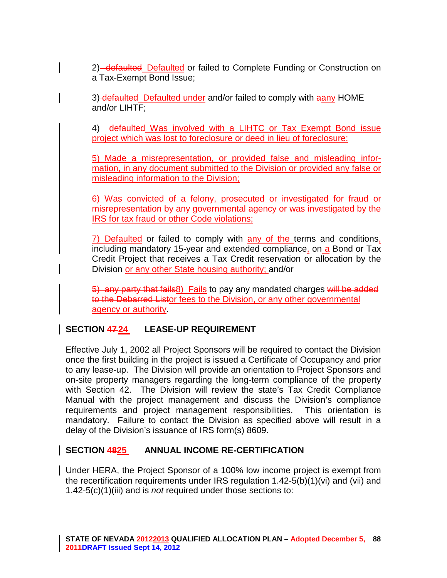2) defaulted Defaulted or failed to Complete Funding or Construction on a Tax-Exempt Bond Issue;

3) defaulted Defaulted under and/or failed to comply with aany HOME and/or LIHTF;

4) defaulted Was involved with a LIHTC or Tax Exempt Bond issue project which was lost to foreclosure or deed in lieu of foreclosure;

5) Made a misrepresentation, or provided false and misleading information, in any document submitted to the Division or provided any false or misleading information to the Division;

6) Was convicted of a felony, prosecuted or investigated for fraud or misrepresentation by any governmental agency or was investigated by the IRS for tax fraud or other Code violations;

7) Defaulted or failed to comply with any of the terms and conditions, including mandatory 15-year and extended compliance, on a Bond or Tax Credit Project that receives a Tax Credit reservation or allocation by the Division or any other State housing authority; and/or

5) any party that fails8) Fails to pay any mandated charges will be added to the Debarred Listor fees to the Division, or any other governmental agency or authority.

# **SECTION 47 24 LEASE-UP REQUIREMENT**

Effective July 1, 2002 all Project Sponsors will be required to contact the Division once the first building in the project is issued a Certificate of Occupancy and prior to any lease-up. The Division will provide an orientation to Project Sponsors and on-site property managers regarding the long-term compliance of the property with Section 42. The Division will review the state's Tax Credit Compliance Manual with the project management and discuss the Division's compliance requirements and project management responsibilities. This orientation is mandatory. Failure to contact the Division as specified above will result in a delay of the Division's issuance of IRS form(s) 8609.

### **SECTION 4825 ANNUAL INCOME RE-CERTIFICATION**

Under HERA, the Project Sponsor of a 100% low income project is exempt from the recertification requirements under IRS regulation 1.42-5(b)(1)(vi) and (vii) and 1.42-5(c)(1)(iii) and is *not* required under those sections to: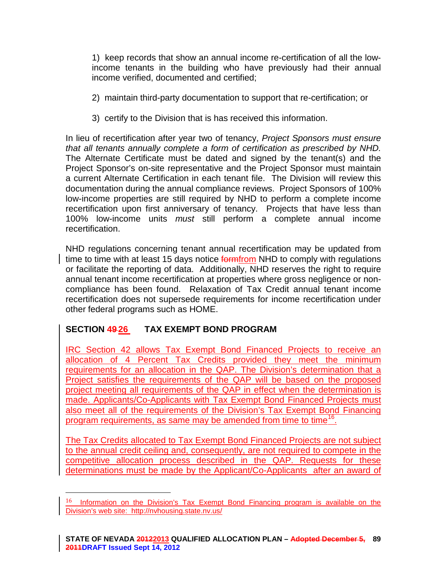1) keep records that show an annual income re-certification of all the lowincome tenants in the building who have previously had their annual income verified, documented and certified;

- 2) maintain third-party documentation to support that re-certification; or
- 3) certify to the Division that is has received this information.

In lieu of recertification after year two of tenancy, *Project Sponsors must ensure that all tenants annually complete a form of certification as prescribed by NHD.* The Alternate Certificate must be dated and signed by the tenant(s) and the Project Sponsor's on-site representative and the Project Sponsor must maintain a current Alternate Certification in each tenant file. The Division will review this documentation during the annual compliance reviews. Project Sponsors of 100% low-income properties are still required by NHD to perform a complete income recertification upon first anniversary of tenancy. Projects that have less than 100% low-income units *must* still perform a complete annual income recertification.

NHD regulations concerning tenant annual recertification may be updated from time to time with at least 15 days notice formfrom NHD to comply with regulations or facilitate the reporting of data. Additionally, NHD reserves the right to require annual tenant income recertification at properties where gross negligence or noncompliance has been found. Relaxation of Tax Credit annual tenant income recertification does not supersede requirements for income recertification under other federal programs such as HOME.

# **SECTION 49 26 TAX EXEMPT BOND PROGRAM**

IRC Section 42 allows Tax Exempt Bond Financed Projects to receive an allocation of 4 Percent Tax Credits provided they meet the minimum requirements for an allocation in the QAP. The Division's determination that a Project satisfies the requirements of the QAP will be based on the proposed project meeting all requirements of the QAP in effect when the determination is made. Applicants/Co-Applicants with Tax Exempt Bond Financed Projects must also meet all of the requirements of the Division's Tax Exempt Bond Financing program requirements, as same may be amended from time to time<sup>[16](#page-80-0)</sup>.

The Tax Credits allocated to Tax Exempt Bond Financed Projects are not subject to the annual credit ceiling and, consequently, are not required to compete in the competitive allocation process described in the QAP. Requests for these determinations must be made by the Applicant/Co-Applicants after an award of

 <sup>16</sup> Information on the Division's Tax Exempt Bond Financing program is available on the Division's web site: http://nvhousing.state.nv.us/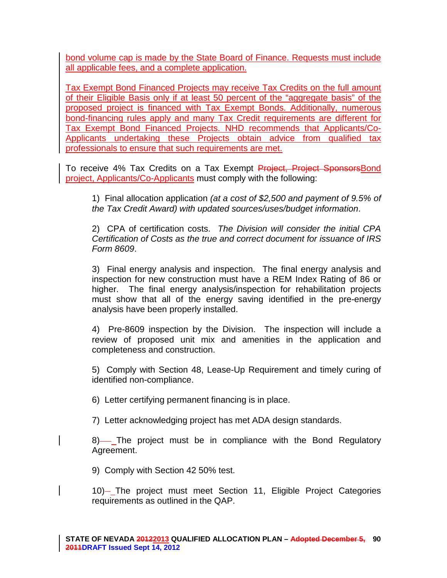bond volume cap is made by the State Board of Finance. Requests must include all applicable fees, and a complete application.

Tax Exempt Bond Financed Projects may receive Tax Credits on the full amount of their Eligible Basis only if at least 50 percent of the "aggregate basis" of the proposed project is financed with Tax Exempt Bonds. Additionally, numerous bond-financing rules apply and many Tax Credit requirements are different for Tax Exempt Bond Financed Projects. NHD recommends that Applicants/Co-Applicants undertaking these Projects obtain advice from qualified tax professionals to ensure that such requirements are met.

To receive 4% Tax Credits on a Tax Exempt Project, Project SponsorsBond project, Applicants/Co-Applicants must comply with the following:

1) Final allocation application *(at a cost of \$2,500 and payment of 9.5% of the Tax Credit Award) with updated sources/uses/budget information*.

2) CPA of certification costs. *The Division will consider the initial CPA Certification of Costs as the true and correct document for issuance of IRS Form 8609*.

3) Final energy analysis and inspection. The final energy analysis and inspection for new construction must have a REM Index Rating of 86 or higher. The final energy analysis/inspection for rehabilitation projects must show that all of the energy saving identified in the pre-energy analysis have been properly installed.

4) Pre-8609 inspection by the Division. The inspection will include a review of proposed unit mix and amenities in the application and completeness and construction.

5) Comply with Section 48, Lease-Up Requirement and timely curing of identified non-compliance.

6) Letter certifying permanent financing is in place.

7) Letter acknowledging project has met ADA design standards.

8)— The project must be in compliance with the Bond Regulatory Agreement.

9) Comply with Section 42 50% test.

10)- The project must meet Section 11, Eligible Project Categories requirements as outlined in the QAP.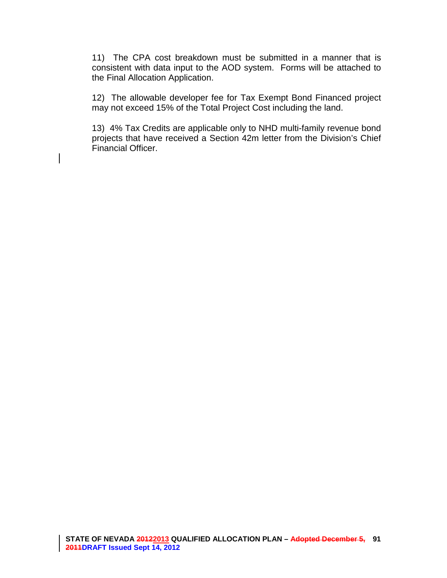11) The CPA cost breakdown must be submitted in a manner that is consistent with data input to the AOD system. Forms will be attached to the Final Allocation Application.

12) The allowable developer fee for Tax Exempt Bond Financed project may not exceed 15% of the Total Project Cost including the land.

13) 4% Tax Credits are applicable only to NHD multi-family revenue bond projects that have received a Section 42m letter from the Division's Chief Financial Officer.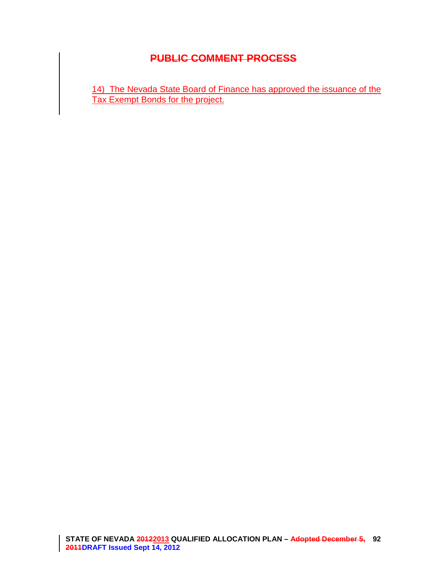# **PUBLIC COMMENT PROCESS**

14) The Nevada State Board of Finance has approved the issuance of the Tax Exempt Bonds for the project.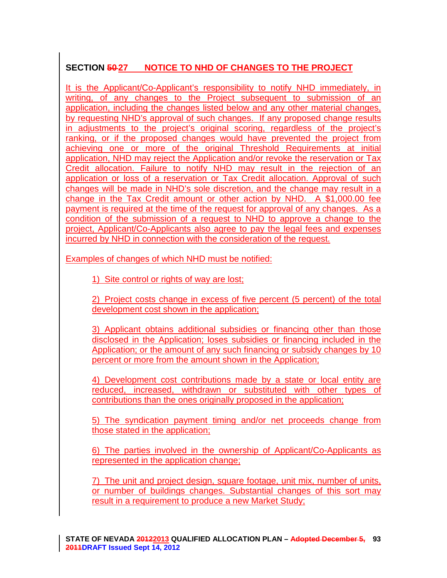# **SECTION 50 27 NOTICE TO NHD OF CHANGES TO THE PROJECT**

It is the Applicant/Co-Applicant's responsibility to notify NHD immediately, in writing, of any changes to the Project subsequent to submission of an application, including the changes listed below and any other material changes, by requesting NHD's approval of such changes. If any proposed change results in adjustments to the project's original scoring, regardless of the project's ranking, or if the proposed changes would have prevented the project from achieving one or more of the original Threshold Requirements at initial application, NHD may reject the Application and/or revoke the reservation or Tax Credit allocation. Failure to notify NHD may result in the rejection of an application or loss of a reservation or Tax Credit allocation. Approval of such changes will be made in NHD's sole discretion, and the change may result in a change in the Tax Credit amount or other action by NHD. A \$1,000.00 fee payment is required at the time of the request for approval of any changes. As a condition of the submission of a request to NHD to approve a change to the project, Applicant/Co-Applicants also agree to pay the legal fees and expenses incurred by NHD in connection with the consideration of the request.

Examples of changes of which NHD must be notified:

1) Site control or rights of way are lost;

2) Project costs change in excess of five percent (5 percent) of the total development cost shown in the application;

3) Applicant obtains additional subsidies or financing other than those disclosed in the Application; loses subsidies or financing included in the Application; or the amount of any such financing or subsidy changes by 10 percent or more from the amount shown in the Application;

4) Development cost contributions made by a state or local entity are reduced, increased, withdrawn or substituted with other types of contributions than the ones originally proposed in the application;

5) The syndication payment timing and/or net proceeds change from those stated in the application;

6) The parties involved in the ownership of Applicant/Co-Applicants as represented in the application change;

7) The unit and project design, square footage, unit mix, number of units, or number of buildings changes. Substantial changes of this sort may result in a requirement to produce a new Market Study;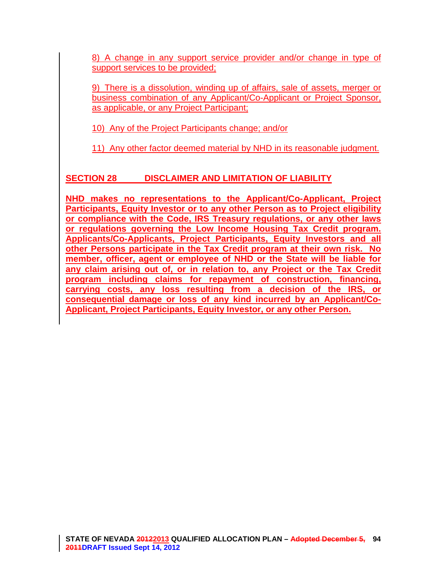8) A change in any support service provider and/or change in type of support services to be provided;

9) There is a dissolution, winding up of affairs, sale of assets, merger or business combination of any Applicant/Co-Applicant or Project Sponsor, as applicable, or any Project Participant;

10) Any of the Project Participants change; and/or

11) Any other factor deemed material by NHD in its reasonable judgment.

# **SECTION 28 DISCLAIMER AND LIMITATION OF LIABILITY**

**NHD makes no representations to the Applicant/Co-Applicant, Project Participants, Equity Investor or to any other Person as to Project eligibility or compliance with the Code, IRS Treasury regulations, or any other laws or regulations governing the Low Income Housing Tax Credit program. Applicants/Co-Applicants, Project Participants, Equity Investors and all other Persons participate in the Tax Credit program at their own risk. No member, officer, agent or employee of NHD or the State will be liable for any claim arising out of, or in relation to, any Project or the Tax Credit program including claims for repayment of construction, financing, carrying costs, any loss resulting from a decision of the IRS, or consequential damage or loss of any kind incurred by an Applicant/Co-Applicant, Project Participants, Equity Investor, or any other Person.**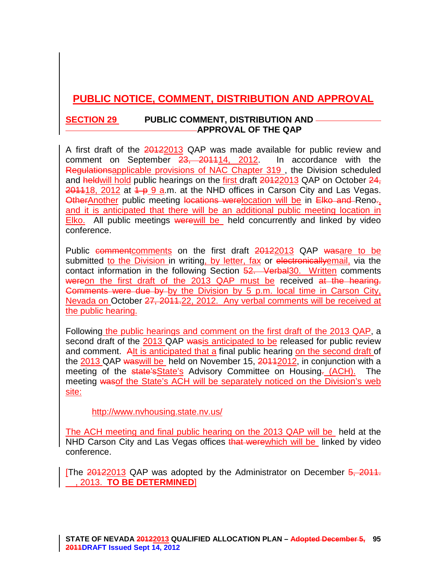# **PUBLIC NOTICE, COMMENT, DISTRIBUTION AND APPROVAL**

#### **SECTION 29 PUBLIC COMMENT, DISTRIBUTION AND APPROVAL OF THE QAP**

A first draft of the 20122013 QAP was made available for public review and comment on September  $23, 201114, 2012$ . In accordance with the Regulationsapplicable provisions of NAC Chapter 319 , the Division scheduled and heldwill hold public hearings on the first draft 20122013 QAP on October 24,  $201118$ , 2012 at  $1-p$  9 a.m. at the NHD offices in Carson City and Las Vegas. OtherAnother public meeting locations werelocation will be in Elko and Reno., and it is anticipated that there will be an additional public meeting location in Elko. All public meetings werewill be held concurrently and linked by video conference.

Public commentcomments on the first draft 20122013 QAP wasare to be submitted to the Division in writing, by letter, fax or electronically email, via the contact information in the following Section 52. Verbal30. Written comments wereon the first draft of the 2013 QAP must be received at the hearing. Comments were due by by the Division by 5 p.m. local time in Carson City, Nevada on October 27, 2011.22, 2012. Any verbal comments will be received at the public hearing.

Following the public hearings and comment on the first draft of the 2013 QAP, a second draft of the 2013 QAP wasis anticipated to be released for public review and comment. Alt is anticipated that a final public hearing on the second draft of the 2013 QAP was will be held on November 15, 20112012, in conjunction with a meeting of the state's State's Advisory Committee on Housing- (ACH). The meeting wasof the State's ACH will be separately noticed on the Division's web site:

<http://www.nvhousing.state.nv.us/>

The ACH meeting and final public hearing on the 2013 QAP will be held at the NHD Carson City and Las Vegas offices that werewhich will be linked by video conference.

[The 20122013 QAP was adopted by the Administrator on December 5, 2011. \_\_, 2013. **TO BE DETERMINED**]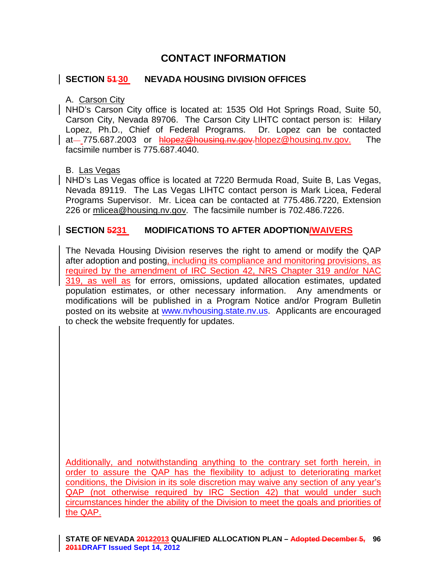# **CONTACT INFORMATION**

#### **SECTION 51 30 NEVADA HOUSING DIVISION OFFICES**

#### A. Carson City

NHD's Carson City office is located at: 1535 Old Hot Springs Road, Suite 50, Carson City, Nevada 89706. The Carson City LIHTC contact person is: Hilary Lopez, Ph.D., Chief of Federal Programs. Dr. Lopez can be contacted at 775.687.2003 or hlopez@housing.nv.gov[.hlopez@housing.nv.gov.](mailto:hlopez@housing.nv.gov) The facsimile number is 775.687.4040.

#### B. Las Vegas

NHD's Las Vegas office is located at 7220 Bermuda Road, Suite B, Las Vegas, Nevada 89119. The Las Vegas LIHTC contact person is Mark Licea, Federal Programs Supervisor. Mr. Licea can be contacted at 775.486.7220, Extension 226 or mlicea@housing.nv.gov. The facsimile number is 702.486.7226.

#### **SECTION 5231 MODIFICATIONS TO AFTER ADOPTION/WAIVERS**

The Nevada Housing Division reserves the right to amend or modify the QAP after adoption and posting, including its compliance and monitoring provisions, as required by the amendment of IRC Section 42, NRS Chapter 319 and/or NAC 319, as well as for errors, omissions, updated allocation estimates, updated population estimates, or other necessary information. Any amendments or modifications will be published in a Program Notice and/or Program Bulletin posted on its website at [www.nvhousing.state.nv.us.](http://www.nvhousing.state.nv.us/) Applicants are encouraged to check the website frequently for updates.

Additionally, and notwithstanding anything to the contrary set forth herein, in order to assure the QAP has the flexibility to adjust to deteriorating market conditions, the Division in its sole discretion may waive any section of any year's QAP (not otherwise required by IRC Section 42) that would under such circumstances hinder the ability of the Division to meet the goals and priorities of the QAP.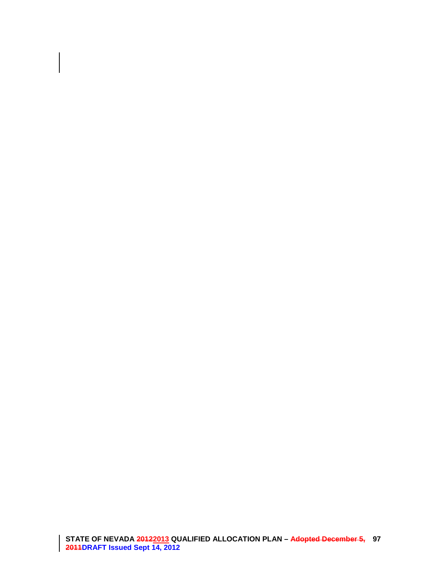**STATE OF NEVADA 20122013 QUALIFIED ALLOCATION PLAN – Adopted December 5, 2011DRAFT Issued Sept 14, 2012 97**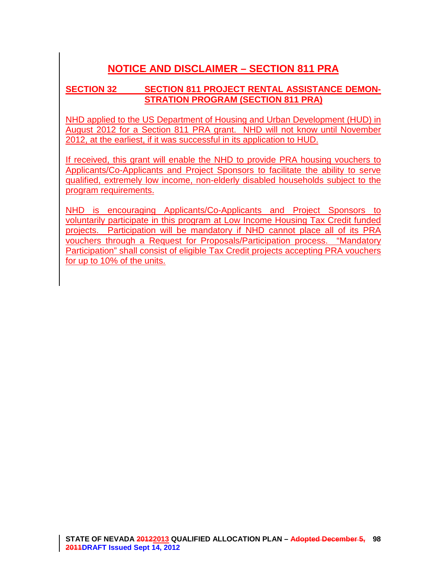# **NOTICE AND DISCLAIMER – SECTION 811 PRA**

# **SECTION 32 SECTION 811 PROJECT RENTAL ASSISTANCE DEMON-STRATION PROGRAM (SECTION 811 PRA)**

NHD applied to the US Department of Housing and Urban Development (HUD) in August 2012 for a Section 811 PRA grant. NHD will not know until November 2012, at the earliest, if it was successful in its application to HUD.

If received, this grant will enable the NHD to provide PRA housing vouchers to Applicants/Co-Applicants and Project Sponsors to facilitate the ability to serve qualified, extremely low income, non-elderly disabled households subject to the program requirements.

NHD is encouraging Applicants/Co-Applicants and Project Sponsors to voluntarily participate in this program at Low Income Housing Tax Credit funded projects. Participation will be mandatory if NHD cannot place all of its PRA vouchers through a Request for Proposals/Participation process. "Mandatory Participation" shall consist of eligible Tax Credit projects accepting PRA vouchers for up to 10% of the units.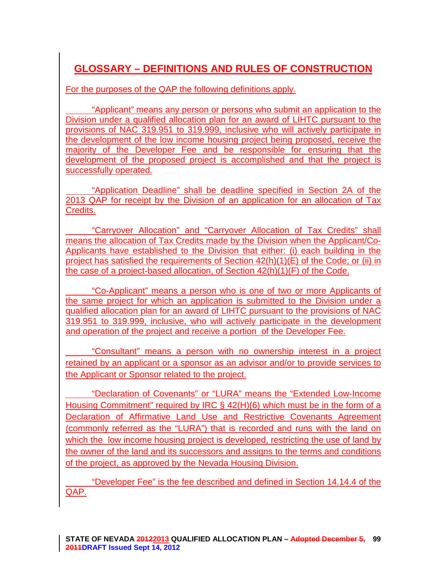# **GLOSSARY – DEFINITIONS AND RULES OF CONSTRUCTION**

For the purposes of the QAP the following definitions apply.

"Applicant" means any person or persons who submit an application to the Division under a qualified allocation plan for an award of LIHTC pursuant to the provisions of NAC 319.951 to 319.999, inclusive who will actively participate in the development of the low income housing project being proposed, receive the majority of the Developer Fee and be responsible for ensuring that the development of the proposed project is accomplished and that the project is successfully operated.

"Application Deadline" shall be deadline specified in Section 2A of the 2013 QAP for receipt by the Division of an application for an allocation of Tax Credits.

"Carryover Allocation" and "Carryover Allocation of Tax Credits" shall means the allocation of Tax Credits made by the Division when the Applicant/Co-Applicants have established to the Division that either: (i) each building in the project has satisfied the requirements of Section 42(h)(1)(E) of the Code; or (ii) in the case of a project-based allocation, of Section  $42(h)(1)(F)$  of the Code.

"Co-Applicant" means a person who is one of two or more Applicants of the same project for which an application is submitted to the Division under a qualified allocation plan for an award of LIHTC pursuant to the provisions of NAC 319.951 to 319.999, inclusive, who will actively participate in the development and operation of the project and receive a portion of the Developer Fee.

"Consultant" means a person with no ownership interest in a project retained by an applicant or a sponsor as an advisor and/or to provide services to the Applicant or Sponsor related to the project.

"Declaration of Covenants" or "LURA" means the "Extended Low‐Income Housing Commitment" required by IRC § 42(H)(6) which must be in the form of a Declaration of Affirmative Land Use and Restrictive Covenants Agreement (commonly referred as the "LURA") that is recorded and runs with the land on which the low income housing project is developed, restricting the use of land by the owner of the land and its successors and assigns to the terms and conditions of the project, as approved by the Nevada Housing Division.

"Developer Fee" is the fee described and defined in Section 14.14.4 of the QAP.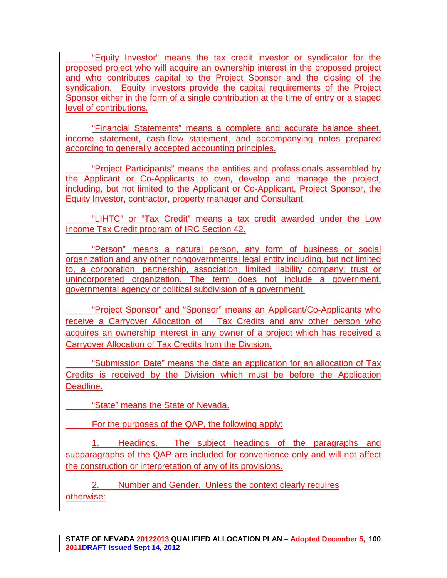"Equity Investor" means the tax credit investor or syndicator for the proposed project who will acquire an ownership interest in the proposed project and who contributes capital to the Project Sponsor and the closing of the syndication. Equity Investors provide the capital requirements of the Project Sponsor either in the form of a single contribution at the time of entry or a staged level of contributions.

"Financial Statements" means a complete and accurate balance sheet, income statement, cash‐flow statement, and accompanying notes prepared according to generally accepted accounting principles.

"Project Participants" means the entities and professionals assembled by the Applicant or Co-Applicants to own, develop and manage the project, including, but not limited to the Applicant or Co-Applicant, Project Sponsor, the Equity Investor, contractor, property manager and Consultant.

"LIHTC" or "Tax Credit" means a tax credit awarded under the Low Income Tax Credit program of IRC Section 42.

"Person" means a natural person, any form of business or social organization and any other nongovernmental legal entity including, but not limited to, a corporation, partnership, association, limited liability company, trust or unincorporated organization. The term does not include a government, governmental agency or political subdivision of a government.

"Project Sponsor" and "Sponsor" means an Applicant/Co-Applicants who receive a Carryover Allocation of Tax Credits and any other person who acquires an ownership interest in any owner of a project which has received a Carryover Allocation of Tax Credits from the Division.

"Submission Date" means the date an application for an allocation of Tax Credits is received by the Division which must be before the Application Deadline.

"State" means the State of Nevada.

For the purposes of the QAP, the following apply:

1. Headings. The subject headings of the paragraphs and subparagraphs of the QAP are included for convenience only and will not affect the construction or interpretation of any of its provisions.

2. Number and Gender. Unless the context clearly requires otherwise: